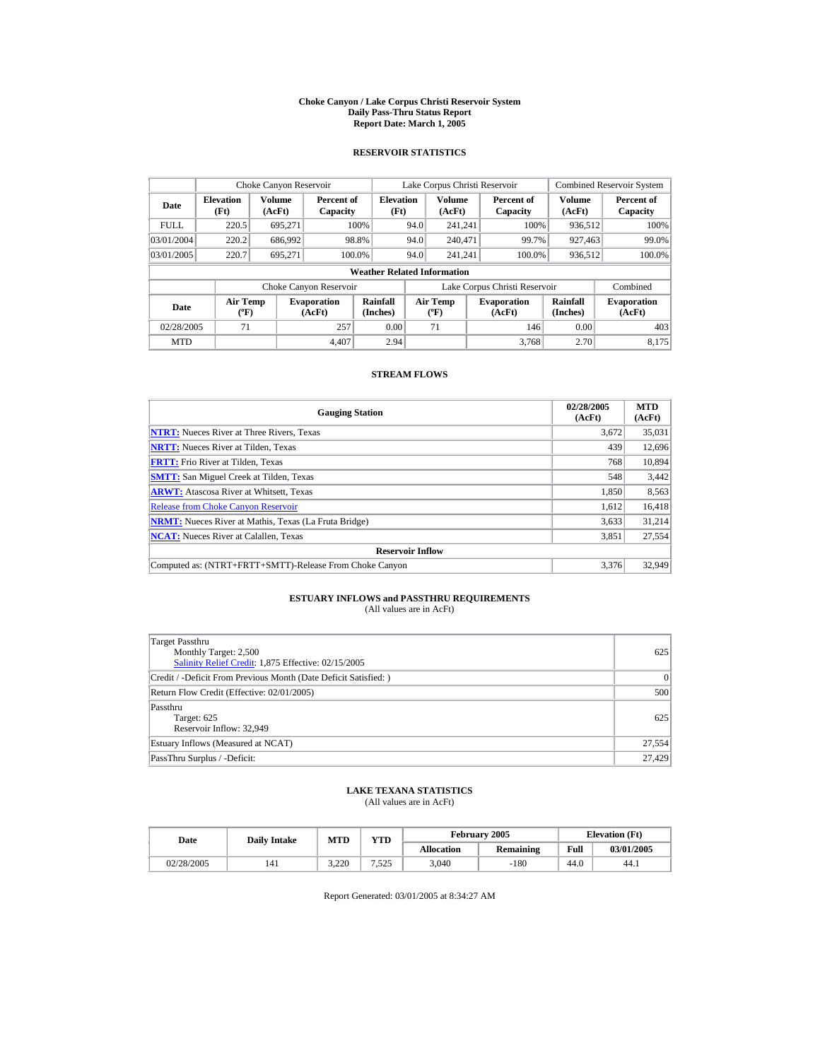#### **Choke Canyon / Lake Corpus Christi Reservoir System Daily Pass-Thru Status Report Report Date: March 1, 2005**

## **RESERVOIR STATISTICS**

| Choke Canyon Reservoir                                                              |       |                  |                        |                                    |                                   | Lake Corpus Christi Reservoir |                               |                              | <b>Combined Reservoir System</b> |
|-------------------------------------------------------------------------------------|-------|------------------|------------------------|------------------------------------|-----------------------------------|-------------------------------|-------------------------------|------------------------------|----------------------------------|
| <b>Elevation</b><br>Date<br>(Ft)                                                    |       | Volume<br>(AcFt) | Percent of<br>Capacity | <b>Elevation</b><br>(Ft)           |                                   | <b>Volume</b><br>(AcFt)       | Percent of<br>Capacity        | Volume<br>(AcFt)             | Percent of<br>Capacity           |
| <b>FULL</b>                                                                         | 220.5 | 695.271          |                        | 100%                               | 94.0                              | 241.241                       | 100%                          | 936.512                      | 100%                             |
| 03/01/2004                                                                          | 220.2 | 686.992          |                        | 98.8%                              | 94.0                              | 240,471                       | 99.7%                         | 927,463                      | 99.0%                            |
| 03/01/2005                                                                          | 220.7 | 695.271          |                        | 100.0%                             | 94.0                              | 241.241                       | 100.0%                        | 936,512                      | 100.0%                           |
|                                                                                     |       |                  |                        | <b>Weather Related Information</b> |                                   |                               |                               |                              |                                  |
|                                                                                     |       |                  | Choke Canyon Reservoir |                                    |                                   |                               | Lake Corpus Christi Reservoir |                              | Combined                         |
| <b>Air Temp</b><br><b>Evaporation</b><br>Date<br>$({}^{\circ}\mathrm{F})$<br>(AcFt) |       |                  | Rainfall<br>(Inches)   |                                    | Air Temp<br>$({}^{\circ}{\rm F})$ | <b>Evaporation</b><br>(AcFt)  | Rainfall<br>(Inches)          | <b>Evaporation</b><br>(AcFt) |                                  |
| 71<br>257<br>02/28/2005                                                             |       |                  |                        | 0.00                               |                                   | 71                            | 146                           | 0.00                         | 403                              |
| <b>MTD</b>                                                                          |       |                  | 4.407                  | 2.94                               |                                   |                               | 3.768                         | 2.70                         | 8.175                            |

## **STREAM FLOWS**

| <b>Gauging Station</b>                                       | 02/28/2005<br>(AcFt) | <b>MTD</b><br>(AcFt) |
|--------------------------------------------------------------|----------------------|----------------------|
| <b>NTRT:</b> Nueces River at Three Rivers, Texas             | 3,672                | 35,031               |
| <b>NRTT:</b> Nueces River at Tilden, Texas                   | 439                  | 12,696               |
| <b>FRTT:</b> Frio River at Tilden, Texas                     | 768                  | 10,894               |
| <b>SMTT:</b> San Miguel Creek at Tilden, Texas               | 548                  | 3,442                |
| <b>ARWT:</b> Atascosa River at Whitsett, Texas               | 1.850                | 8,563                |
| <b>Release from Choke Canyon Reservoir</b>                   | 1,612                | 16,418               |
| <b>NRMT:</b> Nueces River at Mathis, Texas (La Fruta Bridge) | 3.633                | 31,214               |
| <b>NCAT:</b> Nueces River at Calallen, Texas                 | 3,851                | 27,554               |
| <b>Reservoir Inflow</b>                                      |                      |                      |
| Computed as: (NTRT+FRTT+SMTT)-Release From Choke Canyon      | 3.376                | 32,949               |

# **ESTUARY INFLOWS and PASSTHRU REQUIREMENTS**<br>(All values are in AcFt)

| Target Passthru<br>Monthly Target: 2,500<br>Salinity Relief Credit: 1,875 Effective: 02/15/2005 | 625    |
|-------------------------------------------------------------------------------------------------|--------|
| Credit / -Deficit From Previous Month (Date Deficit Satisfied: )                                | 0      |
| Return Flow Credit (Effective: 02/01/2005)                                                      | 500    |
| Passthru<br>Target: 625<br>Reservoir Inflow: 32,949                                             | 625    |
| Estuary Inflows (Measured at NCAT)                                                              | 27,554 |
| PassThru Surplus / -Deficit:                                                                    | 27,429 |

## **LAKE TEXANA STATISTICS**

(All values are in AcFt)

| Date       | <b>Daily Intake</b> | <b>MTD</b> | $\mathbf{v}\mathbf{T}\mathbf{D}$ |                   | February 2005 | <b>Elevation</b> (Ft) |            |
|------------|---------------------|------------|----------------------------------|-------------------|---------------|-----------------------|------------|
|            |                     |            |                                  | <b>Allocation</b> | Remaining     | Full                  | 03/01/2005 |
| 02/28/2005 | 141                 | 3.220      | '.525                            | 3,040             | $-180$        | 44.0                  | 44.1       |

Report Generated: 03/01/2005 at 8:34:27 AM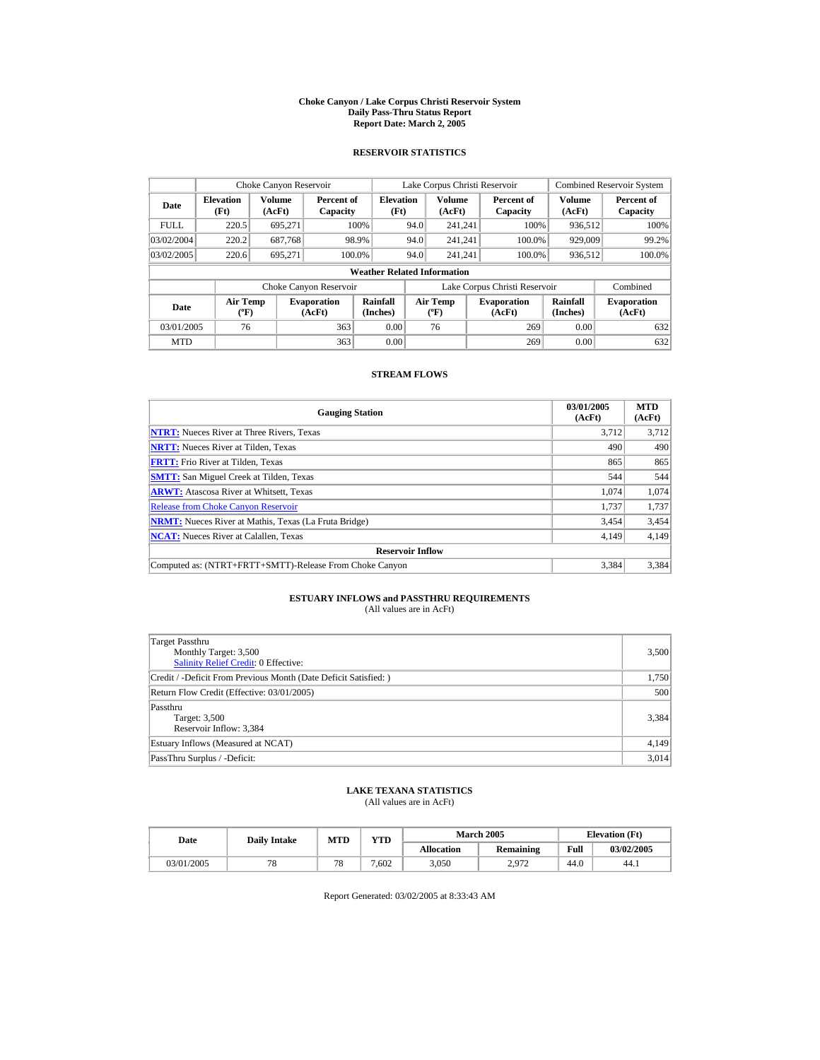#### **Choke Canyon / Lake Corpus Christi Reservoir System Daily Pass-Thru Status Report Report Date: March 2, 2005**

## **RESERVOIR STATISTICS**

| Choke Canyon Reservoir                                                        |       |                         |                        |                                    |                                   | Lake Corpus Christi Reservoir |                               |                              | <b>Combined Reservoir System</b> |
|-------------------------------------------------------------------------------|-------|-------------------------|------------------------|------------------------------------|-----------------------------------|-------------------------------|-------------------------------|------------------------------|----------------------------------|
| <b>Elevation</b><br>Date<br>(Ft)                                              |       | <b>Volume</b><br>(AcFt) | Percent of<br>Capacity | <b>Elevation</b><br>(Ft)           |                                   | Volume<br>(AcFt)              | Percent of<br>Capacity        | <b>Volume</b><br>(AcFt)      | Percent of<br>Capacity           |
| FULL.                                                                         | 220.5 | 695.271                 |                        | 100%                               | 94.0                              | 241.241                       | 100%                          | 936.512                      | 100%                             |
| 03/02/2004                                                                    | 220.2 | 687.768                 |                        | 98.9%                              | 94.0                              | 241.241                       | 100.0%                        | 929,009                      | 99.2%                            |
| 03/02/2005                                                                    | 220.6 | 695.271                 |                        | 100.0%                             | 94.0                              | 241.241                       | 100.0%                        | 936,512                      | 100.0%                           |
|                                                                               |       |                         |                        | <b>Weather Related Information</b> |                                   |                               |                               |                              |                                  |
|                                                                               |       |                         | Choke Canyon Reservoir |                                    |                                   |                               | Lake Corpus Christi Reservoir |                              | Combined                         |
| <b>Air Temp</b><br><b>Evaporation</b><br>Date<br>$({}^o\mathrm{F})$<br>(AcFt) |       |                         | Rainfall<br>(Inches)   |                                    | Air Temp<br>$({}^{\circ}{\rm F})$ | <b>Evaporation</b><br>(AcFt)  | Rainfall<br>(Inches)          | <b>Evaporation</b><br>(AcFt) |                                  |
| 363<br>03/01/2005<br>76                                                       |       |                         | 0.00                   |                                    | 76                                | 269                           | 0.00                          | 632                          |                                  |
| <b>MTD</b>                                                                    |       |                         | 363                    | 0.00                               |                                   |                               | 269                           | 0.00                         | 632                              |

## **STREAM FLOWS**

| <b>Gauging Station</b>                                       | 03/01/2005<br>(AcFt) | <b>MTD</b><br>(AcFt) |
|--------------------------------------------------------------|----------------------|----------------------|
| <b>NTRT:</b> Nueces River at Three Rivers, Texas             | 3.712                | 3,712                |
| <b>NRTT:</b> Nueces River at Tilden, Texas                   | 490                  | 490                  |
| <b>FRTT:</b> Frio River at Tilden, Texas                     | 865                  | 865                  |
| <b>SMTT:</b> San Miguel Creek at Tilden, Texas               | 544                  | 544                  |
| <b>ARWT:</b> Atascosa River at Whitsett, Texas               | 1.074                | 1,074                |
| <b>Release from Choke Canvon Reservoir</b>                   | 1.737                | 1,737                |
| <b>NRMT:</b> Nueces River at Mathis, Texas (La Fruta Bridge) | 3,454                | 3,454                |
| <b>NCAT:</b> Nueces River at Calallen, Texas                 | 4,149                | 4,149                |
| <b>Reservoir Inflow</b>                                      |                      |                      |
| Computed as: (NTRT+FRTT+SMTT)-Release From Choke Canyon      | 3.384                | 3,384                |

# **ESTUARY INFLOWS and PASSTHRU REQUIREMENTS**<br>(All values are in AcFt)

| Target Passthru<br>Monthly Target: 3,500<br><b>Salinity Relief Credit: 0 Effective:</b> | 3,500 |
|-----------------------------------------------------------------------------------------|-------|
| Credit / -Deficit From Previous Month (Date Deficit Satisfied:)                         | 1,750 |
| Return Flow Credit (Effective: 03/01/2005)                                              | 500   |
| Passthru<br>Target: 3,500<br>Reservoir Inflow: 3,384                                    | 3,384 |
| Estuary Inflows (Measured at NCAT)                                                      | 4,149 |
| PassThru Surplus / -Deficit:                                                            | 3,014 |

## **LAKE TEXANA STATISTICS**

(All values are in AcFt)

| Date       | <b>Daily Intake</b> |            | VTD- |                   | <b>March 2005</b> | <b>Elevation</b> (Ft) |            |
|------------|---------------------|------------|------|-------------------|-------------------|-----------------------|------------|
|            |                     | <b>MTD</b> |      | <b>Allocation</b> | Remaining         | Full                  | 03/02/2005 |
| 03/01/2005 | 78                  | 78         | .602 | 3,050             | 2,972             | 44.U                  | 44.1       |

Report Generated: 03/02/2005 at 8:33:43 AM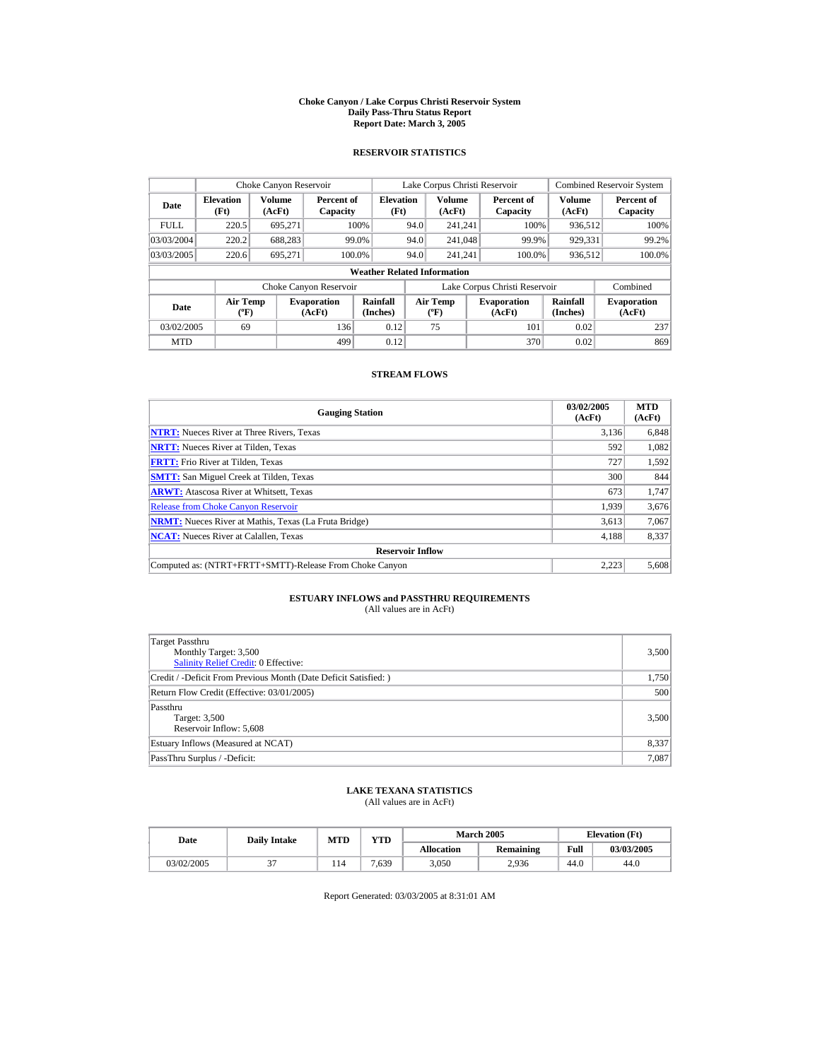#### **Choke Canyon / Lake Corpus Christi Reservoir System Daily Pass-Thru Status Report Report Date: March 3, 2005**

## **RESERVOIR STATISTICS**

| Choke Canyon Reservoir                                                              |       |                      |                        |                                          |                              | Lake Corpus Christi Reservoir |                               |                         | <b>Combined Reservoir System</b> |  |
|-------------------------------------------------------------------------------------|-------|----------------------|------------------------|------------------------------------------|------------------------------|-------------------------------|-------------------------------|-------------------------|----------------------------------|--|
| <b>Elevation</b><br>Date<br>(Ft)                                                    |       | Volume<br>(AcFt)     | Percent of<br>Capacity | <b>Elevation</b><br>(Ft)                 |                              | <b>Volume</b><br>(AcFt)       | Percent of<br>Capacity        | <b>Volume</b><br>(AcFt) | Percent of<br>Capacity           |  |
| <b>FULL</b>                                                                         | 220.5 | 695,271              |                        | 100%                                     | 94.0                         | 241.241                       | 100%                          | 936.512                 | 100%                             |  |
| 03/03/2004                                                                          | 220.2 | 688.283              |                        | 99.0%                                    | 94.0                         | 241.048                       | 99.9%                         | 929,331                 | 99.2%                            |  |
| 03/03/2005                                                                          | 220.6 | 695.271              |                        | 100.0%                                   | 94.0                         | 241.241                       | 100.0%                        | 936,512                 | 100.0%                           |  |
|                                                                                     |       |                      |                        | <b>Weather Related Information</b>       |                              |                               |                               |                         |                                  |  |
|                                                                                     |       |                      | Choke Canyon Reservoir |                                          |                              |                               | Lake Corpus Christi Reservoir |                         | Combined                         |  |
| <b>Air Temp</b><br><b>Evaporation</b><br>Date<br>$({}^{\circ}\mathrm{F})$<br>(AcFt) |       | Rainfall<br>(Inches) |                        | <b>Air Temp</b><br>$({}^{\circ}{\rm F})$ | <b>Evaporation</b><br>(AcFt) | Rainfall<br>(Inches)          | <b>Evaporation</b><br>(AcFt)  |                         |                                  |  |
| 69<br>136<br>03/02/2005                                                             |       |                      | 0.12                   |                                          | 75                           | 101                           | 0.02                          | 237                     |                                  |  |
| <b>MTD</b>                                                                          |       |                      | 499                    | 0.12                                     |                              |                               | 370                           | 0.02                    | 869                              |  |

## **STREAM FLOWS**

| <b>Gauging Station</b>                                       | 03/02/2005<br>(AcFt) | <b>MTD</b><br>(AcFt) |
|--------------------------------------------------------------|----------------------|----------------------|
| <b>NTRT:</b> Nueces River at Three Rivers, Texas             | 3,136                | 6,848                |
| <b>NRTT:</b> Nueces River at Tilden, Texas                   | 592                  | 1,082                |
| <b>FRTT:</b> Frio River at Tilden, Texas                     | 727                  | 1,592                |
| <b>SMTT:</b> San Miguel Creek at Tilden, Texas               | 300                  | 844                  |
| <b>ARWT:</b> Atascosa River at Whitsett, Texas               | 673                  | 1,747                |
| <b>Release from Choke Canvon Reservoir</b>                   | 1.939                | 3,676                |
| <b>NRMT:</b> Nueces River at Mathis, Texas (La Fruta Bridge) | 3,613                | 7,067                |
| <b>NCAT:</b> Nueces River at Calallen, Texas                 | 4,188                | 8,337                |
| <b>Reservoir Inflow</b>                                      |                      |                      |
| Computed as: (NTRT+FRTT+SMTT)-Release From Choke Canyon      | 2.223                | 5,608                |

# **ESTUARY INFLOWS and PASSTHRU REQUIREMENTS**<br>(All values are in AcFt)

| Target Passthru<br>Monthly Target: 3,500<br>Salinity Relief Credit: 0 Effective: | 3,500 |
|----------------------------------------------------------------------------------|-------|
| Credit / -Deficit From Previous Month (Date Deficit Satisfied: )                 | 1,750 |
| Return Flow Credit (Effective: 03/01/2005)                                       | 500   |
| Passthru<br>Target: 3,500<br>Reservoir Inflow: 5,608                             | 3,500 |
| Estuary Inflows (Measured at NCAT)                                               | 8,337 |
| PassThru Surplus / -Deficit:                                                     | 7,087 |

## **LAKE TEXANA STATISTICS**

(All values are in AcFt)

| Date       | <b>VTD</b><br>MTD<br><b>Daily Intake</b> |      |                   | <b>March 2005</b> | <b>Elevation</b> (Ft) |            |
|------------|------------------------------------------|------|-------------------|-------------------|-----------------------|------------|
|            |                                          |      | <b>Allocation</b> | Remaining         | Full                  | 03/03/2005 |
| 03/02/2005 | 114                                      | .639 | 3,050             | 2.936             | 44.0                  | 44.0       |

Report Generated: 03/03/2005 at 8:31:01 AM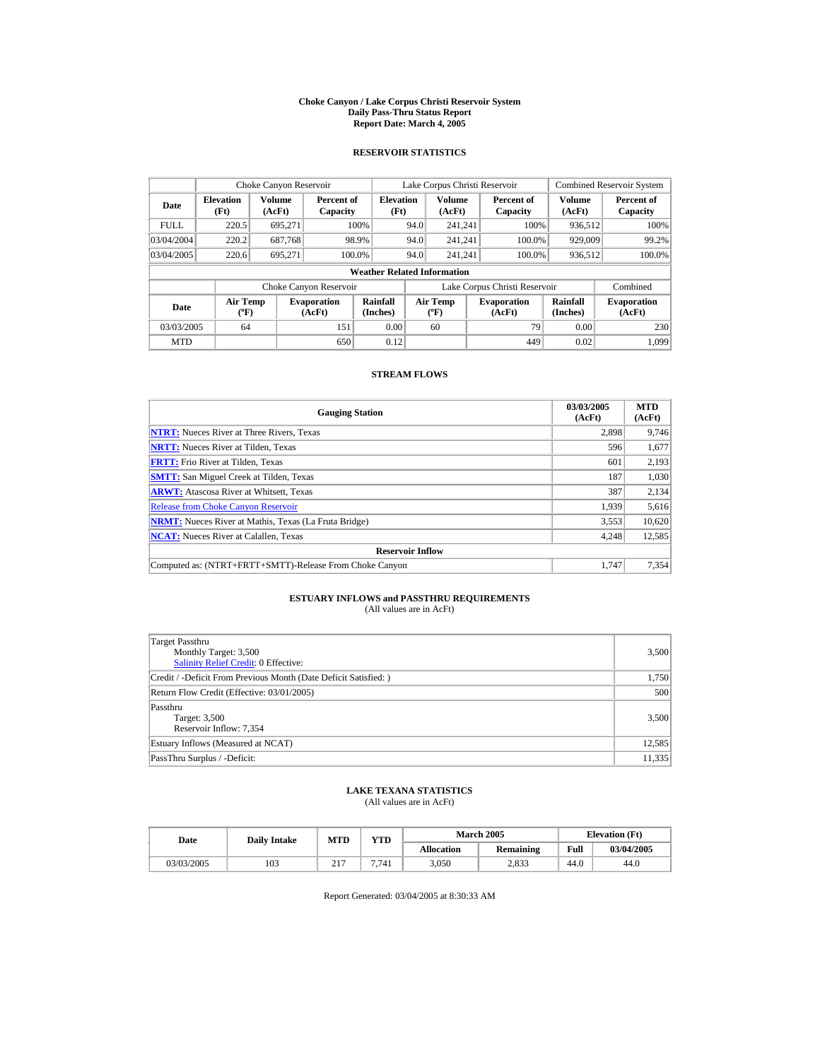#### **Choke Canyon / Lake Corpus Christi Reservoir System Daily Pass-Thru Status Report Report Date: March 4, 2005**

## **RESERVOIR STATISTICS**

| Choke Canyon Reservoir                              |                          |                  |                              |                                    |      | Lake Corpus Christi Reservoir            |                               |                         | <b>Combined Reservoir System</b> |
|-----------------------------------------------------|--------------------------|------------------|------------------------------|------------------------------------|------|------------------------------------------|-------------------------------|-------------------------|----------------------------------|
| Date                                                | <b>Elevation</b><br>(Ft) | Volume<br>(AcFt) | Percent of<br>Capacity       | <b>Elevation</b><br>(Ft)           |      | <b>Volume</b><br>(AcFt)                  | Percent of<br>Capacity        | <b>Volume</b><br>(AcFt) | Percent of<br>Capacity           |
| <b>FULL</b>                                         | 220.5                    | 695.271          |                              | 100%                               | 94.0 | 241.241                                  | 100%                          | 936.512                 | 100%                             |
| 03/04/2004                                          | 220.2                    | 687.768          |                              | 98.9%                              | 94.0 | 241.241                                  | 100.0%                        | 929,009                 | 99.2%                            |
| 03/04/2005                                          | 220.6                    | 695.271          |                              | 100.0%                             | 94.0 | 241.241                                  | 100.0%                        | 936,512                 | 100.0%                           |
|                                                     |                          |                  |                              | <b>Weather Related Information</b> |      |                                          |                               |                         |                                  |
|                                                     |                          |                  | Choke Canyon Reservoir       |                                    |      |                                          | Lake Corpus Christi Reservoir |                         | Combined                         |
| <b>Air Temp</b><br>Date<br>$({}^{\circ}\mathrm{F})$ |                          |                  | <b>Evaporation</b><br>(AcFt) | Rainfall<br>(Inches)               |      | <b>Air Temp</b><br>$({}^{\circ}{\rm F})$ | <b>Evaporation</b><br>(AcFt)  | Rainfall<br>(Inches)    | <b>Evaporation</b><br>(AcFt)     |
| 151<br>03/03/2005<br>64                             |                          |                  | 0.00                         |                                    | 60   | 79                                       | 0.00                          | 230                     |                                  |
| <b>MTD</b>                                          |                          |                  | 650                          | 0.12                               |      |                                          | 449                           | 0.02                    | 1.099                            |

## **STREAM FLOWS**

| <b>Gauging Station</b>                                       | 03/03/2005<br>(AcFt) | <b>MTD</b><br>(AcFt) |
|--------------------------------------------------------------|----------------------|----------------------|
| <b>NTRT:</b> Nueces River at Three Rivers, Texas             | 2.898                | 9,746                |
| <b>NRTT:</b> Nueces River at Tilden, Texas                   | 596                  | 1,677                |
| <b>FRTT:</b> Frio River at Tilden, Texas                     | 601                  | 2,193                |
| <b>SMTT:</b> San Miguel Creek at Tilden, Texas               | 187                  | 1,030                |
| <b>ARWT:</b> Atascosa River at Whitsett, Texas               | 387                  | 2,134                |
| <b>Release from Choke Canvon Reservoir</b>                   | 1.939                | 5,616                |
| <b>NRMT:</b> Nueces River at Mathis, Texas (La Fruta Bridge) | 3,553                | 10,620               |
| <b>NCAT:</b> Nueces River at Calallen, Texas                 | 4,248                | 12,585               |
| <b>Reservoir Inflow</b>                                      |                      |                      |
| Computed as: (NTRT+FRTT+SMTT)-Release From Choke Canyon      | 1.747                | 7.354                |

# **ESTUARY INFLOWS and PASSTHRU REQUIREMENTS**<br>(All values are in AcFt)

| Target Passthru<br>Monthly Target: 3,500<br>Salinity Relief Credit: 0 Effective: | 3,500  |
|----------------------------------------------------------------------------------|--------|
| Credit / -Deficit From Previous Month (Date Deficit Satisfied: )                 | 1,750  |
| Return Flow Credit (Effective: 03/01/2005)                                       | 500    |
| Passthru<br>Target: 3,500<br>Reservoir Inflow: 7,354                             | 3,500  |
| Estuary Inflows (Measured at NCAT)                                               | 12,585 |
| PassThru Surplus / -Deficit:                                                     | 11,335 |

## **LAKE TEXANA STATISTICS**

(All values are in AcFt)

| Date |            | <b>Daily Intake</b> | <b>MTD</b>      | <b>VTD</b> |                   | <b>March 2005</b> |      | <b>Elevation</b> (Ft) |
|------|------------|---------------------|-----------------|------------|-------------------|-------------------|------|-----------------------|
|      |            |                     |                 |            | <b>Allocation</b> | Remaining         | Full | 03/04/2005            |
|      | 03/03/2005 | 103                 | 017<br>$\sim$ 1 | 7.741      | 3,050             | 2,833             | 44.0 | 44.0                  |

Report Generated: 03/04/2005 at 8:30:33 AM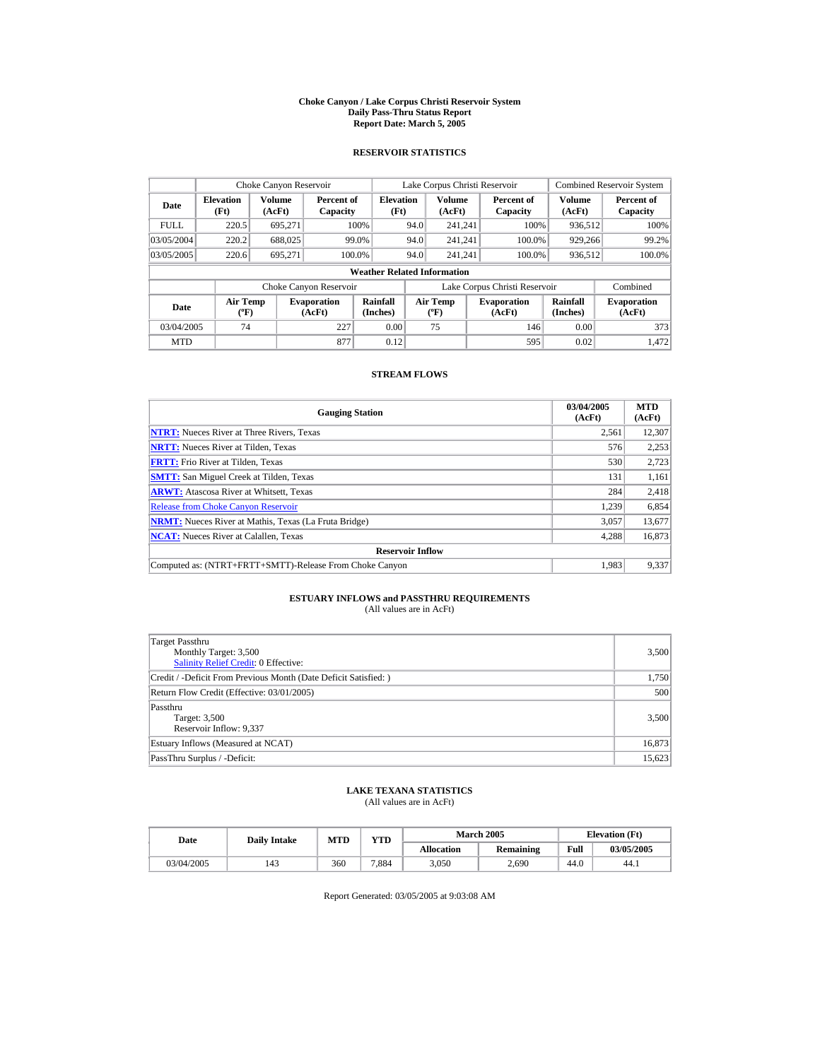#### **Choke Canyon / Lake Corpus Christi Reservoir System Daily Pass-Thru Status Report Report Date: March 5, 2005**

## **RESERVOIR STATISTICS**

|                                                                                     | Choke Canyon Reservoir   |                  |                        |                                          |      | Lake Corpus Christi Reservoir |                               |                              | <b>Combined Reservoir System</b> |
|-------------------------------------------------------------------------------------|--------------------------|------------------|------------------------|------------------------------------------|------|-------------------------------|-------------------------------|------------------------------|----------------------------------|
| Date                                                                                | <b>Elevation</b><br>(Ft) | Volume<br>(AcFt) | Percent of<br>Capacity | <b>Elevation</b><br>(Ft)                 |      | <b>Volume</b><br>(AcFt)       | Percent of<br>Capacity        | <b>Volume</b><br>(AcFt)      | Percent of<br>Capacity           |
| <b>FULL</b>                                                                         | 220.5                    | 695,271          |                        | 100%                                     | 94.0 | 241.241                       | 100%                          | 936.512                      | 100%                             |
| 03/05/2004                                                                          | 220.2                    | 688,025          |                        | 99.0%                                    | 94.0 | 241.241                       | 100.0%                        | 929,266                      | 99.2%                            |
| 03/05/2005                                                                          | 220.6                    | 695.271          | 100.0%                 |                                          | 94.0 | 241.241                       | 100.0%                        | 936,512                      | 100.0%                           |
|                                                                                     |                          |                  |                        | <b>Weather Related Information</b>       |      |                               |                               |                              |                                  |
|                                                                                     |                          |                  | Choke Canyon Reservoir |                                          |      |                               | Lake Corpus Christi Reservoir |                              | Combined                         |
| <b>Air Temp</b><br><b>Evaporation</b><br>Date<br>(AcFt)<br>$({}^{\circ}\mathrm{F})$ |                          |                  | Rainfall<br>(Inches)   | <b>Air Temp</b><br>$({}^{\circ}{\rm F})$ |      | <b>Evaporation</b><br>(AcFt)  | Rainfall<br>(Inches)          | <b>Evaporation</b><br>(AcFt) |                                  |
| 74<br>227<br>03/04/2005                                                             |                          |                  | 0.00                   |                                          | 75   | 146                           | 0.00                          | 373                          |                                  |
| <b>MTD</b>                                                                          |                          |                  | 877                    | 0.12                                     |      |                               | 595                           | 0.02                         | 1.472                            |

## **STREAM FLOWS**

| <b>Gauging Station</b>                                       | 03/04/2005<br>(AcFt) | <b>MTD</b><br>(AcFt) |
|--------------------------------------------------------------|----------------------|----------------------|
| <b>NTRT:</b> Nueces River at Three Rivers, Texas             | 2,561                | 12,307               |
| <b>NRTT:</b> Nueces River at Tilden, Texas                   | 576                  | 2.253                |
| <b>FRTT:</b> Frio River at Tilden, Texas                     | 530                  | 2,723                |
| <b>SMTT:</b> San Miguel Creek at Tilden, Texas               | 131                  | 1,161                |
| <b>ARWT:</b> Atascosa River at Whitsett, Texas               | 284                  | 2,418                |
| <b>Release from Choke Canvon Reservoir</b>                   | 1.239                | 6,854                |
| <b>NRMT:</b> Nueces River at Mathis, Texas (La Fruta Bridge) | 3,057                | 13,677               |
| <b>NCAT:</b> Nueces River at Calallen, Texas                 | 4,288                | 16,873               |
| <b>Reservoir Inflow</b>                                      |                      |                      |
| Computed as: (NTRT+FRTT+SMTT)-Release From Choke Canyon      | 1.983                | 9,337                |

# **ESTUARY INFLOWS and PASSTHRU REQUIREMENTS**<br>(All values are in AcFt)

| <b>Target Passthru</b><br>Monthly Target: 3,500<br><b>Salinity Relief Credit: 0 Effective:</b> | 3,500  |
|------------------------------------------------------------------------------------------------|--------|
| Credit / -Deficit From Previous Month (Date Deficit Satisfied:)                                | 1,750  |
| Return Flow Credit (Effective: 03/01/2005)                                                     | 500    |
| Passthru<br>Target: 3,500<br>Reservoir Inflow: 9,337                                           | 3,500  |
| Estuary Inflows (Measured at NCAT)                                                             | 16,873 |
| PassThru Surplus / -Deficit:                                                                   | 15,623 |

## **LAKE TEXANA STATISTICS**

(All values are in AcFt)

| Date       | <b>Daily Intake</b> | MTD | VTD   |                   | <b>March 2005</b> | <b>Elevation</b> (Ft) |            |
|------------|---------------------|-----|-------|-------------------|-------------------|-----------------------|------------|
|            |                     |     |       | <b>Allocation</b> | <b>Remaining</b>  | Full                  | 03/05/2005 |
| 03/04/2005 | 143                 | 360 | 7.884 | 3,050             | 2,690             | 44.0                  | 44.1       |

Report Generated: 03/05/2005 at 9:03:08 AM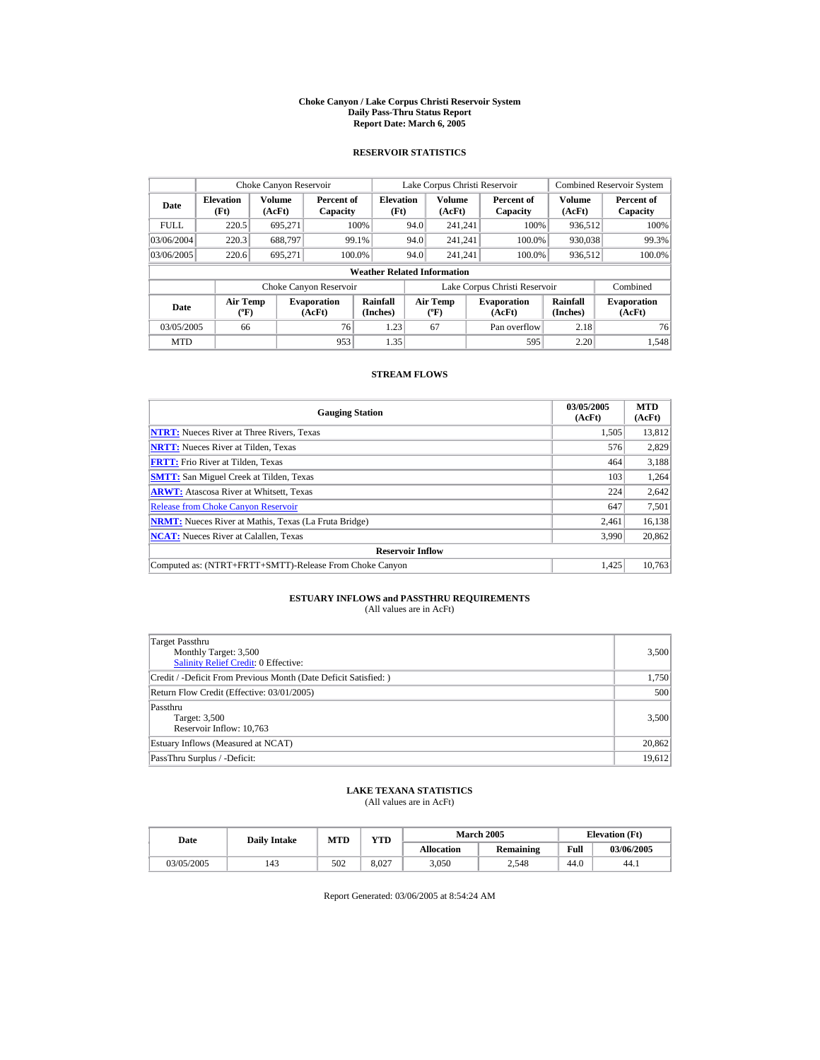#### **Choke Canyon / Lake Corpus Christi Reservoir System Daily Pass-Thru Status Report Report Date: March 6, 2005**

## **RESERVOIR STATISTICS**

|                                          | Choke Canyon Reservoir                              |                              |                        |                                    |                                  | Lake Corpus Christi Reservoir |                               |                              | <b>Combined Reservoir System</b> |
|------------------------------------------|-----------------------------------------------------|------------------------------|------------------------|------------------------------------|----------------------------------|-------------------------------|-------------------------------|------------------------------|----------------------------------|
| Date                                     | <b>Volume</b><br><b>Elevation</b><br>(Ft)<br>(AcFt) |                              | Percent of<br>Capacity | <b>Elevation</b><br>(Ft)           |                                  | Volume<br>(AcFt)              | Percent of<br>Capacity        | Volume<br>(AcFt)             | Percent of<br>Capacity           |
| <b>FULL</b>                              | 220.5                                               | 695.271                      |                        | 100%                               | 94.0                             | 241.241                       | 100%                          | 936.512                      | 100%                             |
| 03/06/2004                               | 220.3                                               | 688.797                      |                        | 99.1%                              | 94.0                             | 241.241                       | 100.0%                        | 930,038                      | 99.3%                            |
| 03/06/2005                               | 220.6                                               | 695.271                      |                        | 100.0%                             | 94.0                             | 241.241                       | 100.0%                        | 936,512                      | 100.0%                           |
|                                          |                                                     |                              |                        | <b>Weather Related Information</b> |                                  |                               |                               |                              |                                  |
|                                          |                                                     |                              | Choke Canyon Reservoir |                                    |                                  |                               | Lake Corpus Christi Reservoir |                              | Combined                         |
| <b>Air Temp</b><br>Date<br>$(^{\circ}F)$ |                                                     | <b>Evaporation</b><br>(AcFt) | Rainfall<br>(Inches)   |                                    | <b>Air Temp</b><br>$(^{\circ}F)$ | <b>Evaporation</b><br>(AcFt)  | Rainfall<br>(Inches)          | <b>Evaporation</b><br>(AcFt) |                                  |
| 76<br>03/05/2005<br>66                   |                                                     |                              | 1.23                   |                                    | 67                               | Pan overflow                  | 2.18                          | 76                           |                                  |
| <b>MTD</b>                               |                                                     |                              | 953                    | 1.35                               |                                  |                               | 595                           | 2.20                         | 1.548                            |

## **STREAM FLOWS**

| <b>Gauging Station</b>                                       | 03/05/2005<br>(AcFt) | <b>MTD</b><br>(AcFt) |
|--------------------------------------------------------------|----------------------|----------------------|
| <b>NTRT:</b> Nueces River at Three Rivers, Texas             | 1.505                | 13,812               |
| <b>NRTT:</b> Nueces River at Tilden, Texas                   | 576                  | 2,829                |
| <b>FRTT:</b> Frio River at Tilden, Texas                     | 464                  | 3,188                |
| <b>SMTT:</b> San Miguel Creek at Tilden, Texas               | 103                  | 1,264                |
| <b>ARWT:</b> Atascosa River at Whitsett, Texas               | 224                  | 2,642                |
| <b>Release from Choke Canvon Reservoir</b>                   | 647                  | 7,501                |
| <b>NRMT:</b> Nueces River at Mathis, Texas (La Fruta Bridge) | 2,461                | 16,138               |
| <b>NCAT:</b> Nueces River at Calallen, Texas                 | 3,990                | 20,862               |
| <b>Reservoir Inflow</b>                                      |                      |                      |
| Computed as: (NTRT+FRTT+SMTT)-Release From Choke Canyon      | 1.425                | 10.763               |

# **ESTUARY INFLOWS and PASSTHRU REQUIREMENTS**<br>(All values are in AcFt)

| Target Passthru<br>Monthly Target: 3,500<br>Salinity Relief Credit: 0 Effective: | 3,500  |
|----------------------------------------------------------------------------------|--------|
| Credit / -Deficit From Previous Month (Date Deficit Satisfied: )                 | 1,750  |
| Return Flow Credit (Effective: 03/01/2005)                                       | 500    |
| Passthru<br>Target: 3,500<br>Reservoir Inflow: 10,763                            | 3,500  |
| Estuary Inflows (Measured at NCAT)                                               | 20,862 |
| PassThru Surplus / -Deficit:                                                     | 19,612 |

## **LAKE TEXANA STATISTICS**

(All values are in AcFt)

| Date       | <b>Daily Intake</b> | <b>MTD</b> | YTD   |                   | <b>March 2005</b> | <b>Elevation</b> (Ft) |            |
|------------|---------------------|------------|-------|-------------------|-------------------|-----------------------|------------|
|            |                     |            |       | <b>Allocation</b> | Remaining         | Full                  | 03/06/2005 |
| 03/05/2005 | 143                 | 502        | 8.027 | 3,050             | 2.548             | 44.0                  | 44.1       |

Report Generated: 03/06/2005 at 8:54:24 AM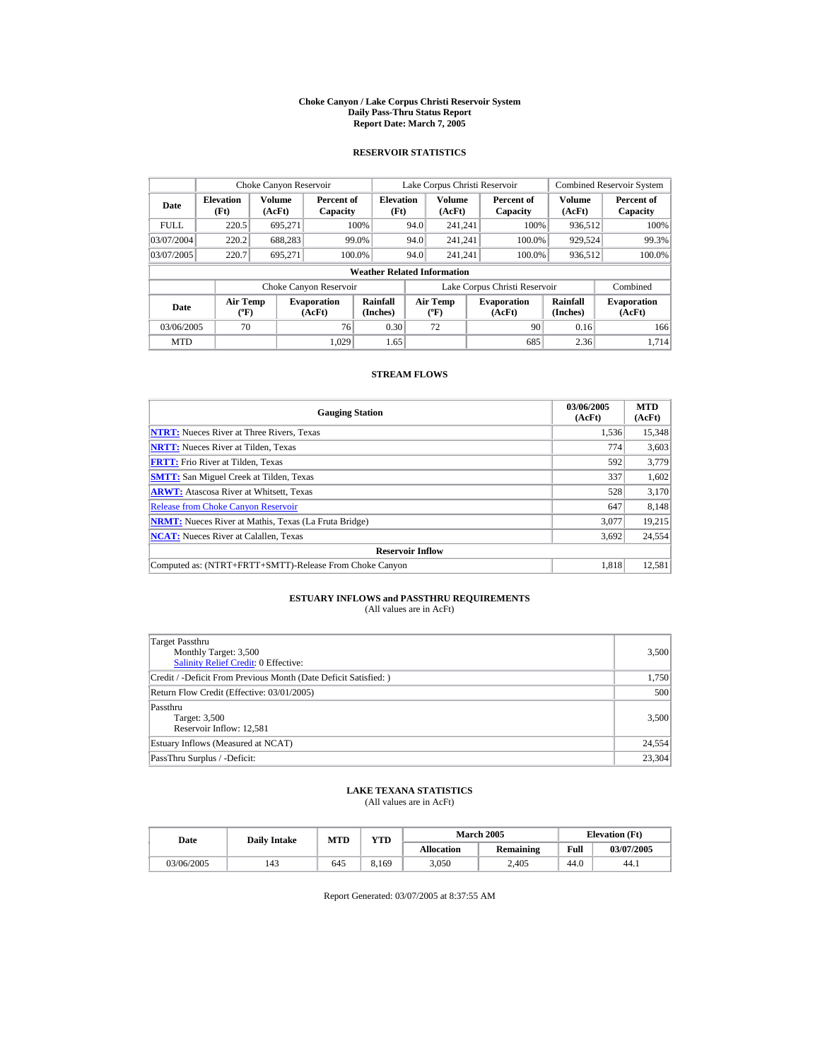#### **Choke Canyon / Lake Corpus Christi Reservoir System Daily Pass-Thru Status Report Report Date: March 7, 2005**

## **RESERVOIR STATISTICS**

|                                                             | Choke Canyon Reservoir                      |         |                              |                          |      | Lake Corpus Christi Reservoir     |  |                               |                      | <b>Combined Reservoir System</b> |  |  |
|-------------------------------------------------------------|---------------------------------------------|---------|------------------------------|--------------------------|------|-----------------------------------|--|-------------------------------|----------------------|----------------------------------|--|--|
| <b>Volume</b><br><b>Elevation</b><br>Date<br>(Ft)<br>(AcFt) |                                             |         | Percent of<br>Capacity       | <b>Elevation</b><br>(Ft) |      | <b>Volume</b><br>(AcFt)           |  | Percent of<br>Capacity        | Volume<br>(AcFt)     | Percent of<br>Capacity           |  |  |
| <b>FULL</b>                                                 | 220.5                                       | 695.271 |                              | 100%                     | 94.0 | 241.241                           |  | 100%                          | 936.512              | 100%                             |  |  |
| 03/07/2004                                                  | 220.2                                       | 688.283 |                              | 99.0%                    | 94.0 | 241.241                           |  | 100.0%                        | 929,524              | 99.3%                            |  |  |
| 03/07/2005                                                  | 220.7                                       | 695.271 | 100.0%                       |                          | 94.0 | 241.241                           |  | 100.0%                        | 936,512              | 100.0%                           |  |  |
|                                                             | <b>Weather Related Information</b>          |         |                              |                          |      |                                   |  |                               |                      |                                  |  |  |
|                                                             |                                             |         | Choke Canyon Reservoir       |                          |      |                                   |  | Lake Corpus Christi Reservoir |                      | Combined                         |  |  |
| Date                                                        | <b>Air Temp</b><br>$({}^{\circ}\mathrm{F})$ |         | <b>Evaporation</b><br>(AcFt) | Rainfall<br>(Inches)     |      | Air Temp<br>$({}^{\circ}{\rm F})$ |  | <b>Evaporation</b><br>(AcFt)  | Rainfall<br>(Inches) | <b>Evaporation</b><br>(AcFt)     |  |  |
| 03/06/2005                                                  | 70                                          |         | 76                           | 0.30                     |      | 72                                |  | 90                            | 0.16                 | 166                              |  |  |
| <b>MTD</b>                                                  |                                             |         | 1.029                        | 1.65                     |      |                                   |  | 685                           | 2.36                 | 1.714                            |  |  |

## **STREAM FLOWS**

| <b>Gauging Station</b>                                       | 03/06/2005<br>(AcFt) | <b>MTD</b><br>(AcFt) |
|--------------------------------------------------------------|----------------------|----------------------|
| <b>NTRT:</b> Nueces River at Three Rivers, Texas             | 1,536                | 15,348               |
| <b>NRTT:</b> Nueces River at Tilden, Texas                   | 774                  | 3,603                |
| <b>FRTT:</b> Frio River at Tilden, Texas                     | 592                  | 3,779                |
| <b>SMTT:</b> San Miguel Creek at Tilden, Texas               | 337                  | 1,602                |
| <b>ARWT:</b> Atascosa River at Whitsett, Texas               | 528                  | 3,170                |
| <b>Release from Choke Canvon Reservoir</b>                   | 647                  | 8.148                |
| <b>NRMT:</b> Nueces River at Mathis, Texas (La Fruta Bridge) | 3,077                | 19,215               |
| <b>NCAT:</b> Nueces River at Calallen, Texas                 | 3,692                | 24,554               |
| <b>Reservoir Inflow</b>                                      |                      |                      |
| Computed as: (NTRT+FRTT+SMTT)-Release From Choke Canyon      | 1.818                | 12.581               |

# **ESTUARY INFLOWS and PASSTHRU REQUIREMENTS**<br>(All values are in AcFt)

| <b>Target Passthru</b><br>Monthly Target: 3,500<br><b>Salinity Relief Credit: 0 Effective:</b> | 3,500  |
|------------------------------------------------------------------------------------------------|--------|
| Credit / -Deficit From Previous Month (Date Deficit Satisfied:)                                | 1,750  |
| Return Flow Credit (Effective: 03/01/2005)                                                     | 500    |
| Passthru<br>Target: 3,500<br>Reservoir Inflow: 12,581                                          | 3,500  |
| Estuary Inflows (Measured at NCAT)                                                             | 24,554 |
| PassThru Surplus / -Deficit:                                                                   | 23,304 |

## **LAKE TEXANA STATISTICS**

(All values are in AcFt)

| Date       |     | VTD<br>MTD<br><b>Daily Intake</b> |       |                   | <b>March 2005</b> | <b>Elevation</b> (Ft) |            |
|------------|-----|-----------------------------------|-------|-------------------|-------------------|-----------------------|------------|
|            |     |                                   |       | <b>Allocation</b> | <b>Remaining</b>  | Full                  | 03/07/2005 |
| 03/06/2005 | 143 | 645                               | 8.169 | 3,050             | 2.405             | 44.0                  | 44.1       |

Report Generated: 03/07/2005 at 8:37:55 AM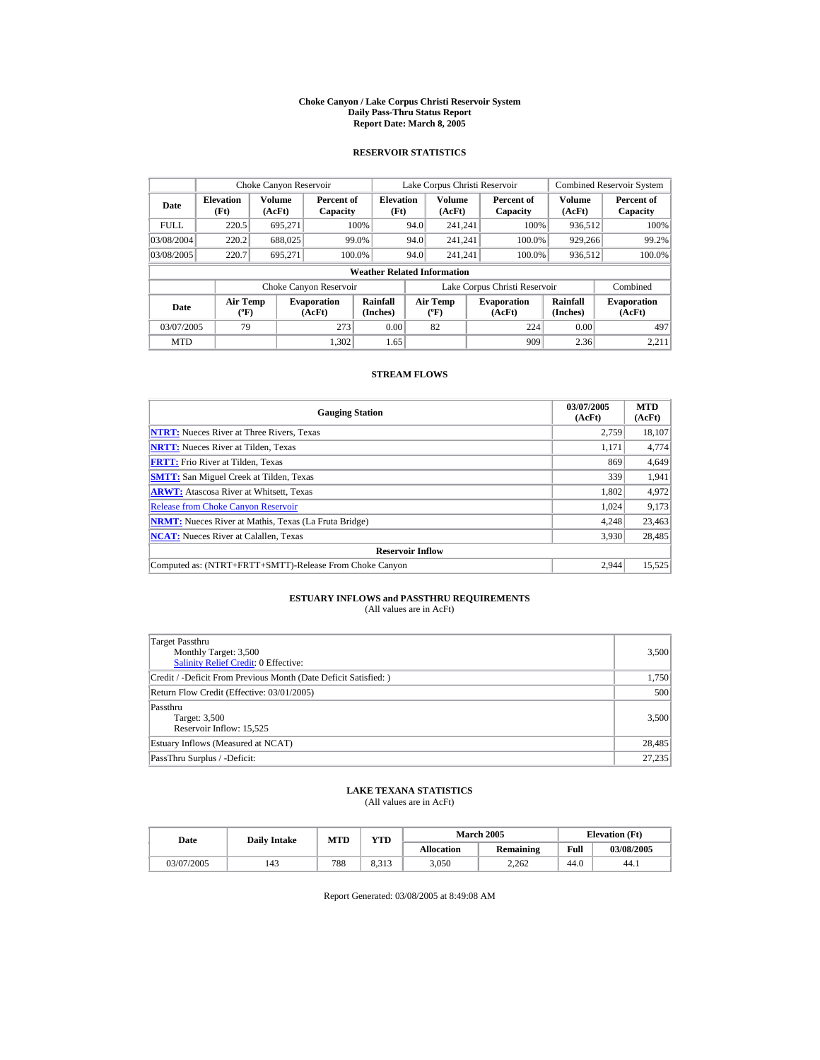#### **Choke Canyon / Lake Corpus Christi Reservoir System Daily Pass-Thru Status Report Report Date: March 8, 2005**

## **RESERVOIR STATISTICS**

|             | Choke Canyon Reservoir                      |                  |                              |                          |      | Lake Corpus Christi Reservoir            |  |                               |                         | <b>Combined Reservoir System</b> |  |  |
|-------------|---------------------------------------------|------------------|------------------------------|--------------------------|------|------------------------------------------|--|-------------------------------|-------------------------|----------------------------------|--|--|
| Date        | <b>Elevation</b><br>(Ft)                    | Volume<br>(AcFt) | Percent of<br>Capacity       | <b>Elevation</b><br>(Ft) |      | <b>Volume</b><br>(AcFt)                  |  | Percent of<br>Capacity        | <b>Volume</b><br>(AcFt) | Percent of<br>Capacity           |  |  |
| <b>FULL</b> | 220.5                                       | 695.271          |                              | 100%                     | 94.0 | 241.241                                  |  | 100%                          | 936.512                 | 100%                             |  |  |
| 03/08/2004  | 220.2                                       | 688,025          |                              | 99.0%                    | 94.0 | 241.241                                  |  | 100.0%                        | 929,266                 | 99.2%                            |  |  |
| 03/08/2005  | 220.7                                       | 695.271          | 100.0%                       |                          | 94.0 | 241.241                                  |  | 100.0%                        | 936,512                 | 100.0%                           |  |  |
|             | <b>Weather Related Information</b>          |                  |                              |                          |      |                                          |  |                               |                         |                                  |  |  |
|             |                                             |                  | Choke Canyon Reservoir       |                          |      |                                          |  | Lake Corpus Christi Reservoir |                         | Combined                         |  |  |
| Date        | <b>Air Temp</b><br>$({}^{\circ}\mathrm{F})$ |                  | <b>Evaporation</b><br>(AcFt) | Rainfall<br>(Inches)     |      | <b>Air Temp</b><br>$({}^{\circ}{\rm F})$ |  | <b>Evaporation</b><br>(AcFt)  | Rainfall<br>(Inches)    | <b>Evaporation</b><br>(AcFt)     |  |  |
| 03/07/2005  | 79                                          |                  | 273                          | 0.00                     |      | 82                                       |  | 224                           | 0.00                    | 497                              |  |  |
| <b>MTD</b>  |                                             |                  | 1.302                        | 1.65                     |      |                                          |  | 909                           | 2.36                    | 2.211                            |  |  |

## **STREAM FLOWS**

| <b>Gauging Station</b>                                       | 03/07/2005<br>(AcFt) | <b>MTD</b><br>(AcFt) |
|--------------------------------------------------------------|----------------------|----------------------|
| <b>NTRT:</b> Nueces River at Three Rivers, Texas             | 2.759                | 18,107               |
| <b>NRTT:</b> Nueces River at Tilden, Texas                   | 1.171                | 4,774                |
| <b>FRTT:</b> Frio River at Tilden, Texas                     | 869                  | 4,649                |
| <b>SMTT:</b> San Miguel Creek at Tilden, Texas               | 339                  | 1,941                |
| <b>ARWT:</b> Atascosa River at Whitsett, Texas               | 1,802                | 4,972                |
| <b>Release from Choke Canyon Reservoir</b>                   | 1.024                | 9,173                |
| <b>NRMT:</b> Nueces River at Mathis, Texas (La Fruta Bridge) | 4.248                | 23,463               |
| <b>NCAT:</b> Nueces River at Calallen, Texas                 | 3,930                | 28,485               |
| <b>Reservoir Inflow</b>                                      |                      |                      |
| Computed as: (NTRT+FRTT+SMTT)-Release From Choke Canyon      | 2.944                | 15,525               |

# **ESTUARY INFLOWS and PASSTHRU REQUIREMENTS**<br>(All values are in AcFt)

| Target Passthru<br>Monthly Target: 3,500<br>Salinity Relief Credit: 0 Effective: | 3,500  |
|----------------------------------------------------------------------------------|--------|
| Credit / -Deficit From Previous Month (Date Deficit Satisfied:)                  | 1,750  |
| Return Flow Credit (Effective: 03/01/2005)                                       | 500    |
| Passthru<br>Target: 3,500<br>Reservoir Inflow: 15,525                            | 3,500  |
| Estuary Inflows (Measured at NCAT)                                               | 28,485 |
| PassThru Surplus / -Deficit:                                                     | 27,235 |

## **LAKE TEXANA STATISTICS**

(All values are in AcFt)

| Date       | <b>Daily Intake</b> | MTD | VTD            |                   | <b>March 2005</b> |      | <b>Elevation</b> (Ft) |
|------------|---------------------|-----|----------------|-------------------|-------------------|------|-----------------------|
|            |                     |     |                | <b>Allocation</b> | <b>Remaining</b>  | Full | 03/08/2005            |
| 03/07/2005 | 143                 | 788 | 0.212<br>8.313 | 3,050             | 2.262             | 44.0 | 44.1                  |

Report Generated: 03/08/2005 at 8:49:08 AM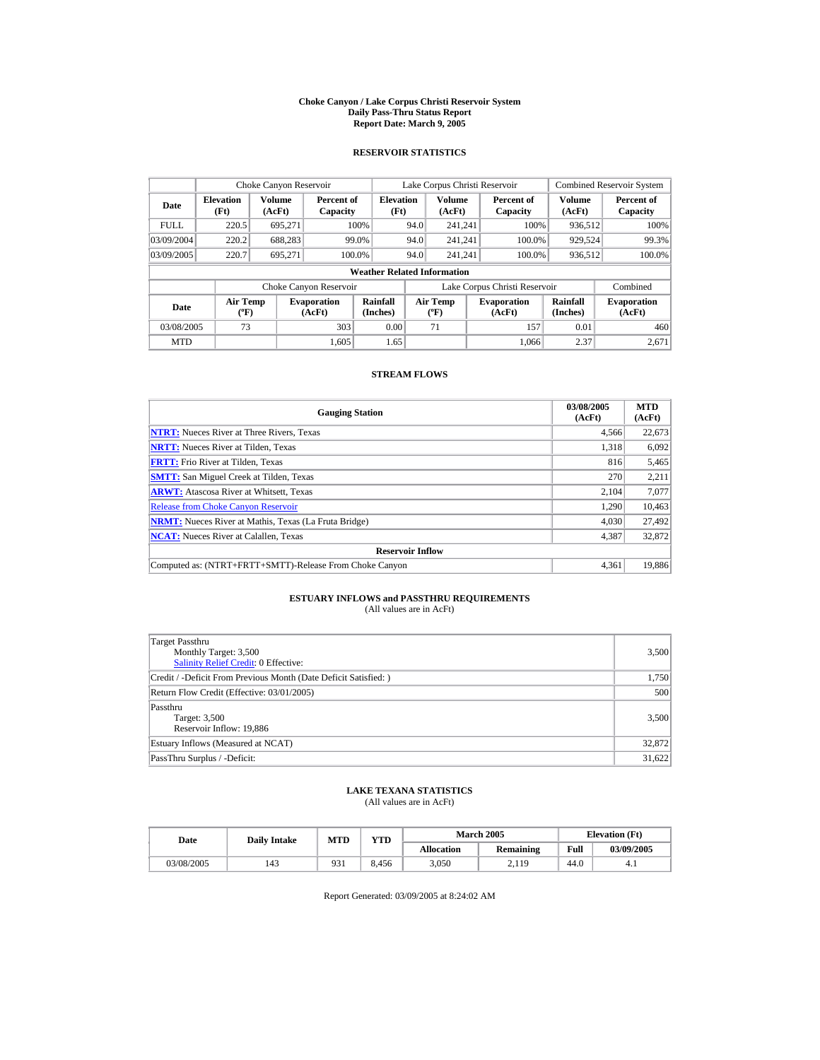#### **Choke Canyon / Lake Corpus Christi Reservoir System Daily Pass-Thru Status Report Report Date: March 9, 2005**

## **RESERVOIR STATISTICS**

|             | Choke Canyon Reservoir                      |                         |                              |                          |      | Lake Corpus Christi Reservoir            |  |                               |                      | <b>Combined Reservoir System</b> |  |  |  |
|-------------|---------------------------------------------|-------------------------|------------------------------|--------------------------|------|------------------------------------------|--|-------------------------------|----------------------|----------------------------------|--|--|--|
| Date        | <b>Elevation</b><br>(Ft)                    | <b>Volume</b><br>(AcFt) | Percent of<br>Capacity       | <b>Elevation</b><br>(Ft) |      | <b>Volume</b><br>(AcFt)                  |  | Percent of<br>Capacity        | Volume<br>(AcFt)     | Percent of<br>Capacity           |  |  |  |
| <b>FULL</b> | 220.5                                       | 695.271                 |                              | 100%                     | 94.0 | 241.241                                  |  | 100%                          | 936.512              | 100%                             |  |  |  |
| 03/09/2004  | 220.2                                       | 688.283                 |                              | 99.0%                    | 94.0 | 241.241                                  |  | 100.0%                        | 929,524              | 99.3%                            |  |  |  |
| 03/09/2005  | 220.7                                       | 695.271                 |                              | 100.0%                   | 94.0 | 241.241                                  |  | 100.0%                        | 936,512              | 100.0%                           |  |  |  |
|             | <b>Weather Related Information</b>          |                         |                              |                          |      |                                          |  |                               |                      |                                  |  |  |  |
|             |                                             |                         | Choke Canyon Reservoir       |                          |      |                                          |  | Lake Corpus Christi Reservoir |                      | Combined                         |  |  |  |
| Date        | <b>Air Temp</b><br>$({}^{\circ}\mathrm{F})$ |                         | <b>Evaporation</b><br>(AcFt) | Rainfall<br>(Inches)     |      | <b>Air Temp</b><br>$({}^{\circ}{\rm F})$ |  | <b>Evaporation</b><br>(AcFt)  | Rainfall<br>(Inches) | <b>Evaporation</b><br>(AcFt)     |  |  |  |
| 03/08/2005  | 73                                          |                         | 303                          | 0.00                     |      | 71                                       |  | 157                           | 0.01                 | 460                              |  |  |  |
| <b>MTD</b>  |                                             |                         | 1.605                        | 1.65                     |      |                                          |  | 1.066                         | 2.37                 | 2.671                            |  |  |  |

## **STREAM FLOWS**

| <b>Gauging Station</b>                                       | 03/08/2005<br>(AcFt) | <b>MTD</b><br>(AcFt) |
|--------------------------------------------------------------|----------------------|----------------------|
| <b>NTRT:</b> Nueces River at Three Rivers, Texas             | 4,566                | 22,673               |
| <b>NRTT:</b> Nueces River at Tilden, Texas                   | 1.318                | 6,092                |
| <b>FRTT:</b> Frio River at Tilden, Texas                     | 816                  | 5,465                |
| <b>SMTT:</b> San Miguel Creek at Tilden, Texas               | 270                  | 2,211                |
| <b>ARWT:</b> Atascosa River at Whitsett, Texas               | 2.104                | 7,077                |
| <b>Release from Choke Canyon Reservoir</b>                   | 1,290                | 10,463               |
| <b>NRMT:</b> Nueces River at Mathis, Texas (La Fruta Bridge) | 4.030                | 27,492               |
| <b>NCAT:</b> Nueces River at Calallen, Texas                 | 4,387                | 32,872               |
| <b>Reservoir Inflow</b>                                      |                      |                      |
| Computed as: (NTRT+FRTT+SMTT)-Release From Choke Canyon      | 4.361                | 19,886               |

# **ESTUARY INFLOWS and PASSTHRU REQUIREMENTS**<br>(All values are in AcFt)

| Target Passthru<br>Monthly Target: 3,500<br><b>Salinity Relief Credit: 0 Effective:</b> | 3,500  |
|-----------------------------------------------------------------------------------------|--------|
| Credit / -Deficit From Previous Month (Date Deficit Satisfied:)                         | 1,750  |
| Return Flow Credit (Effective: 03/01/2005)                                              | 500    |
| Passthru<br>Target: 3,500<br>Reservoir Inflow: 19,886                                   | 3,500  |
| Estuary Inflows (Measured at NCAT)                                                      | 32,872 |
| PassThru Surplus / -Deficit:                                                            | 31,622 |

## **LAKE TEXANA STATISTICS**

(All values are in AcFt)

| Date       |     | <b>VTD</b><br><b>MTD</b><br><b>Daily Intake</b> |       | <b>March 2005</b> | <b>Elevation</b> (Ft) |      |            |
|------------|-----|-------------------------------------------------|-------|-------------------|-----------------------|------|------------|
|            |     |                                                 |       | <b>Allocation</b> | Remaining             | Full | 03/09/2005 |
| 03/08/2005 | 143 | 931                                             | 8.456 | 3,050             | 2.119                 | 44.U | 4.1        |

Report Generated: 03/09/2005 at 8:24:02 AM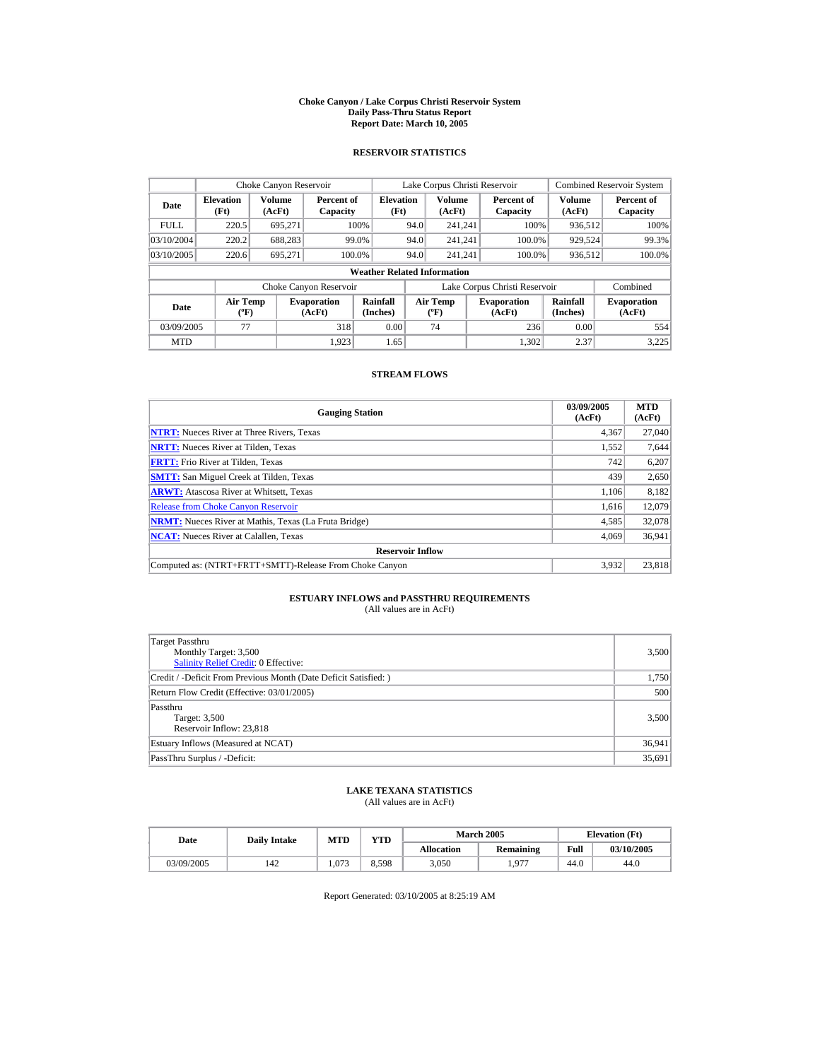#### **Choke Canyon / Lake Corpus Christi Reservoir System Daily Pass-Thru Status Report Report Date: March 10, 2005**

## **RESERVOIR STATISTICS**

| Choke Canyon Reservoir                                                                                      |                          |                  |                        |                                    |      | Lake Corpus Christi Reservoir            |                               |                      | <b>Combined Reservoir System</b> |
|-------------------------------------------------------------------------------------------------------------|--------------------------|------------------|------------------------|------------------------------------|------|------------------------------------------|-------------------------------|----------------------|----------------------------------|
| Date                                                                                                        | <b>Elevation</b><br>(Ft) | Volume<br>(AcFt) | Percent of<br>Capacity | <b>Elevation</b><br>(Ft)           |      | <b>Volume</b><br>(AcFt)                  | Percent of<br>Capacity        | Volume<br>(AcFt)     | Percent of<br>Capacity           |
| <b>FULL</b>                                                                                                 | 220.5                    | 695.271          |                        | 100%                               | 94.0 | 241.241                                  | 100%                          | 936.512              | 100%                             |
| 03/10/2004                                                                                                  | 220.2                    | 688.283          |                        | 99.0%                              | 94.0 | 241.241                                  | 100.0%                        | 929,524              | 99.3%                            |
| 03/10/2005                                                                                                  | 220.6                    | 695.271          |                        | 100.0%                             | 94.0 | 241.241                                  | 100.0%                        | 936,512              | 100.0%                           |
|                                                                                                             |                          |                  |                        | <b>Weather Related Information</b> |      |                                          |                               |                      |                                  |
|                                                                                                             |                          |                  | Choke Canyon Reservoir |                                    |      |                                          | Lake Corpus Christi Reservoir |                      | Combined                         |
| Rainfall<br><b>Air Temp</b><br><b>Evaporation</b><br>Date<br>(Inches)<br>(AcFt)<br>$({}^{\circ}\mathrm{F})$ |                          |                  |                        |                                    |      | <b>Air Temp</b><br>$({}^{\circ}{\rm F})$ | <b>Evaporation</b><br>(AcFt)  | Rainfall<br>(Inches) | <b>Evaporation</b><br>(AcFt)     |
| 03/09/2005                                                                                                  | 77                       |                  | 318                    | 0.00                               |      | 74                                       | 236                           | 0.00                 | 554                              |
| <b>MTD</b>                                                                                                  |                          |                  | 1.923                  | 1.65                               |      |                                          | 1.302                         | 2.37                 | 3.225                            |

## **STREAM FLOWS**

| <b>Gauging Station</b>                                       | 03/09/2005<br>(AcFt) | <b>MTD</b><br>(AcFt) |
|--------------------------------------------------------------|----------------------|----------------------|
| <b>NTRT:</b> Nueces River at Three Rivers, Texas             | 4,367                | 27,040               |
| <b>NRTT:</b> Nueces River at Tilden, Texas                   | 1,552                | 7,644                |
| <b>FRTT:</b> Frio River at Tilden, Texas                     | 742                  | 6,207                |
| <b>SMTT:</b> San Miguel Creek at Tilden, Texas               | 439                  | 2,650                |
| <b>ARWT:</b> Atascosa River at Whitsett, Texas               | 1.106                | 8,182                |
| <b>Release from Choke Canyon Reservoir</b>                   | 1.616                | 12,079               |
| <b>NRMT:</b> Nueces River at Mathis, Texas (La Fruta Bridge) | 4.585                | 32,078               |
| <b>NCAT:</b> Nueces River at Calallen, Texas                 | 4,069                | 36,941               |
| <b>Reservoir Inflow</b>                                      |                      |                      |
| Computed as: (NTRT+FRTT+SMTT)-Release From Choke Canyon      | 3.932                | 23,818               |

# **ESTUARY INFLOWS and PASSTHRU REQUIREMENTS**<br>(All values are in AcFt)

| Target Passthru<br>Monthly Target: 3,500<br><b>Salinity Relief Credit: 0 Effective:</b> | 3,500  |
|-----------------------------------------------------------------------------------------|--------|
| Credit / -Deficit From Previous Month (Date Deficit Satisfied:)                         | 1,750  |
| Return Flow Credit (Effective: 03/01/2005)                                              | 500    |
| Passthru<br>Target: 3,500<br>Reservoir Inflow: 23,818                                   | 3,500  |
| Estuary Inflows (Measured at NCAT)                                                      | 36,941 |
| PassThru Surplus / -Deficit:                                                            | 35,691 |

## **LAKE TEXANA STATISTICS**

(All values are in AcFt)

| Date       |     | YTD<br><b>MTD</b><br><b>Daily Intake</b> |       |                   | <b>March 2005</b> | <b>Elevation</b> (Ft) |            |
|------------|-----|------------------------------------------|-------|-------------------|-------------------|-----------------------|------------|
|            |     |                                          |       | <b>Allocation</b> | Remaining         | Full                  | 03/10/2005 |
| 03/09/2005 | 142 | 1.073                                    | 8.598 | 3,050             | $197^{\circ}$     | 44.0                  | 44.0       |

Report Generated: 03/10/2005 at 8:25:19 AM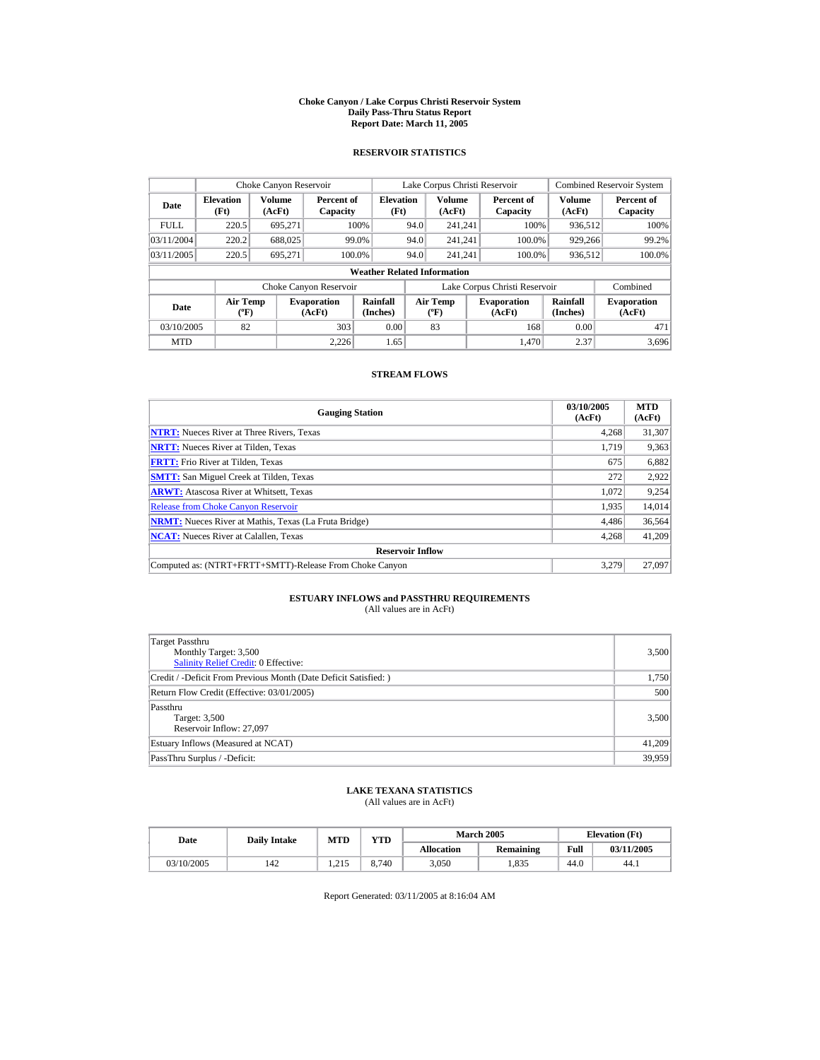#### **Choke Canyon / Lake Corpus Christi Reservoir System Daily Pass-Thru Status Report Report Date: March 11, 2005**

## **RESERVOIR STATISTICS**

| Choke Canyon Reservoir |                                    |                  |                              |                                    |      | Lake Corpus Christi Reservoir                    |                               |                         | <b>Combined Reservoir System</b> |
|------------------------|------------------------------------|------------------|------------------------------|------------------------------------|------|--------------------------------------------------|-------------------------------|-------------------------|----------------------------------|
| Date                   | <b>Elevation</b><br>(Ft)           | Volume<br>(AcFt) | Percent of<br>Capacity       | <b>Elevation</b><br>(Ft)           |      | <b>Volume</b><br>(AcFt)                          | Percent of<br>Capacity        | <b>Volume</b><br>(AcFt) | Percent of<br>Capacity           |
| <b>FULL</b>            | 220.5                              | 695.271          |                              | 100%                               | 94.0 | 241.241                                          | 100%                          | 936.512                 | 100%                             |
| 03/11/2004             | 220.2                              | 688,025          |                              | 99.0%                              | 94.0 | 241.241                                          | 100.0%                        | 929,266                 | 99.2%                            |
| 03/11/2005             | 220.5                              | 695.271          | 100.0%                       |                                    | 94.0 | 241.241                                          | 100.0%                        | 936,512                 | $100.0\%$                        |
|                        |                                    |                  |                              | <b>Weather Related Information</b> |      |                                                  |                               |                         |                                  |
|                        |                                    |                  | Choke Canyon Reservoir       |                                    |      |                                                  | Lake Corpus Christi Reservoir |                         | Combined                         |
| Date                   | <b>Air Temp</b><br>$({}^{\circ}F)$ |                  | <b>Evaporation</b><br>(AcFt) | Rainfall<br>(Inches)               |      | <b>Air Temp</b><br>$({}^{\mathrm{o}}\mathrm{F})$ | <b>Evaporation</b><br>(AcFt)  | Rainfall<br>(Inches)    | <b>Evaporation</b><br>(AcFt)     |
| 03/10/2005             | 82                                 |                  | 303                          | 0.00                               |      | 83                                               | 168                           | 0.00                    | 471                              |
| <b>MTD</b>             |                                    |                  | 2.226                        | 1.65                               |      |                                                  | 1.470                         | 2.37                    | 3.696                            |

## **STREAM FLOWS**

| <b>Gauging Station</b>                                       | 03/10/2005<br>(AcFt) | <b>MTD</b><br>(AcFt) |
|--------------------------------------------------------------|----------------------|----------------------|
| <b>NTRT:</b> Nueces River at Three Rivers, Texas             | 4,268                | 31,307               |
| <b>NRTT:</b> Nueces River at Tilden, Texas                   | 1.719                | 9,363                |
| <b>FRTT:</b> Frio River at Tilden, Texas                     | 675                  | 6,882                |
| <b>SMTT:</b> San Miguel Creek at Tilden, Texas               | 272                  | 2,922                |
| <b>ARWT:</b> Atascosa River at Whitsett, Texas               | 1.072                | 9,254                |
| <b>Release from Choke Canyon Reservoir</b>                   | 1,935                | 14,014               |
| <b>NRMT:</b> Nueces River at Mathis, Texas (La Fruta Bridge) | 4.486                | 36,564               |
| <b>NCAT:</b> Nueces River at Calallen, Texas                 | 4,268                | 41,209               |
| <b>Reservoir Inflow</b>                                      |                      |                      |
| Computed as: (NTRT+FRTT+SMTT)-Release From Choke Canyon      | 3.279                | 27.097               |

# **ESTUARY INFLOWS and PASSTHRU REQUIREMENTS**<br>(All values are in AcFt)

| <b>Target Passthru</b><br>Monthly Target: 3,500<br><b>Salinity Relief Credit: 0 Effective:</b> | 3,500  |
|------------------------------------------------------------------------------------------------|--------|
| Credit / -Deficit From Previous Month (Date Deficit Satisfied:)                                | 1,750  |
| Return Flow Credit (Effective: 03/01/2005)                                                     | 500    |
| Passthru<br>Target: 3,500<br>Reservoir Inflow: 27,097                                          | 3,500  |
| Estuary Inflows (Measured at NCAT)                                                             | 41,209 |
| PassThru Surplus / -Deficit:                                                                   | 39,959 |

## **LAKE TEXANA STATISTICS**

(All values are in AcFt)

| Date       | <b>Daily Intake</b> | <b>MTD</b> | <b>VTD</b> |                   | <b>March 2005</b> | <b>Elevation</b> (Ft) |            |  |
|------------|---------------------|------------|------------|-------------------|-------------------|-----------------------|------------|--|
|            |                     |            |            | <b>Allocation</b> | Remaining         | Full                  | 03/11/2005 |  |
| 03/10/2005 | 142                 | 1.215      | 8.740      | 3,050             | .,835             | 44.0                  | 44.1       |  |

Report Generated: 03/11/2005 at 8:16:04 AM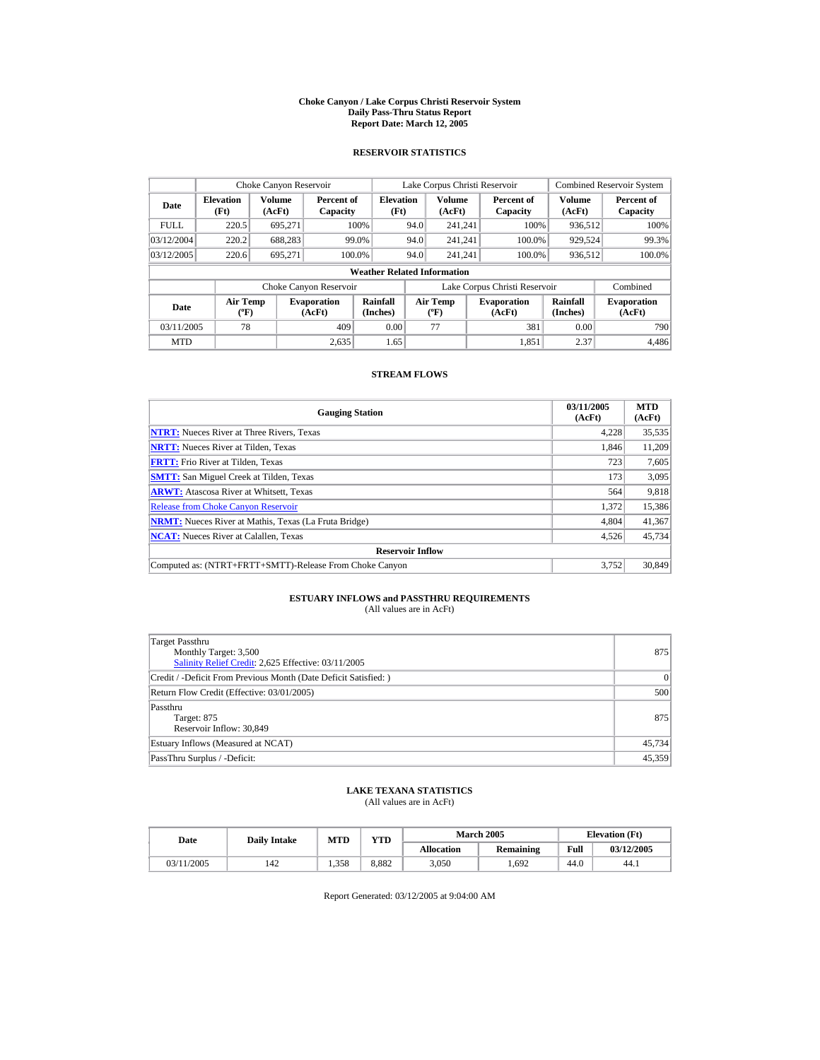#### **Choke Canyon / Lake Corpus Christi Reservoir System Daily Pass-Thru Status Report Report Date: March 12, 2005**

## **RESERVOIR STATISTICS**

| Choke Canyon Reservoir                                                              |                                              |         |                        |                                    |      | Lake Corpus Christi Reservoir             |                               |                             | <b>Combined Reservoir System</b> |
|-------------------------------------------------------------------------------------|----------------------------------------------|---------|------------------------|------------------------------------|------|-------------------------------------------|-------------------------------|-----------------------------|----------------------------------|
| Date                                                                                | Volume<br><b>Elevation</b><br>(Ft)<br>(AcFt) |         | Percent of<br>Capacity | <b>Elevation</b><br>(Ft)           |      | <b>Volume</b><br>(AcFt)                   | Percent of<br>Capacity        | Volume<br>(AcFt)            | Percent of<br>Capacity           |
| <b>FULL</b>                                                                         | 220.5                                        | 695.271 |                        | 100%                               | 94.0 | 241.241                                   | 100%                          | 936.512                     | 100%                             |
| 03/12/2004                                                                          | 220.2                                        | 688.283 |                        | 99.0%                              | 94.0 | 241.241                                   | 100.0%                        | 929,524                     | 99.3%                            |
| 03/12/2005                                                                          | 220.6                                        | 695.271 | 100.0%                 |                                    | 94.0 | 241.241                                   | 100.0%                        | 936,512                     | 100.0%                           |
|                                                                                     |                                              |         |                        | <b>Weather Related Information</b> |      |                                           |                               |                             |                                  |
|                                                                                     |                                              |         | Choke Canyon Reservoir |                                    |      |                                           | Lake Corpus Christi Reservoir |                             | Combined                         |
| <b>Air Temp</b><br><b>Evaporation</b><br>Date<br>$({}^{\circ}\mathrm{F})$<br>(AcFt) |                                              |         |                        | Rainfall<br>(Inches)               |      | <b>Air Temp</b><br>$({}^{\circ}\text{F})$ | <b>Evaporation</b><br>(AcFt)  | <b>Rainfall</b><br>(Inches) | <b>Evaporation</b><br>(AcFt)     |
| 03/11/2005                                                                          | 78                                           |         | 409                    | 0.00                               |      | 77                                        | 381                           | 0.00                        | 790                              |
| <b>MTD</b>                                                                          |                                              |         | 2.635                  | 1.65                               |      |                                           | 1.851                         | 2.37                        | 4.486                            |

## **STREAM FLOWS**

| <b>Gauging Station</b>                                       | 03/11/2005<br>(AcFt) | <b>MTD</b><br>(AcFt) |
|--------------------------------------------------------------|----------------------|----------------------|
| <b>NTRT:</b> Nueces River at Three Rivers, Texas             | 4,228                | 35,535               |
| <b>NRTT:</b> Nueces River at Tilden, Texas                   | 1.846                | 11,209               |
| <b>FRTT:</b> Frio River at Tilden, Texas                     | 723                  | 7,605                |
| <b>SMTT:</b> San Miguel Creek at Tilden, Texas               | 173                  | 3,095                |
| <b>ARWT:</b> Atascosa River at Whitsett, Texas               | 564                  | 9,818                |
| <b>Release from Choke Canyon Reservoir</b>                   | 1.372                | 15,386               |
| <b>NRMT:</b> Nueces River at Mathis, Texas (La Fruta Bridge) | 4.804                | 41,367               |
| <b>NCAT:</b> Nueces River at Calallen, Texas                 | 4,526                | 45,734               |
| <b>Reservoir Inflow</b>                                      |                      |                      |
| Computed as: (NTRT+FRTT+SMTT)-Release From Choke Canyon      | 3.752                | 30.849               |

# **ESTUARY INFLOWS and PASSTHRU REQUIREMENTS**<br>(All values are in AcFt)

| Target Passthru<br>Monthly Target: 3,500<br>Salinity Relief Credit: 2,625 Effective: 03/11/2005 | 875    |
|-------------------------------------------------------------------------------------------------|--------|
| Credit / -Deficit From Previous Month (Date Deficit Satisfied: )                                | 0      |
| Return Flow Credit (Effective: 03/01/2005)                                                      | 500    |
| Passthru<br>Target: 875<br>Reservoir Inflow: 30,849                                             | 875    |
| Estuary Inflows (Measured at NCAT)                                                              | 45,734 |
| PassThru Surplus / -Deficit:                                                                    | 45,359 |

## **LAKE TEXANA STATISTICS**

(All values are in AcFt)

| Date       |     | VTD<br><b>MTD</b><br><b>Daily Intake</b> |       |                   | <b>March 2005</b> | <b>Elevation</b> (Ft) |            |  |
|------------|-----|------------------------------------------|-------|-------------------|-------------------|-----------------------|------------|--|
|            |     |                                          |       | <b>Allocation</b> | Remaining         | Full                  | 03/12/2005 |  |
| 03/11/2005 | 142 | .358                                     | 8.882 | 3,050             | .692              | 44.0                  | 44.1       |  |

Report Generated: 03/12/2005 at 9:04:00 AM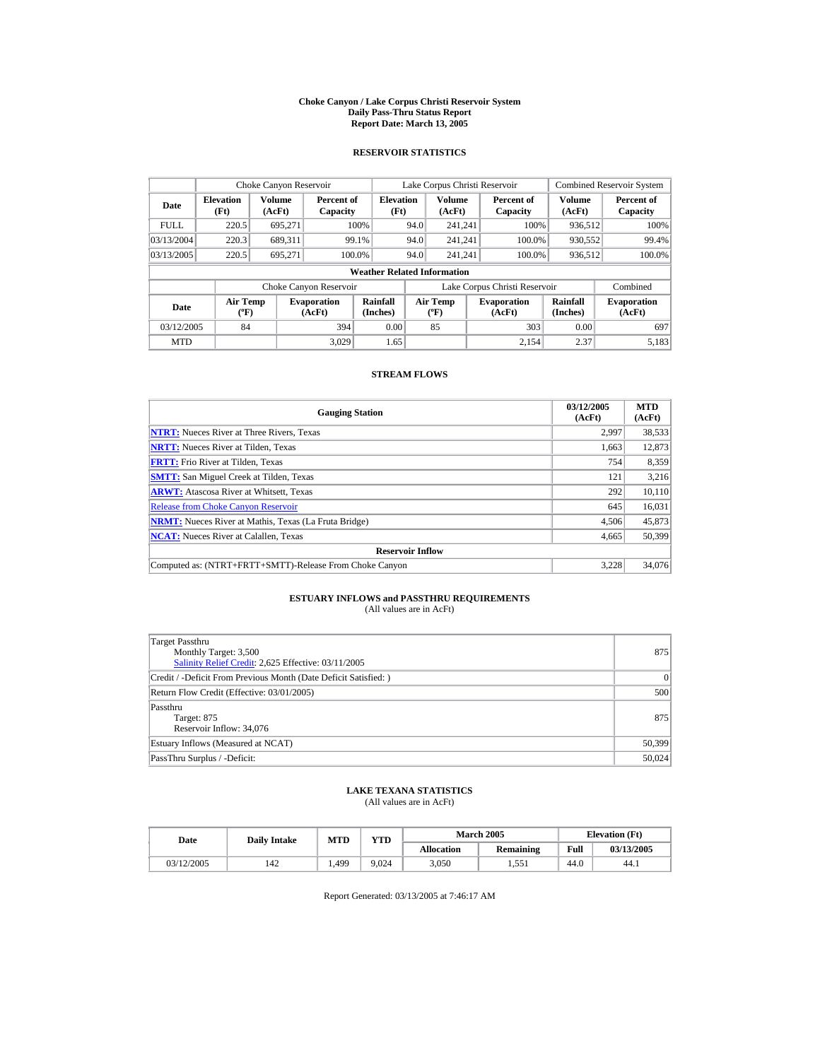#### **Choke Canyon / Lake Corpus Christi Reservoir System Daily Pass-Thru Status Report Report Date: March 13, 2005**

## **RESERVOIR STATISTICS**

|                                                     | Choke Canyon Reservoir   |                  |                              |                                    |      | Lake Corpus Christi Reservoir            |                               |                      | <b>Combined Reservoir System</b> |
|-----------------------------------------------------|--------------------------|------------------|------------------------------|------------------------------------|------|------------------------------------------|-------------------------------|----------------------|----------------------------------|
| Date                                                | <b>Elevation</b><br>(Ft) | Volume<br>(AcFt) | Percent of<br>Capacity       | <b>Elevation</b><br>(Ft)           |      | <b>Volume</b><br>(AcFt)                  | Percent of<br>Capacity        | Volume<br>(AcFt)     | Percent of<br>Capacity           |
| <b>FULL</b>                                         | 220.5                    | 695.271          |                              | 100%                               | 94.0 | 241.241                                  | 100%                          | 936.512              | 100%                             |
| 03/13/2004                                          | 220.3                    | 689.311          |                              | 99.1%                              | 94.0 | 241.241                                  | 100.0%                        | 930,552              | 99.4%                            |
| 03/13/2005                                          | 220.5                    | 695.271          |                              | 100.0%                             | 94.0 | 241.241                                  | 100.0%                        | 936,512              | 100.0%                           |
|                                                     |                          |                  |                              | <b>Weather Related Information</b> |      |                                          |                               |                      |                                  |
|                                                     |                          |                  | Choke Canyon Reservoir       |                                    |      |                                          | Lake Corpus Christi Reservoir |                      | Combined                         |
| <b>Air Temp</b><br>Date<br>$({}^{\circ}\mathrm{F})$ |                          |                  | <b>Evaporation</b><br>(AcFt) | Rainfall<br>(Inches)               |      | <b>Air Temp</b><br>$({}^{\circ}{\rm F})$ | <b>Evaporation</b><br>(AcFt)  | Rainfall<br>(Inches) | <b>Evaporation</b><br>(AcFt)     |
| 394<br>84<br>03/12/2005                             |                          | 0.00             |                              | 85                                 | 303  | 0.00                                     | 697                           |                      |                                  |
| <b>MTD</b>                                          |                          |                  | 3.029                        | 1.65                               |      |                                          | 2.154                         | 2.37                 | 5.183                            |

## **STREAM FLOWS**

| <b>Gauging Station</b>                                       | 03/12/2005<br>(AcFt) | <b>MTD</b><br>(AcFt) |
|--------------------------------------------------------------|----------------------|----------------------|
| <b>NTRT:</b> Nueces River at Three Rivers, Texas             | 2,997                | 38,533               |
| <b>NRTT:</b> Nueces River at Tilden, Texas                   | 1.663                | 12,873               |
| <b>FRTT:</b> Frio River at Tilden, Texas                     | 754                  | 8,359                |
| <b>SMTT:</b> San Miguel Creek at Tilden, Texas               | 121                  | 3,216                |
| <b>ARWT:</b> Atascosa River at Whitsett, Texas               | 292                  | 10,110               |
| <b>Release from Choke Canyon Reservoir</b>                   | 645                  | 16,031               |
| <b>NRMT:</b> Nueces River at Mathis, Texas (La Fruta Bridge) | 4.506                | 45,873               |
| <b>NCAT:</b> Nueces River at Calallen, Texas                 | 4,665                | 50,399               |
| <b>Reservoir Inflow</b>                                      |                      |                      |
| Computed as: (NTRT+FRTT+SMTT)-Release From Choke Canyon      | 3.228                | 34,076               |

# **ESTUARY INFLOWS and PASSTHRU REQUIREMENTS**<br>(All values are in AcFt)

| Target Passthru                                                  |          |
|------------------------------------------------------------------|----------|
| Monthly Target: 3,500                                            | 875      |
| Salinity Relief Credit: 2,625 Effective: 03/11/2005              |          |
| Credit / -Deficit From Previous Month (Date Deficit Satisfied: ) | $\Omega$ |
| Return Flow Credit (Effective: 03/01/2005)                       | 500      |
| Passthru                                                         |          |
| Target: 875                                                      | 875      |
| Reservoir Inflow: 34,076                                         |          |
| Estuary Inflows (Measured at NCAT)                               | 50,399   |
| PassThru Surplus / -Deficit:                                     | 50,024   |

## **LAKE TEXANA STATISTICS**

(All values are in AcFt)

| Date       |     | <b>VTD</b><br>MTD<br><b>Daily Intake</b> |       |                   | <b>March 2005</b> | <b>Elevation</b> (Ft) |            |
|------------|-----|------------------------------------------|-------|-------------------|-------------------|-----------------------|------------|
|            |     |                                          |       | <b>Allocation</b> | Remaining         | Full                  | 03/13/2005 |
| 03/12/2005 | 142 | .499                                     | 9.024 | 3,050             | 1.551             | 44.0                  | 44.1       |

Report Generated: 03/13/2005 at 7:46:17 AM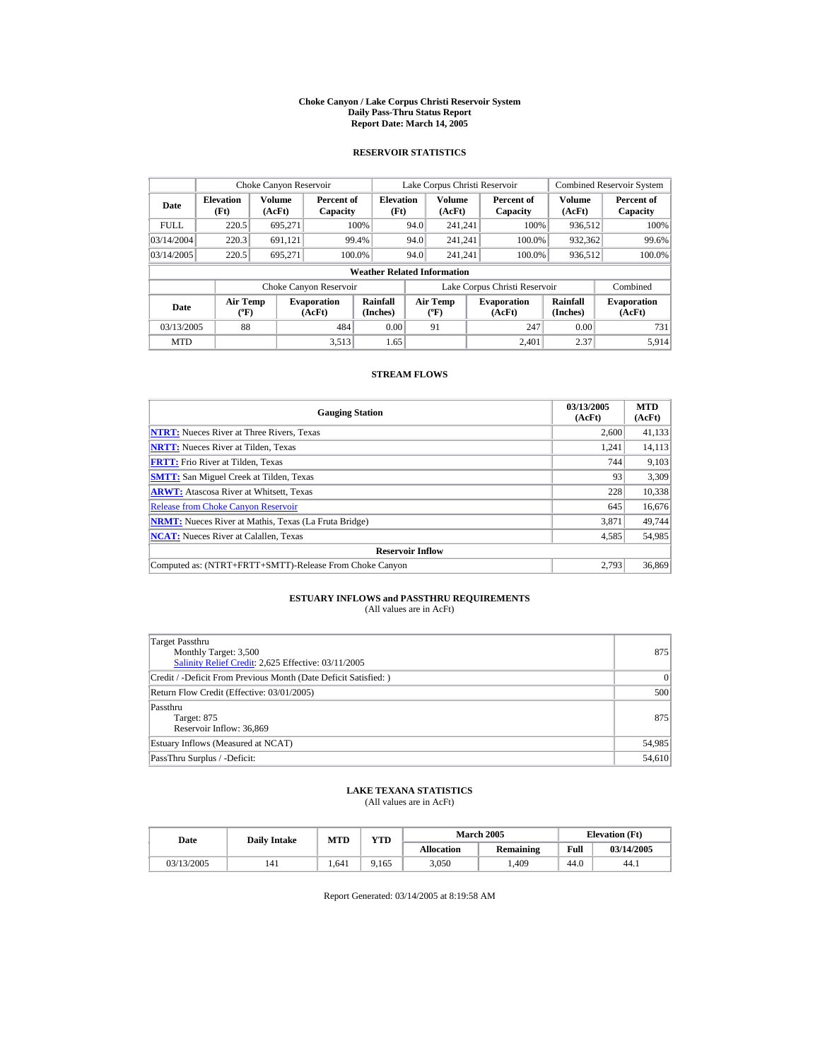#### **Choke Canyon / Lake Corpus Christi Reservoir System Daily Pass-Thru Status Report Report Date: March 14, 2005**

## **RESERVOIR STATISTICS**

|                                                     | Choke Canyon Reservoir   |                  |                              |                                    |      | Lake Corpus Christi Reservoir            |                               |                      | <b>Combined Reservoir System</b> |
|-----------------------------------------------------|--------------------------|------------------|------------------------------|------------------------------------|------|------------------------------------------|-------------------------------|----------------------|----------------------------------|
| Date                                                | <b>Elevation</b><br>(Ft) | Volume<br>(AcFt) | Percent of<br>Capacity       | <b>Elevation</b><br>(Ft)           |      | <b>Volume</b><br>(AcFt)                  | Percent of<br>Capacity        | Volume<br>(AcFt)     | Percent of<br>Capacity           |
| <b>FULL</b>                                         | 220.5                    | 695.271          |                              | 100%                               | 94.0 | 241.241                                  | 100%                          | 936.512              | 100%                             |
| 03/14/2004                                          | 220.3                    | 691.121          |                              | 99.4%                              | 94.0 | 241.241                                  | 100.0%                        | 932,362              | 99.6%                            |
| 03/14/2005                                          | 220.5                    | 695.271          |                              | 100.0%                             | 94.0 | 241.241                                  | 100.0%                        | 936,512              | 100.0%                           |
|                                                     |                          |                  |                              | <b>Weather Related Information</b> |      |                                          |                               |                      |                                  |
|                                                     |                          |                  | Choke Canyon Reservoir       |                                    |      |                                          | Lake Corpus Christi Reservoir |                      | Combined                         |
| <b>Air Temp</b><br>Date<br>$({}^{\circ}\mathrm{F})$ |                          |                  | <b>Evaporation</b><br>(AcFt) | <b>Rainfall</b><br>(Inches)        |      | <b>Air Temp</b><br>$({}^{\circ}{\rm F})$ | <b>Evaporation</b><br>(AcFt)  | Rainfall<br>(Inches) | <b>Evaporation</b><br>(AcFt)     |
| 03/13/2005                                          | 88                       |                  | 484                          | 0.00                               |      | 91                                       | 247                           | 0.00                 | 731                              |
| <b>MTD</b>                                          |                          |                  | 3.513                        | 1.65                               |      |                                          | 2.401                         | 2.37                 | 5.914                            |

## **STREAM FLOWS**

| <b>Gauging Station</b>                                       | 03/13/2005<br>(AcFt) | <b>MTD</b><br>(AcFt) |
|--------------------------------------------------------------|----------------------|----------------------|
| <b>NTRT:</b> Nueces River at Three Rivers, Texas             | 2,600                | 41,133               |
| <b>NRTT:</b> Nueces River at Tilden, Texas                   | 1.241                | 14,113               |
| <b>FRTT:</b> Frio River at Tilden, Texas                     | 744                  | 9,103                |
| <b>SMTT:</b> San Miguel Creek at Tilden, Texas               | 93                   | 3,309                |
| <b>ARWT:</b> Atascosa River at Whitsett, Texas               | 228                  | 10,338               |
| <b>Release from Choke Canyon Reservoir</b>                   | 645                  | 16,676               |
| <b>NRMT:</b> Nueces River at Mathis, Texas (La Fruta Bridge) | 3.871                | 49,744               |
| <b>NCAT:</b> Nueces River at Calallen, Texas                 | 4,585                | 54,985               |
| <b>Reservoir Inflow</b>                                      |                      |                      |
| Computed as: (NTRT+FRTT+SMTT)-Release From Choke Canyon      | 2.793                | 36,869               |

# **ESTUARY INFLOWS and PASSTHRU REQUIREMENTS**<br>(All values are in AcFt)

| Target Passthru<br>Monthly Target: 3,500<br>Salinity Relief Credit: 2,625 Effective: 03/11/2005 | 875      |
|-------------------------------------------------------------------------------------------------|----------|
| Credit / -Deficit From Previous Month (Date Deficit Satisfied: )                                | $\Omega$ |
| Return Flow Credit (Effective: 03/01/2005)                                                      | 500      |
| Passthru<br>Target: 875<br>Reservoir Inflow: 36,869                                             | 875      |
| Estuary Inflows (Measured at NCAT)                                                              | 54,985   |
| PassThru Surplus / -Deficit:                                                                    | 54,610   |

## **LAKE TEXANA STATISTICS**

(All values are in AcFt)

| Date       | <b>Daily Intake</b> | <b>MTD</b> | VTD  |                   | <b>March 2005</b> |      | <b>Elevation</b> (Ft) |
|------------|---------------------|------------|------|-------------------|-------------------|------|-----------------------|
|            |                     |            |      | <b>Allocation</b> | Remaining         | Full | 03/14/2005            |
| 03/13/2005 | 141                 | .641       | .165 | 3,050             | .409              | 44.0 | 44.1                  |

Report Generated: 03/14/2005 at 8:19:58 AM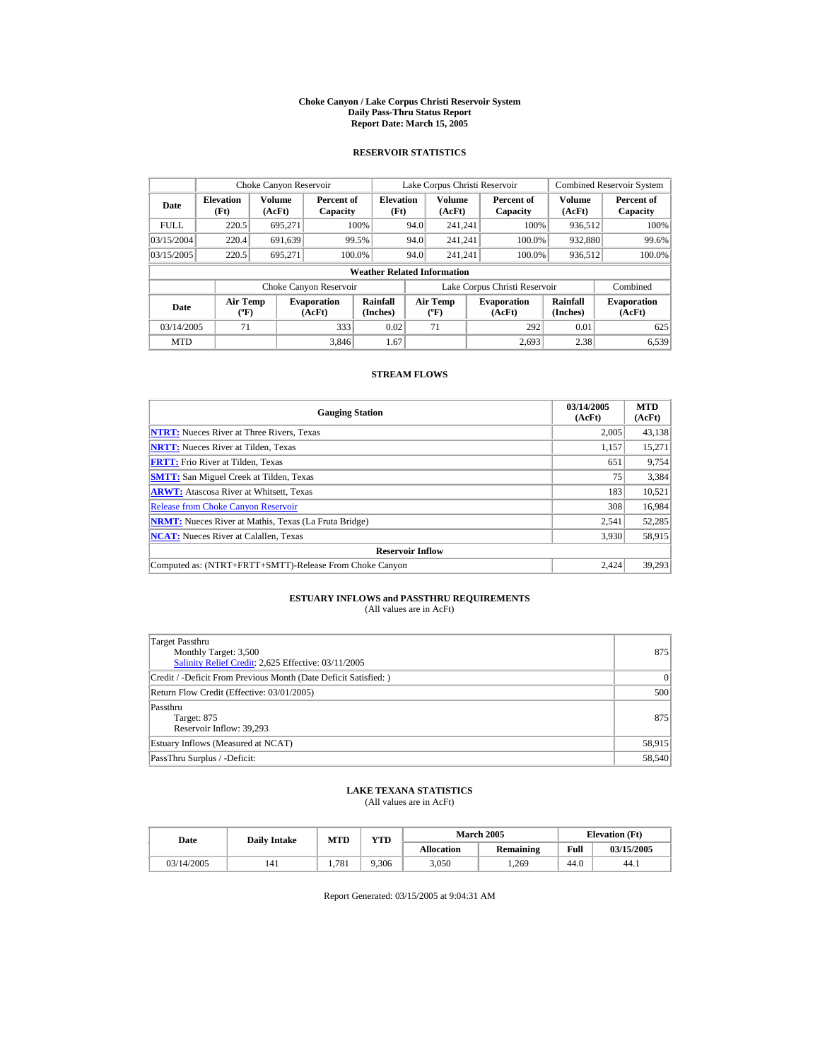#### **Choke Canyon / Lake Corpus Christi Reservoir System Daily Pass-Thru Status Report Report Date: March 15, 2005**

## **RESERVOIR STATISTICS**

|                                                          | Choke Canyon Reservoir   |                  |                              |                                    |      | Lake Corpus Christi Reservoir             |                               |                      | <b>Combined Reservoir System</b> |
|----------------------------------------------------------|--------------------------|------------------|------------------------------|------------------------------------|------|-------------------------------------------|-------------------------------|----------------------|----------------------------------|
| Date                                                     | <b>Elevation</b><br>(Ft) | Volume<br>(AcFt) | Percent of<br>Capacity       | <b>Elevation</b><br>(Ft)           |      | <b>Volume</b><br>(AcFt)                   | Percent of<br>Capacity        | Volume<br>(AcFt)     | Percent of<br>Capacity           |
| <b>FULL</b>                                              | 220.5                    | 695.271          |                              | 100%                               | 94.0 | 241.241                                   | 100%                          | 936.512              | 100%                             |
| 03/15/2004                                               | 220.4                    | 691.639          |                              | 99.5%                              | 94.0 | 241.241                                   | 100.0%                        | 932,880              | 99.6%                            |
| 03/15/2005                                               | 220.5                    | 695,271          |                              | 100.0%                             | 94.0 | 241.241                                   | 100.0%                        | 936,512              | 100.0%                           |
|                                                          |                          |                  |                              | <b>Weather Related Information</b> |      |                                           |                               |                      |                                  |
|                                                          |                          |                  | Choke Canyon Reservoir       |                                    |      |                                           | Lake Corpus Christi Reservoir |                      | Combined                         |
| <b>Air Temp</b><br>Date<br>$({}^{\mathrm{o}}\mathbf{F})$ |                          |                  | <b>Evaporation</b><br>(AcFt) | Rainfall<br>(Inches)               |      | Air Temp<br>$({}^{\mathrm{o}}\mathrm{F})$ | <b>Evaporation</b><br>(AcFt)  | Rainfall<br>(Inches) | <b>Evaporation</b><br>(AcFt)     |
| 03/14/2005                                               | 71                       |                  | 333                          | 0.02                               |      | 71                                        | 292                           | 0.01                 | 625                              |
| <b>MTD</b>                                               |                          |                  | 3.846                        | 1.67                               |      |                                           | 2.693                         | 2.38                 | 6.539                            |

## **STREAM FLOWS**

| <b>Gauging Station</b>                                       | 03/14/2005<br>(AcFt) | <b>MTD</b><br>(AcFt) |
|--------------------------------------------------------------|----------------------|----------------------|
| <b>NTRT:</b> Nueces River at Three Rivers, Texas             | 2,005                | 43,138               |
| <b>NRTT:</b> Nueces River at Tilden, Texas                   | 1,157                | 15,271               |
| <b>FRTT:</b> Frio River at Tilden, Texas                     | 651                  | 9,754                |
| <b>SMTT:</b> San Miguel Creek at Tilden, Texas               | 75                   | 3,384                |
| <b>ARWT:</b> Atascosa River at Whitsett, Texas               | 183                  | 10,521               |
| <b>Release from Choke Canyon Reservoir</b>                   | 308                  | 16,984               |
| <b>NRMT:</b> Nueces River at Mathis, Texas (La Fruta Bridge) | 2.541                | 52,285               |
| <b>NCAT:</b> Nueces River at Calallen, Texas                 | 3,930                | 58,915               |
| <b>Reservoir Inflow</b>                                      |                      |                      |
| Computed as: (NTRT+FRTT+SMTT)-Release From Choke Canyon      | 2.424                | 39.293               |

# **ESTUARY INFLOWS and PASSTHRU REQUIREMENTS**<br>(All values are in AcFt)

| Target Passthru<br>Monthly Target: 3,500<br>Salinity Relief Credit: 2,625 Effective: 03/11/2005 | 875    |
|-------------------------------------------------------------------------------------------------|--------|
| Credit / -Deficit From Previous Month (Date Deficit Satisfied:)                                 | 0      |
| Return Flow Credit (Effective: 03/01/2005)                                                      | 500    |
| Passthru<br>Target: 875<br>Reservoir Inflow: 39,293                                             | 875    |
| Estuary Inflows (Measured at NCAT)                                                              | 58,915 |
| PassThru Surplus / -Deficit:                                                                    | 58,540 |

## **LAKE TEXANA STATISTICS**

(All values are in AcFt)

| Date       | <b>Daily Intake</b> | <b>MTD</b> | VTD   |                   | <b>March 2005</b> | <b>Elevation</b> (Ft) |            |
|------------|---------------------|------------|-------|-------------------|-------------------|-----------------------|------------|
|            |                     |            |       | <b>Allocation</b> | Remaining         | Full                  | 03/15/2005 |
| 03/14/2005 | 141                 | 781        | 9.306 | 3,050             | .269              | 44.0                  | 44.1       |

Report Generated: 03/15/2005 at 9:04:31 AM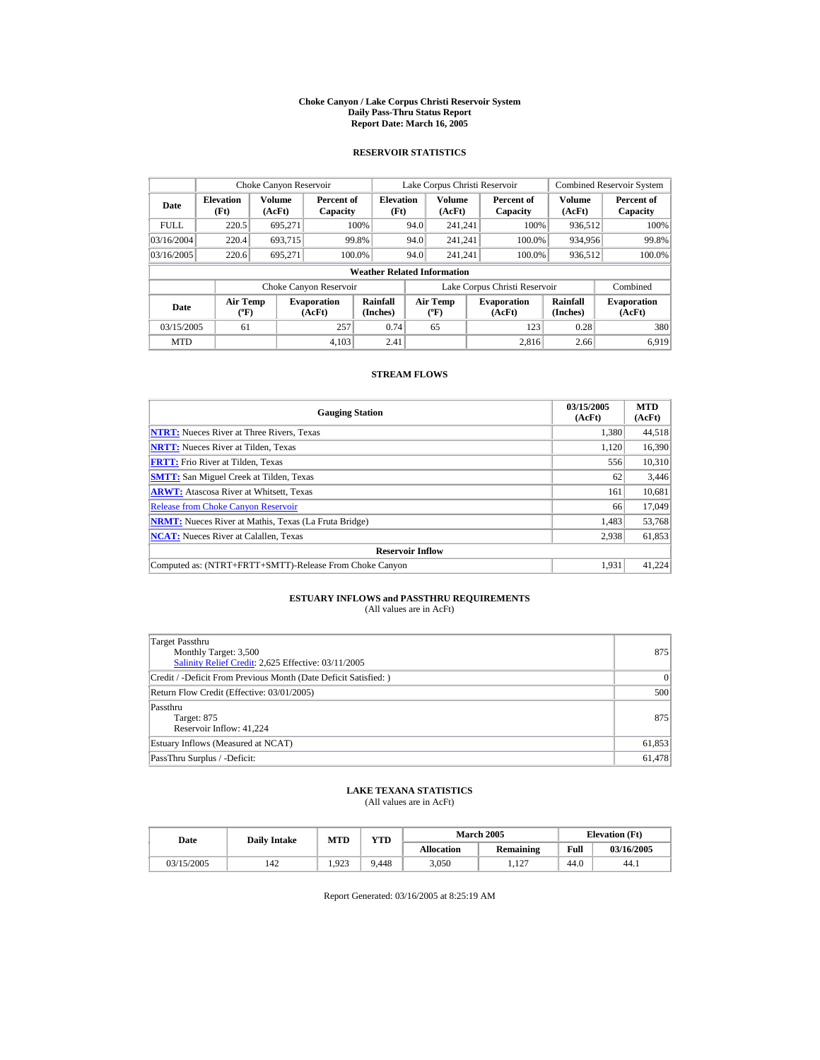#### **Choke Canyon / Lake Corpus Christi Reservoir System Daily Pass-Thru Status Report Report Date: March 16, 2005**

## **RESERVOIR STATISTICS**

| Choke Canyon Reservoir           |                                             |                  |                              |                                    |      | Lake Corpus Christi Reservoir            |                               |                      | <b>Combined Reservoir System</b> |
|----------------------------------|---------------------------------------------|------------------|------------------------------|------------------------------------|------|------------------------------------------|-------------------------------|----------------------|----------------------------------|
| <b>Elevation</b><br>Date<br>(Ft) |                                             | Volume<br>(AcFt) | Percent of<br>Capacity       | <b>Elevation</b><br>(Ft)           |      | <b>Volume</b><br>(AcFt)                  | Percent of<br>Capacity        | Volume<br>(AcFt)     | Percent of<br>Capacity           |
| <b>FULL</b>                      | 220.5                                       | 695.271          |                              | 100%                               | 94.0 | 241.241                                  | 100%                          | 936.512              | 100%                             |
| 03/16/2004                       | 220.4                                       | 693.715          |                              | 99.8%                              | 94.0 | 241.241                                  | 100.0%                        | 934,956              | 99.8%                            |
| 03/16/2005                       | 220.6                                       | 695.271          |                              | 100.0%                             | 94.0 | 241.241                                  | 100.0%                        | 936,512              | 100.0%                           |
|                                  |                                             |                  |                              | <b>Weather Related Information</b> |      |                                          |                               |                      |                                  |
|                                  |                                             |                  | Choke Canyon Reservoir       |                                    |      |                                          | Lake Corpus Christi Reservoir |                      | Combined                         |
| Date                             | <b>Air Temp</b><br>$({}^{\circ}\mathrm{F})$ |                  | <b>Evaporation</b><br>(AcFt) | Rainfall<br>(Inches)               |      | <b>Air Temp</b><br>$({}^{\circ}{\rm F})$ | <b>Evaporation</b><br>(AcFt)  | Rainfall<br>(Inches) | <b>Evaporation</b><br>(AcFt)     |
| 03/15/2005                       | 61                                          |                  | 257                          | 0.74                               |      | 65                                       | 123                           | 0.28                 | 380                              |
| <b>MTD</b>                       |                                             |                  | 4.103                        | 2.41                               |      |                                          | 2.816                         | 2.66                 | 6.919                            |

## **STREAM FLOWS**

| <b>Gauging Station</b>                                       | 03/15/2005<br>(AcFt) | <b>MTD</b><br>(AcFt) |
|--------------------------------------------------------------|----------------------|----------------------|
| <b>NTRT:</b> Nueces River at Three Rivers, Texas             | 1,380                | 44,518               |
| <b>NRTT:</b> Nueces River at Tilden, Texas                   | 1,120                | 16,390               |
| <b>FRTT:</b> Frio River at Tilden, Texas                     | 556                  | 10,310               |
| <b>SMTT:</b> San Miguel Creek at Tilden, Texas               | 62                   | 3,446                |
| <b>ARWT:</b> Atascosa River at Whitsett, Texas               | 161                  | 10,681               |
| <b>Release from Choke Canyon Reservoir</b>                   | 66                   | 17,049               |
| <b>NRMT:</b> Nueces River at Mathis, Texas (La Fruta Bridge) | 1,483                | 53,768               |
| <b>NCAT:</b> Nueces River at Calallen, Texas                 | 2,938                | 61,853               |
| <b>Reservoir Inflow</b>                                      |                      |                      |
| Computed as: (NTRT+FRTT+SMTT)-Release From Choke Canyon      | 1.931                | 41,224               |

# **ESTUARY INFLOWS and PASSTHRU REQUIREMENTS**<br>(All values are in AcFt)

| Target Passthru<br>Monthly Target: 3,500<br>Salinity Relief Credit: 2,625 Effective: 03/11/2005 | 875    |
|-------------------------------------------------------------------------------------------------|--------|
| Credit / -Deficit From Previous Month (Date Deficit Satisfied: )                                | 0      |
| Return Flow Credit (Effective: 03/01/2005)                                                      | 500    |
| Passthru<br>Target: 875<br>Reservoir Inflow: 41,224                                             | 875    |
| Estuary Inflows (Measured at NCAT)                                                              | 61,853 |
| PassThru Surplus / -Deficit:                                                                    | 61.478 |

## **LAKE TEXANA STATISTICS**

(All values are in AcFt)

| Date       | <b>Daily Intake</b> | MTD  | <b>VTD</b> |                   | <b>March 2005</b> |      | <b>Elevation</b> (Ft) |
|------------|---------------------|------|------------|-------------------|-------------------|------|-----------------------|
|            |                     |      |            | <b>Allocation</b> | Remaining         | Full | 03/16/2005            |
| 03/15/2005 | 142                 | .923 | 9.448      | 3,050             | 127<br>1.14       | 44.0 | 44.1                  |

Report Generated: 03/16/2005 at 8:25:19 AM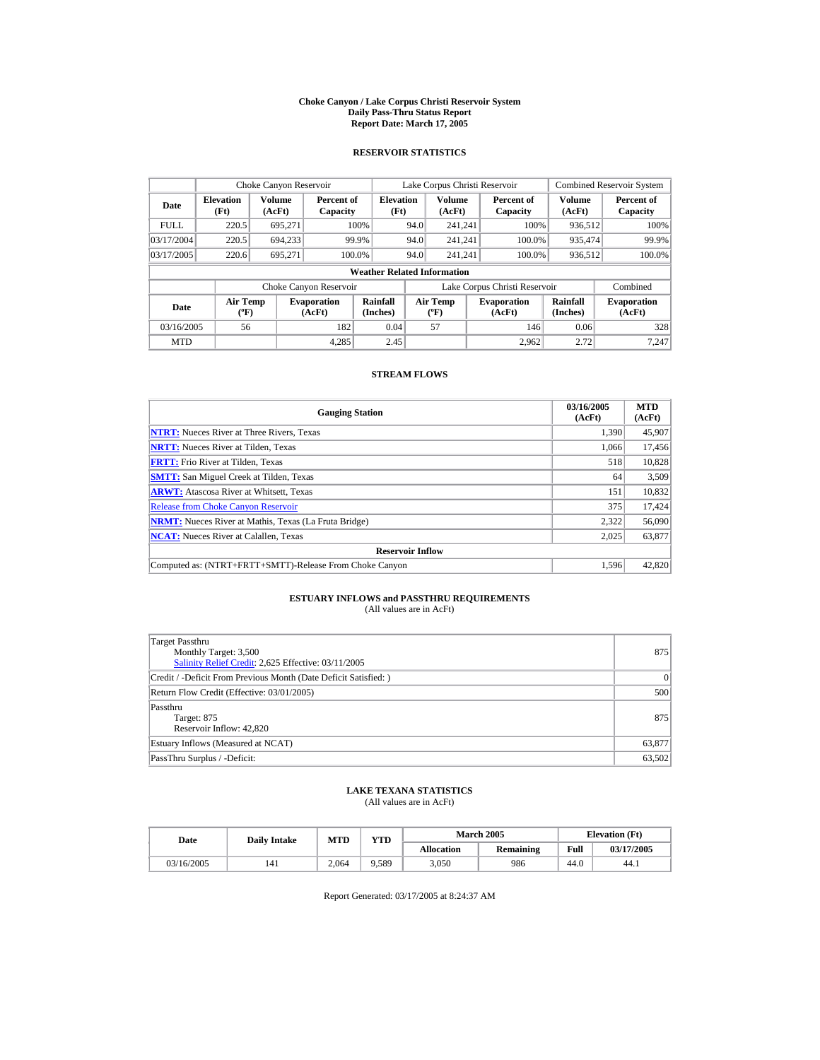#### **Choke Canyon / Lake Corpus Christi Reservoir System Daily Pass-Thru Status Report Report Date: March 17, 2005**

## **RESERVOIR STATISTICS**

| Choke Canyon Reservoir           |                                             |                  |                              |                                    |      | Lake Corpus Christi Reservoir             |                               |                             | <b>Combined Reservoir System</b> |
|----------------------------------|---------------------------------------------|------------------|------------------------------|------------------------------------|------|-------------------------------------------|-------------------------------|-----------------------------|----------------------------------|
| <b>Elevation</b><br>Date<br>(Ft) |                                             | Volume<br>(AcFt) | Percent of<br>Capacity       | <b>Elevation</b><br>(Ft)           |      | Volume<br>(AcFt)                          | Percent of<br>Capacity        | Volume<br>(AcFt)            | Percent of<br>Capacity           |
| <b>FULL</b>                      | 220.5                                       | 695.271          |                              | 100%                               | 94.0 | 241.241                                   | 100%                          | 936,512                     | 100%                             |
| 03/17/2004                       | 220.5                                       | 694.233          |                              | 99.9%                              | 94.0 | 241.241                                   | 100.0%                        | 935,474                     | 99.9%                            |
| 03/17/2005                       | 220.6                                       | 695.271          |                              | 100.0%                             | 94.0 | 241.241                                   | 100.0%                        | 936,512                     | 100.0%                           |
|                                  |                                             |                  |                              | <b>Weather Related Information</b> |      |                                           |                               |                             |                                  |
|                                  |                                             |                  | Choke Canyon Reservoir       |                                    |      |                                           | Lake Corpus Christi Reservoir |                             | Combined                         |
| Date                             | <b>Air Temp</b><br>$({}^{\circ}\mathrm{F})$ |                  | <b>Evaporation</b><br>(AcFt) | Rainfall<br>(Inches)               |      | <b>Air Temp</b><br>$({}^{\circ}\text{F})$ | <b>Evaporation</b><br>(AcFt)  | <b>Rainfall</b><br>(Inches) | <b>Evaporation</b><br>(AcFt)     |
| 03/16/2005                       | 56                                          |                  | 182                          | 0.04                               |      | 57                                        | 146                           | 0.06                        | 328                              |
| <b>MTD</b>                       |                                             |                  | 4.285                        | 2.45                               |      |                                           | 2.962                         | 2.72                        | 7.247                            |

## **STREAM FLOWS**

| <b>Gauging Station</b>                                       | 03/16/2005<br>(AcFt) | <b>MTD</b><br>(AcFt) |
|--------------------------------------------------------------|----------------------|----------------------|
| <b>NTRT:</b> Nueces River at Three Rivers, Texas             | 1.390                | 45,907               |
| <b>NRTT:</b> Nueces River at Tilden, Texas                   | 1.066                | 17,456               |
| <b>FRTT:</b> Frio River at Tilden, Texas                     | 518                  | 10,828               |
| <b>SMTT:</b> San Miguel Creek at Tilden, Texas               | 64                   | 3,509                |
| <b>ARWT:</b> Atascosa River at Whitsett, Texas               | 151                  | 10,832               |
| <b>Release from Choke Canvon Reservoir</b>                   | 375                  | 17,424               |
| <b>NRMT:</b> Nueces River at Mathis, Texas (La Fruta Bridge) | 2,322                | 56,090               |
| <b>NCAT:</b> Nueces River at Calallen, Texas                 | 2,025                | 63,877               |
| <b>Reservoir Inflow</b>                                      |                      |                      |
| Computed as: (NTRT+FRTT+SMTT)-Release From Choke Canyon      | 1.596                | 42,820               |

# **ESTUARY INFLOWS and PASSTHRU REQUIREMENTS**<br>(All values are in AcFt)

| Target Passthru<br>Monthly Target: 3,500<br>Salinity Relief Credit: 2,625 Effective: 03/11/2005 | 875    |
|-------------------------------------------------------------------------------------------------|--------|
| Credit / -Deficit From Previous Month (Date Deficit Satisfied: )                                | 0      |
| Return Flow Credit (Effective: 03/01/2005)                                                      | 500    |
| Passthru<br>Target: 875<br>Reservoir Inflow: 42,820                                             | 875    |
| Estuary Inflows (Measured at NCAT)                                                              | 63,877 |
| PassThru Surplus / -Deficit:                                                                    | 63,502 |

## **LAKE TEXANA STATISTICS**

(All values are in AcFt)

| Date       | <b>Daily Intake</b> | MTD   | <b>VTD</b> |                   | <b>March 2005</b> | <b>Elevation</b> (Ft) |            |
|------------|---------------------|-------|------------|-------------------|-------------------|-----------------------|------------|
|            |                     |       |            | <b>Allocation</b> | Remaining         | Full                  | 03/17/2005 |
| 03/16/2005 | 141                 | 2.064 | 9.589      | 3,050             | 986               | 44.0                  | 44.)       |

Report Generated: 03/17/2005 at 8:24:37 AM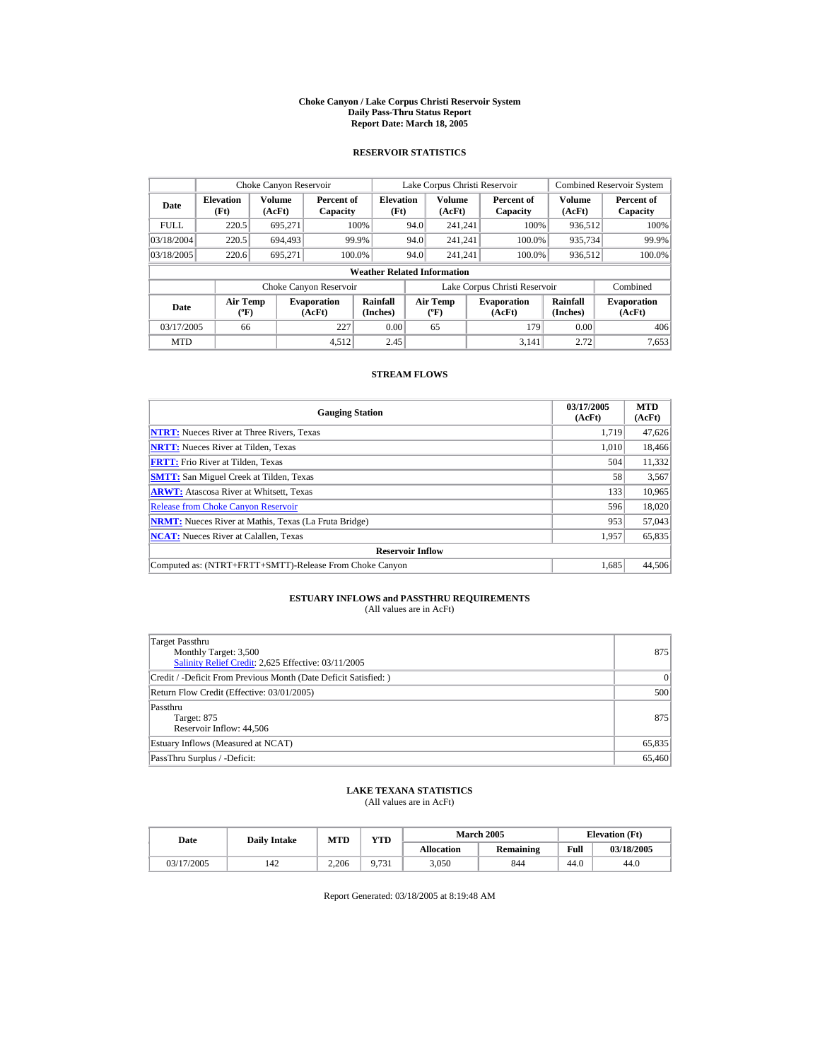#### **Choke Canyon / Lake Corpus Christi Reservoir System Daily Pass-Thru Status Report Report Date: March 18, 2005**

## **RESERVOIR STATISTICS**

| Choke Canyon Reservoir           |                                             |                  |                              |                                    |      | Lake Corpus Christi Reservoir            |                               |                      | <b>Combined Reservoir System</b> |
|----------------------------------|---------------------------------------------|------------------|------------------------------|------------------------------------|------|------------------------------------------|-------------------------------|----------------------|----------------------------------|
| <b>Elevation</b><br>Date<br>(Ft) |                                             | Volume<br>(AcFt) | Percent of<br>Capacity       | <b>Elevation</b><br>(Ft)           |      | <b>Volume</b><br>(AcFt)                  | Percent of<br>Capacity        | Volume<br>(AcFt)     | Percent of<br>Capacity           |
| <b>FULL</b>                      | 220.5                                       | 695.271          |                              | 100%                               | 94.0 | 241.241                                  | 100%                          | 936.512              | 100%                             |
| 03/18/2004                       | 220.5                                       | 694,493          |                              | 99.9%                              | 94.0 | 241.241                                  | 100.0%                        | 935,734              | 99.9%                            |
| 03/18/2005                       | 220.6                                       | 695.271          | 100.0%                       |                                    | 94.0 | 241.241                                  | 100.0%                        | 936,512              | 100.0%                           |
|                                  |                                             |                  |                              | <b>Weather Related Information</b> |      |                                          |                               |                      |                                  |
|                                  |                                             |                  | Choke Canyon Reservoir       |                                    |      |                                          | Lake Corpus Christi Reservoir |                      | Combined                         |
| Date                             | <b>Air Temp</b><br>$({}^{\circ}\mathrm{F})$ |                  | <b>Evaporation</b><br>(AcFt) | <b>Rainfall</b><br>(Inches)        |      | <b>Air Temp</b><br>$({}^{\circ}{\rm F})$ | <b>Evaporation</b><br>(AcFt)  | Rainfall<br>(Inches) | <b>Evaporation</b><br>(AcFt)     |
| 03/17/2005                       | 66                                          |                  | 227                          | 0.00                               |      | 65                                       | 179                           | 0.00                 | 406                              |
| <b>MTD</b>                       |                                             |                  | 4.512                        | 2.45                               |      |                                          | 3.141                         | 2.72                 | 7.653                            |

## **STREAM FLOWS**

| <b>Gauging Station</b>                                       | 03/17/2005<br>(AcFt) | <b>MTD</b><br>(AcFt) |
|--------------------------------------------------------------|----------------------|----------------------|
| <b>NTRT:</b> Nueces River at Three Rivers, Texas             | 1.719                | 47,626               |
| <b>NRTT:</b> Nueces River at Tilden, Texas                   | 1.010                | 18,466               |
| <b>FRTT:</b> Frio River at Tilden, Texas                     | 504                  | 11,332               |
| <b>SMTT:</b> San Miguel Creek at Tilden, Texas               | 58                   | 3,567                |
| <b>ARWT:</b> Atascosa River at Whitsett, Texas               | 133                  | 10,965               |
| <b>Release from Choke Canvon Reservoir</b>                   | 596                  | 18,020               |
| <b>NRMT:</b> Nueces River at Mathis, Texas (La Fruta Bridge) | 953                  | 57,043               |
| <b>NCAT:</b> Nueces River at Calallen, Texas                 | 1,957                | 65,835               |
| <b>Reservoir Inflow</b>                                      |                      |                      |
| Computed as: (NTRT+FRTT+SMTT)-Release From Choke Canyon      | 1.685                | 44,506               |

# **ESTUARY INFLOWS and PASSTHRU REQUIREMENTS**<br>(All values are in AcFt)

| Target Passthru<br>Monthly Target: 3,500<br>Salinity Relief Credit: 2,625 Effective: 03/11/2005 | 875    |
|-------------------------------------------------------------------------------------------------|--------|
| Credit / -Deficit From Previous Month (Date Deficit Satisfied: )                                | 0      |
| Return Flow Credit (Effective: 03/01/2005)                                                      | 500    |
| Passthru<br>Target: 875<br>Reservoir Inflow: 44,506                                             | 875    |
| Estuary Inflows (Measured at NCAT)                                                              | 65,835 |
| PassThru Surplus / -Deficit:                                                                    | 65,460 |

## **LAKE TEXANA STATISTICS**

(All values are in AcFt)

| Date       | <b>Daily Intake</b> | <b>MTD</b> |              |                   | <b>March 2005</b> | <b>Elevation</b> (Ft) |            |  |
|------------|---------------------|------------|--------------|-------------------|-------------------|-----------------------|------------|--|
|            |                     |            | VTD          | <b>Allocation</b> | Remaining         | Full                  | 03/18/2005 |  |
| 03/17/2005 | 142                 | 2.206      | 0.731<br>731 | 3,050             | 844               | 44.0                  | 44.0       |  |

Report Generated: 03/18/2005 at 8:19:48 AM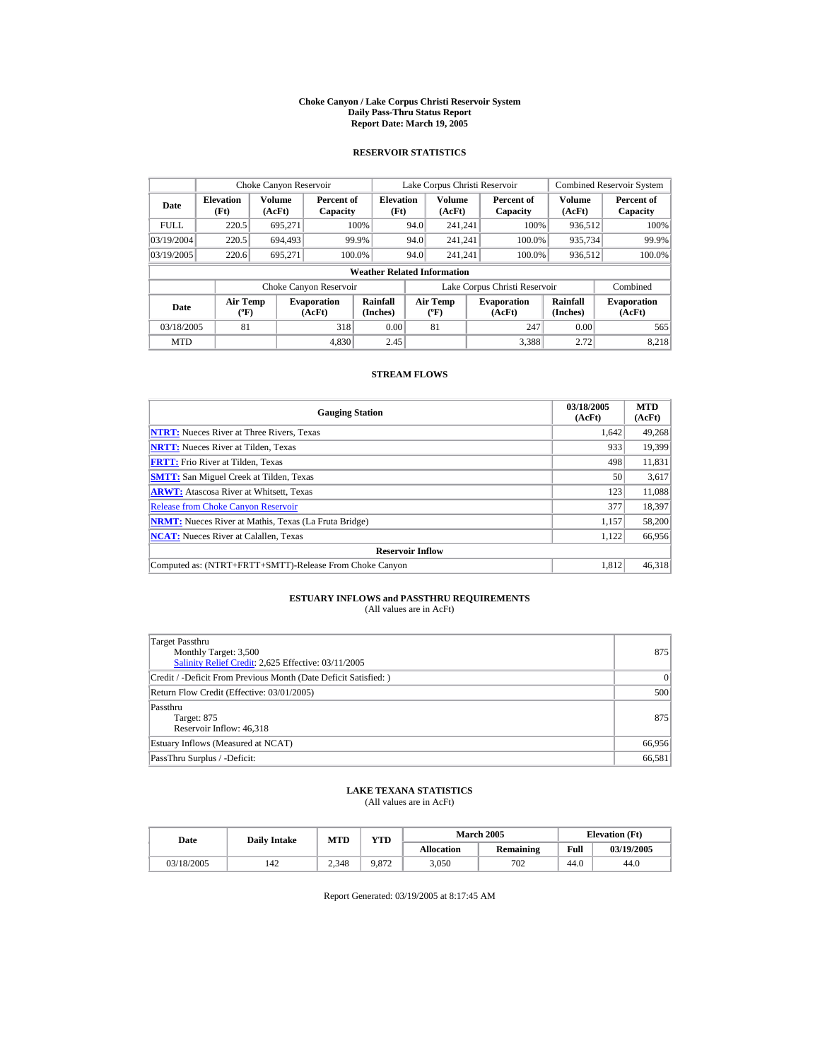#### **Choke Canyon / Lake Corpus Christi Reservoir System Daily Pass-Thru Status Report Report Date: March 19, 2005**

## **RESERVOIR STATISTICS**

| Choke Canyon Reservoir |                                                  |                  |                              |                                    | Lake Corpus Christi Reservoir |                                           |                               | <b>Combined Reservoir System</b> |                              |
|------------------------|--------------------------------------------------|------------------|------------------------------|------------------------------------|-------------------------------|-------------------------------------------|-------------------------------|----------------------------------|------------------------------|
| Date                   | <b>Elevation</b><br>(Ft)                         | Volume<br>(AcFt) | Percent of<br>Capacity       | <b>Elevation</b><br>(Ft)           |                               | <b>Volume</b><br>(AcFt)                   | Percent of<br>Capacity        | Volume<br>(AcFt)                 | Percent of<br>Capacity       |
| <b>FULL</b>            | 220.5                                            | 695.271          |                              | 100%                               | 94.0                          | 241.241                                   | 100%                          | 936.512                          | 100%                         |
| 03/19/2004             | 220.5                                            | 694.493          |                              | 99.9%                              | 94.0                          | 241.241                                   | 100.0%                        | 935,734                          | 99.9%                        |
| 03/19/2005             | 220.6                                            | 695,271          |                              | 100.0%                             | 94.0                          | 241.241                                   | 100.0%                        | 936,512                          | 100.0%                       |
|                        |                                                  |                  |                              | <b>Weather Related Information</b> |                               |                                           |                               |                                  |                              |
|                        |                                                  |                  | Choke Canyon Reservoir       |                                    |                               |                                           | Lake Corpus Christi Reservoir |                                  | Combined                     |
| Date                   | <b>Air Temp</b><br>$({}^{\mathrm{o}}\mathbf{F})$ |                  | <b>Evaporation</b><br>(AcFt) | Rainfall<br>(Inches)               |                               | Air Temp<br>$({}^{\mathrm{o}}\mathrm{F})$ | <b>Evaporation</b><br>(AcFt)  | Rainfall<br>(Inches)             | <b>Evaporation</b><br>(AcFt) |
| 03/18/2005             | 81                                               |                  | 318                          | 0.00                               |                               | 81                                        | 247                           | 0.00                             | 565                          |
| <b>MTD</b>             |                                                  |                  | 4.830                        | 2.45                               |                               |                                           | 3.388                         | 2.72                             | 8.218                        |

## **STREAM FLOWS**

| <b>Gauging Station</b>                                       | 03/18/2005<br>(AcFt) | <b>MTD</b><br>(AcFt) |
|--------------------------------------------------------------|----------------------|----------------------|
| <b>NTRT:</b> Nueces River at Three Rivers, Texas             | 1.642                | 49,268               |
| <b>NRTT:</b> Nueces River at Tilden, Texas                   | 933                  | 19.399               |
| <b>FRTT:</b> Frio River at Tilden, Texas                     | 498                  | 11,831               |
| <b>SMTT:</b> San Miguel Creek at Tilden, Texas               | 50                   | 3,617                |
| <b>ARWT:</b> Atascosa River at Whitsett, Texas               | 123                  | 11,088               |
| <b>Release from Choke Canyon Reservoir</b>                   | 377                  | 18,397               |
| <b>NRMT:</b> Nueces River at Mathis, Texas (La Fruta Bridge) | 1.157                | 58,200               |
| <b>NCAT:</b> Nueces River at Calallen, Texas                 | 1,122                | 66,956               |
| <b>Reservoir Inflow</b>                                      |                      |                      |
| Computed as: (NTRT+FRTT+SMTT)-Release From Choke Canyon      | 1.812                | 46.318               |

# **ESTUARY INFLOWS and PASSTHRU REQUIREMENTS**<br>(All values are in AcFt)

| Target Passthru<br>Monthly Target: 3,500<br>Salinity Relief Credit: 2,625 Effective: 03/11/2005 | 875    |
|-------------------------------------------------------------------------------------------------|--------|
| Credit / -Deficit From Previous Month (Date Deficit Satisfied: )                                | 0      |
| Return Flow Credit (Effective: 03/01/2005)                                                      | 500    |
| Passthru<br>Target: 875<br>Reservoir Inflow: 46,318                                             | 875    |
| Estuary Inflows (Measured at NCAT)                                                              | 66,956 |
| PassThru Surplus / -Deficit:                                                                    | 66,581 |

## **LAKE TEXANA STATISTICS**

(All values are in AcFt)

| Date       | <b>Daily Intake</b> | MTD   | <b>VTD</b> |                   | <b>March 2005</b> | <b>Elevation</b> (Ft) |            |
|------------|---------------------|-------|------------|-------------------|-------------------|-----------------------|------------|
|            |                     |       |            | <b>Allocation</b> | Remaining         | Full                  | 03/19/2005 |
| 03/18/2005 | 142                 | 2.348 | 9.872      | 3,050             | 702               | 44.0                  | 44.0       |

Report Generated: 03/19/2005 at 8:17:45 AM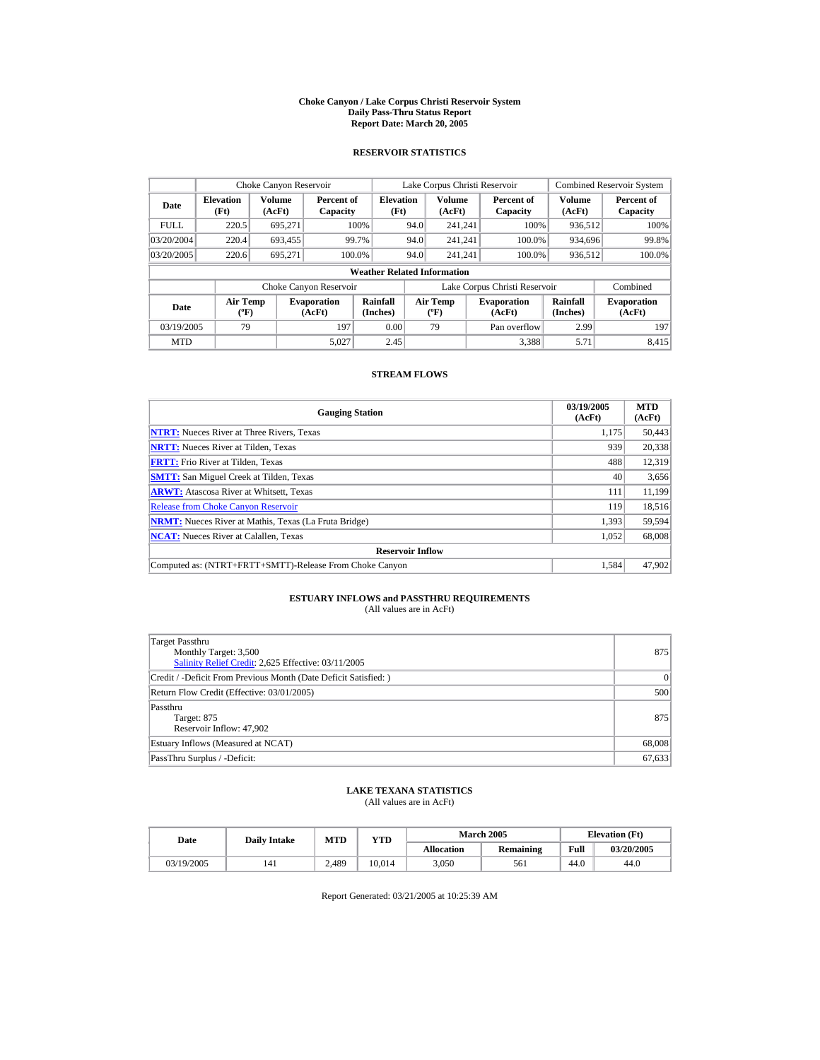#### **Choke Canyon / Lake Corpus Christi Reservoir System Daily Pass-Thru Status Report Report Date: March 20, 2005**

## **RESERVOIR STATISTICS**

| Choke Canyon Reservoir |                                                  |                  |                              |                                    |      | Lake Corpus Christi Reservoir |                               |                      | <b>Combined Reservoir System</b> |
|------------------------|--------------------------------------------------|------------------|------------------------------|------------------------------------|------|-------------------------------|-------------------------------|----------------------|----------------------------------|
| Date                   | <b>Elevation</b><br>(Ft)                         | Volume<br>(AcFt) | Percent of<br>Capacity       | <b>Elevation</b><br>(Ft)           |      | <b>Volume</b><br>(AcFt)       | Percent of<br>Capacity        | Volume<br>(AcFt)     | Percent of<br>Capacity           |
| <b>FULL</b>            | 220.5                                            | 695.271          |                              | 100%                               | 94.0 | 241.241                       | 100%                          | 936.512              | 100%                             |
| 03/20/2004             | 220.4                                            | 693.455          |                              | 99.7%                              | 94.0 | 241.241                       | 100.0%                        | 934.696              | 99.8%                            |
| 03/20/2005             | 220.6                                            | 695,271          |                              | 100.0%                             | 94.0 | 241.241                       | 100.0%                        | 936,512              | 100.0%                           |
|                        |                                                  |                  |                              | <b>Weather Related Information</b> |      |                               |                               |                      |                                  |
|                        |                                                  |                  | Choke Canyon Reservoir       |                                    |      |                               | Lake Corpus Christi Reservoir |                      | Combined                         |
| Date                   | <b>Air Temp</b><br>$({}^{\mathrm{o}}\mathbf{F})$ |                  | <b>Evaporation</b><br>(AcFt) | Rainfall<br>(Inches)               |      | Air Temp<br>$(^{\circ}F)$     | <b>Evaporation</b><br>(AcFt)  | Rainfall<br>(Inches) | <b>Evaporation</b><br>(AcFt)     |
| 03/19/2005             | 79                                               |                  | 197                          | 0.00                               |      | 79                            | Pan overflow                  | 2.99                 | 197                              |
| <b>MTD</b>             |                                                  |                  | 5.027                        | 2.45                               |      |                               | 3.388                         | 5.71                 | 8.415                            |

## **STREAM FLOWS**

| <b>Gauging Station</b>                                       | 03/19/2005<br>(AcFt) | <b>MTD</b><br>(AcFt) |
|--------------------------------------------------------------|----------------------|----------------------|
| <b>NTRT:</b> Nueces River at Three Rivers, Texas             | 1,175                | 50,443               |
| <b>NRTT:</b> Nueces River at Tilden, Texas                   | 939                  | 20,338               |
| <b>FRTT:</b> Frio River at Tilden, Texas                     | 488                  | 12,319               |
| <b>SMTT:</b> San Miguel Creek at Tilden, Texas               | 40                   | 3,656                |
| <b>ARWT:</b> Atascosa River at Whitsett, Texas               | 111                  | 11,199               |
| <b>Release from Choke Canyon Reservoir</b>                   | 119                  | 18,516               |
| <b>NRMT:</b> Nueces River at Mathis, Texas (La Fruta Bridge) | 1.393                | 59,594               |
| <b>NCAT:</b> Nueces River at Calallen, Texas                 | 1,052                | 68,008               |
| <b>Reservoir Inflow</b>                                      |                      |                      |
| Computed as: (NTRT+FRTT+SMTT)-Release From Choke Canyon      | 1.584                | 47,902               |

# **ESTUARY INFLOWS and PASSTHRU REQUIREMENTS**<br>(All values are in AcFt)

| Target Passthru<br>Monthly Target: 3,500<br>Salinity Relief Credit: 2,625 Effective: 03/11/2005 | 875    |
|-------------------------------------------------------------------------------------------------|--------|
| Credit / -Deficit From Previous Month (Date Deficit Satisfied: )                                | 0      |
| Return Flow Credit (Effective: 03/01/2005)                                                      | 500    |
| Passthru<br>Target: 875<br>Reservoir Inflow: 47,902                                             | 875    |
| Estuary Inflows (Measured at NCAT)                                                              | 68,008 |
| PassThru Surplus / -Deficit:                                                                    | 67,633 |

## **LAKE TEXANA STATISTICS**

(All values are in AcFt)

| Date       | <b>Daily Intake</b> | MTD   | VTD    |                   | <b>March 2005</b> |      | <b>Elevation</b> (Ft) |
|------------|---------------------|-------|--------|-------------------|-------------------|------|-----------------------|
|            |                     |       |        | <b>Allocation</b> | <b>Remaining</b>  | Full | 03/20/2005            |
| 03/19/2005 | 141                 | 2.489 | 10.014 | 3.050             | 561               | 44.0 | 44.0                  |

Report Generated: 03/21/2005 at 10:25:39 AM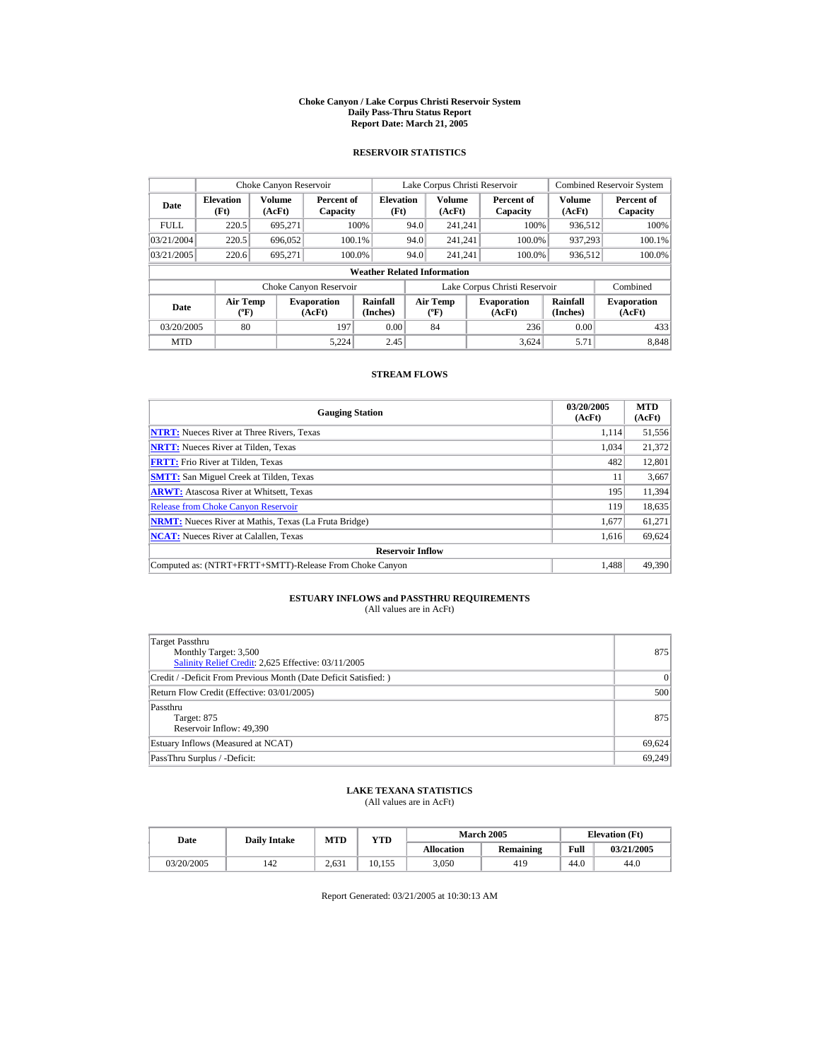#### **Choke Canyon / Lake Corpus Christi Reservoir System Daily Pass-Thru Status Report Report Date: March 21, 2005**

## **RESERVOIR STATISTICS**

|                                    | Choke Canyon Reservoir                      |                  |                              |                          |      | Lake Corpus Christi Reservoir    |                               |                             | <b>Combined Reservoir System</b> |
|------------------------------------|---------------------------------------------|------------------|------------------------------|--------------------------|------|----------------------------------|-------------------------------|-----------------------------|----------------------------------|
| Date                               | <b>Elevation</b><br>(Ft)                    | Volume<br>(AcFt) | Percent of<br>Capacity       | <b>Elevation</b><br>(Ft) |      | Volume<br>(AcFt)                 | Percent of<br>Capacity        | Volume<br>(AcFt)            | Percent of<br>Capacity           |
| <b>FULL</b>                        | 220.5                                       | 695.271          |                              | 100%                     | 94.0 | 241.241                          | 100%                          | 936.512                     | 100%                             |
| 03/21/2004                         | 220.5                                       | 696,052          |                              | 100.1%                   | 94.0 | 241.241                          | 100.0%                        | 937.293                     | 100.1%                           |
| 03/21/2005                         | 220.6                                       | 695.271          |                              | 100.0%                   | 94.0 | 241.241                          | 100.0%                        | 936,512                     | 100.0%                           |
| <b>Weather Related Information</b> |                                             |                  |                              |                          |      |                                  |                               |                             |                                  |
|                                    |                                             |                  | Choke Canyon Reservoir       |                          |      |                                  | Lake Corpus Christi Reservoir |                             | Combined                         |
| Date                               | <b>Air Temp</b><br>$({}^{\circ}\mathrm{F})$ |                  | <b>Evaporation</b><br>(AcFt) | Rainfall<br>(Inches)     |      | <b>Air Temp</b><br>$(^{\circ}F)$ | <b>Evaporation</b><br>(AcFt)  | <b>Rainfall</b><br>(Inches) | <b>Evaporation</b><br>(AcFt)     |
| 03/20/2005                         | 80                                          |                  | 197                          | 0.00                     |      | 84                               | 236                           | 0.00                        | 433                              |
| <b>MTD</b>                         |                                             |                  | 5.224                        | 2.45                     |      |                                  | 3.624                         | 5.71                        | 8.848                            |

## **STREAM FLOWS**

| <b>Gauging Station</b>                                       | 03/20/2005<br>(AcFt) | <b>MTD</b><br>(AcFt) |
|--------------------------------------------------------------|----------------------|----------------------|
| <b>NTRT:</b> Nueces River at Three Rivers, Texas             | 1.114                | 51,556               |
| <b>NRTT:</b> Nueces River at Tilden, Texas                   | 1.034                | 21.372               |
| <b>FRTT:</b> Frio River at Tilden, Texas                     | 482                  | 12,801               |
| <b>SMTT:</b> San Miguel Creek at Tilden, Texas               | 11                   | 3,667                |
| <b>ARWT:</b> Atascosa River at Whitsett, Texas               | 195                  | 11,394               |
| <b>Release from Choke Canvon Reservoir</b>                   | 119                  | 18,635               |
| <b>NRMT:</b> Nueces River at Mathis, Texas (La Fruta Bridge) | 1,677                | 61,271               |
| <b>NCAT:</b> Nueces River at Calallen, Texas                 | 1,616                | 69,624               |
| <b>Reservoir Inflow</b>                                      |                      |                      |
| Computed as: (NTRT+FRTT+SMTT)-Release From Choke Canyon      | 1.488                | 49.390               |

# **ESTUARY INFLOWS and PASSTHRU REQUIREMENTS**<br>(All values are in AcFt)

| Target Passthru<br>Monthly Target: 3,500<br>Salinity Relief Credit: 2,625 Effective: 03/11/2005 | 875    |
|-------------------------------------------------------------------------------------------------|--------|
| Credit / -Deficit From Previous Month (Date Deficit Satisfied: )                                | 0      |
| Return Flow Credit (Effective: 03/01/2005)                                                      | 500    |
| Passthru<br>Target: 875<br>Reservoir Inflow: 49,390                                             | 875    |
| Estuary Inflows (Measured at NCAT)                                                              | 69,624 |
| PassThru Surplus / -Deficit:                                                                    | 69.249 |

## **LAKE TEXANA STATISTICS**

(All values are in AcFt)

| Date       | <b>Daily Intake</b> | MTD   | YTD    |                   | <b>March 2005</b> |      | <b>Elevation</b> (Ft) |
|------------|---------------------|-------|--------|-------------------|-------------------|------|-----------------------|
|            |                     |       |        | <b>Allocation</b> | <b>Remaining</b>  | Full | 03/21/2005            |
| 03/20/2005 | 142                 | 2.631 | 10.155 | 3.050             | 419               | 44.0 | 44.0                  |

Report Generated: 03/21/2005 at 10:30:13 AM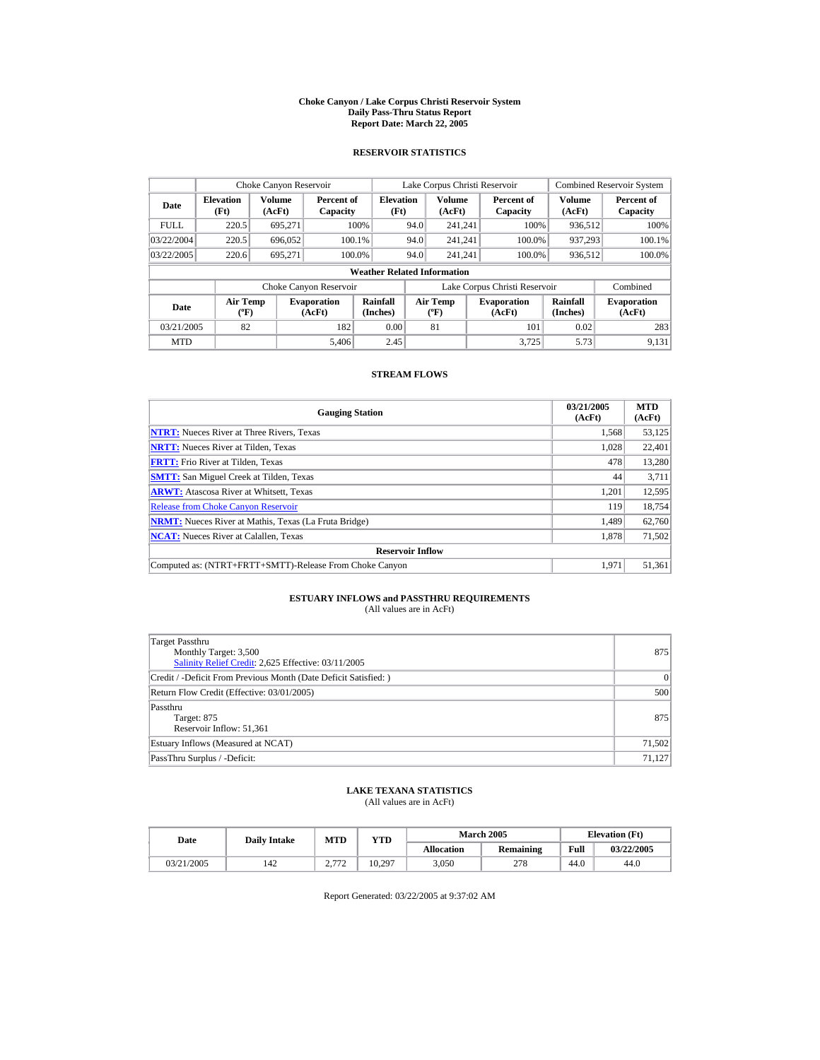#### **Choke Canyon / Lake Corpus Christi Reservoir System Daily Pass-Thru Status Report Report Date: March 22, 2005**

## **RESERVOIR STATISTICS**

|             | Choke Canyon Reservoir                      |                  |                              |                          |      | Lake Corpus Christi Reservoir            |  |                               |                      | <b>Combined Reservoir System</b> |  |
|-------------|---------------------------------------------|------------------|------------------------------|--------------------------|------|------------------------------------------|--|-------------------------------|----------------------|----------------------------------|--|
| Date        | <b>Elevation</b><br>(Ft)                    | Volume<br>(AcFt) | Percent of<br>Capacity       | <b>Elevation</b><br>(Ft) |      | <b>Volume</b><br>(AcFt)                  |  | Percent of<br>Capacity        | Volume<br>(AcFt)     | Percent of<br>Capacity           |  |
| <b>FULL</b> | 220.5                                       | 695.271          |                              | 100%                     | 94.0 | 241.241                                  |  | 100%                          | 936.512              | 100%                             |  |
| 03/22/2004  | 220.5                                       | 696.052          |                              | 100.1%                   | 94.0 | 241.241                                  |  | 100.0%                        | 937.293              | 100.1%                           |  |
| 03/22/2005  | 220.6                                       | 695.271          |                              | 100.0%                   | 94.0 | 241.241                                  |  | 100.0%                        | 936,512              | 100.0%                           |  |
|             | <b>Weather Related Information</b>          |                  |                              |                          |      |                                          |  |                               |                      |                                  |  |
|             |                                             |                  | Choke Canyon Reservoir       |                          |      |                                          |  | Lake Corpus Christi Reservoir |                      | Combined                         |  |
| Date        | <b>Air Temp</b><br>$({}^{\circ}\mathrm{F})$ |                  | <b>Evaporation</b><br>(AcFt) | Rainfall<br>(Inches)     |      | <b>Air Temp</b><br>$({}^{\circ}{\rm F})$ |  | <b>Evaporation</b><br>(AcFt)  | Rainfall<br>(Inches) | <b>Evaporation</b><br>(AcFt)     |  |
| 03/21/2005  | 82                                          |                  | 182                          | 0.00                     |      | 81                                       |  | 101                           | 0.02                 | 283                              |  |
| <b>MTD</b>  |                                             |                  | 5.406                        | 2.45                     |      |                                          |  | 3.725                         | 5.73                 | 9.131                            |  |

## **STREAM FLOWS**

| <b>Gauging Station</b>                                       | 03/21/2005<br>(AcFt) | <b>MTD</b><br>(AcFt) |
|--------------------------------------------------------------|----------------------|----------------------|
| <b>NTRT:</b> Nueces River at Three Rivers, Texas             | 1,568                | 53,125               |
| <b>NRTT:</b> Nueces River at Tilden, Texas                   | 1.028                | 22,401               |
| <b>FRTT:</b> Frio River at Tilden, Texas                     | 478                  | 13,280               |
| <b>SMTT:</b> San Miguel Creek at Tilden, Texas               | 44                   | 3.711                |
| <b>ARWT:</b> Atascosa River at Whitsett, Texas               | 1,201                | 12,595               |
| <b>Release from Choke Canyon Reservoir</b>                   | 119                  | 18,754               |
| <b>NRMT:</b> Nueces River at Mathis, Texas (La Fruta Bridge) | 1,489                | 62,760               |
| <b>NCAT:</b> Nueces River at Calallen, Texas                 | 1,878                | 71,502               |
| <b>Reservoir Inflow</b>                                      |                      |                      |
| Computed as: (NTRT+FRTT+SMTT)-Release From Choke Canyon      | 1.971                | 51,361               |

# **ESTUARY INFLOWS and PASSTHRU REQUIREMENTS**<br>(All values are in AcFt)

| Target Passthru<br>Monthly Target: 3,500<br>Salinity Relief Credit: 2,625 Effective: 03/11/2005 | 875    |
|-------------------------------------------------------------------------------------------------|--------|
| Credit / -Deficit From Previous Month (Date Deficit Satisfied: )                                | 0      |
| Return Flow Credit (Effective: 03/01/2005)                                                      | 500    |
| Passthru<br>Target: 875<br>Reservoir Inflow: 51,361                                             | 875    |
| Estuary Inflows (Measured at NCAT)                                                              | 71,502 |
| PassThru Surplus / -Deficit:                                                                    | 71,127 |

## **LAKE TEXANA STATISTICS**

(All values are in AcFt)

| Date       | <b>Daily Intake</b> | <b>MTD</b>                | YTD    |                   | <b>March 2005</b> |      | <b>Elevation</b> (Ft) |
|------------|---------------------|---------------------------|--------|-------------------|-------------------|------|-----------------------|
|            |                     |                           |        | <b>Allocation</b> | Remaining         | Full | 03/22/2005            |
| 03/21/2005 | 142                 | רידי ה<br><b><u>_</u></b> | 10.297 | 3.050             | 278               | 44.0 | 44.0                  |

Report Generated: 03/22/2005 at 9:37:02 AM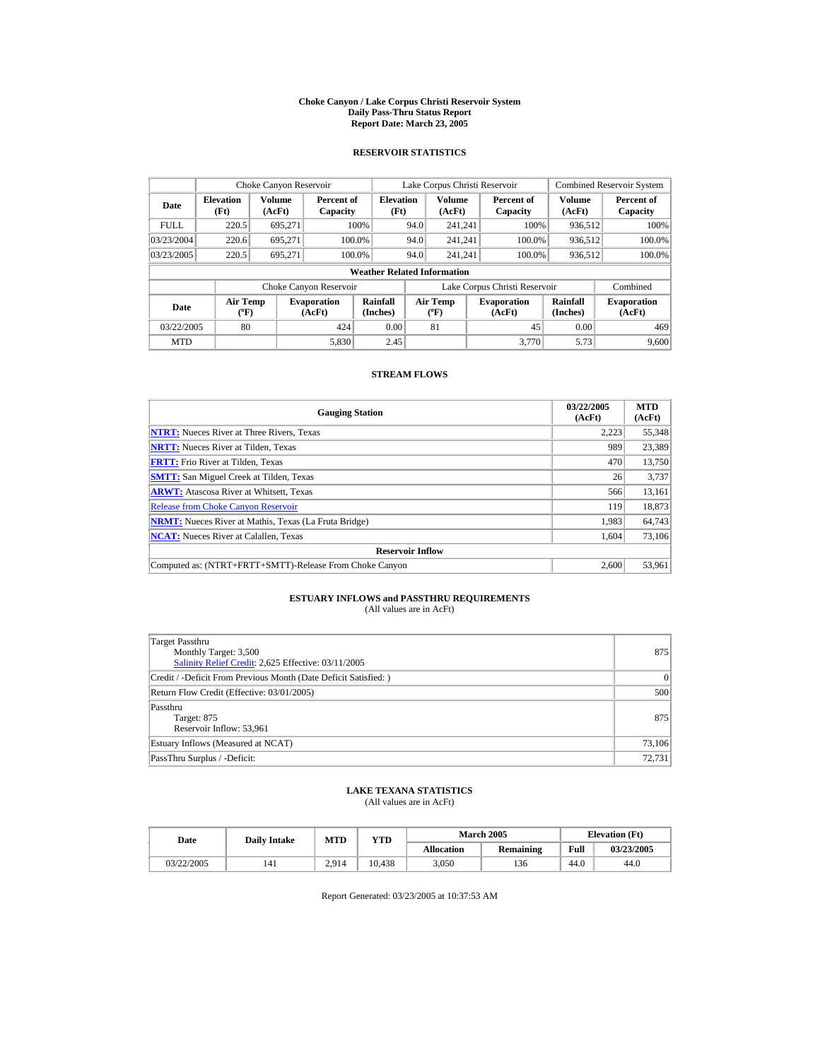#### **Choke Canyon / Lake Corpus Christi Reservoir System Daily Pass-Thru Status Report Report Date: March 23, 2005**

## **RESERVOIR STATISTICS**

|             | Choke Canyon Reservoir             |                                                                                                                                                                                 |                        |                          |                              | Lake Corpus Christi Reservoir |  |                               |                  | <b>Combined Reservoir System</b> |  |  |
|-------------|------------------------------------|---------------------------------------------------------------------------------------------------------------------------------------------------------------------------------|------------------------|--------------------------|------------------------------|-------------------------------|--|-------------------------------|------------------|----------------------------------|--|--|
| Date        | <b>Elevation</b><br>(Ft)           | Volume<br>(AcFt)                                                                                                                                                                | Percent of<br>Capacity | <b>Elevation</b><br>(Ft) |                              | <b>Volume</b><br>(AcFt)       |  | Percent of<br>Capacity        | Volume<br>(AcFt) | Percent of<br>Capacity           |  |  |
| <b>FULL</b> | 220.5                              | 695.271                                                                                                                                                                         |                        | 100%                     | 94.0                         | 241.241                       |  | 100%                          | 936.512          | 100%                             |  |  |
| 03/23/2004  | 220.6                              | 695.271                                                                                                                                                                         |                        | 100.0%                   | 94.0                         | 241.241                       |  | 100.0%                        | 936,512          | 100.0%                           |  |  |
| 03/23/2005  | 220.5                              | 695.271                                                                                                                                                                         |                        | 100.0%                   | 94.0                         | 241.241                       |  | 100.0%                        | 936,512          | 100.0%                           |  |  |
|             | <b>Weather Related Information</b> |                                                                                                                                                                                 |                        |                          |                              |                               |  |                               |                  |                                  |  |  |
|             |                                    |                                                                                                                                                                                 | Choke Canyon Reservoir |                          |                              |                               |  | Lake Corpus Christi Reservoir |                  | Combined                         |  |  |
| Date        |                                    | Rainfall<br><b>Air Temp</b><br><b>Air Temp</b><br><b>Evaporation</b><br><b>Evaporation</b><br>(Inches)<br>$({}^{\circ}\mathrm{F})$<br>(AcFt)<br>(AcFt)<br>$({}^{\circ}{\rm F})$ |                        | Rainfall<br>(Inches)     | <b>Evaporation</b><br>(AcFt) |                               |  |                               |                  |                                  |  |  |
| 03/22/2005  | 80                                 |                                                                                                                                                                                 | 424                    | 0.00                     |                              | 81                            |  | 45                            | 0.00             | 469                              |  |  |
| <b>MTD</b>  |                                    |                                                                                                                                                                                 | 5.830                  | 2.45                     |                              |                               |  | 3.770                         | 5.73             | 9,600                            |  |  |

## **STREAM FLOWS**

| <b>Gauging Station</b>                                       | 03/22/2005<br>(AcFt) | <b>MTD</b><br>(AcFt) |
|--------------------------------------------------------------|----------------------|----------------------|
| <b>NTRT:</b> Nueces River at Three Rivers, Texas             | 2,223                | 55,348               |
| <b>NRTT:</b> Nueces River at Tilden, Texas                   | 989                  | 23,389               |
| <b>FRTT:</b> Frio River at Tilden, Texas                     | 470                  | 13,750               |
| <b>SMTT:</b> San Miguel Creek at Tilden, Texas               | 26                   | 3,737                |
| <b>ARWT:</b> Atascosa River at Whitsett, Texas               | 566                  | 13,161               |
| <b>Release from Choke Canyon Reservoir</b>                   | 119                  | 18,873               |
| <b>NRMT:</b> Nueces River at Mathis, Texas (La Fruta Bridge) | 1,983                | 64,743               |
| <b>NCAT:</b> Nueces River at Calallen, Texas                 | 1.604                | 73,106               |
| <b>Reservoir Inflow</b>                                      |                      |                      |
| Computed as: (NTRT+FRTT+SMTT)-Release From Choke Canyon      | 2.600                | 53,961               |

# **ESTUARY INFLOWS and PASSTHRU REQUIREMENTS**<br>(All values are in AcFt)

| Target Passthru<br>Monthly Target: 3,500<br>Salinity Relief Credit: 2,625 Effective: 03/11/2005 | 875    |
|-------------------------------------------------------------------------------------------------|--------|
| Credit / -Deficit From Previous Month (Date Deficit Satisfied: )                                | 0      |
| Return Flow Credit (Effective: 03/01/2005)                                                      | 500    |
| Passthru<br>Target: 875<br>Reservoir Inflow: 53,961                                             | 875    |
| Estuary Inflows (Measured at NCAT)                                                              | 73,106 |
| PassThru Surplus / -Deficit:                                                                    | 72,731 |

## **LAKE TEXANA STATISTICS**

(All values are in AcFt)

| Date       | <b>Daily Intake</b> | MTD<br>YTD |        |                   | <b>March 2005</b> | <b>Elevation</b> (Ft) |            |  |
|------------|---------------------|------------|--------|-------------------|-------------------|-----------------------|------------|--|
|            |                     |            |        | <b>Allocation</b> | <b>Remaining</b>  | Full                  | 03/23/2005 |  |
| 03/22/2005 | 141                 | 2.914      | 10.438 | 3.050             | 136               | 44.0                  | 44.0       |  |

Report Generated: 03/23/2005 at 10:37:53 AM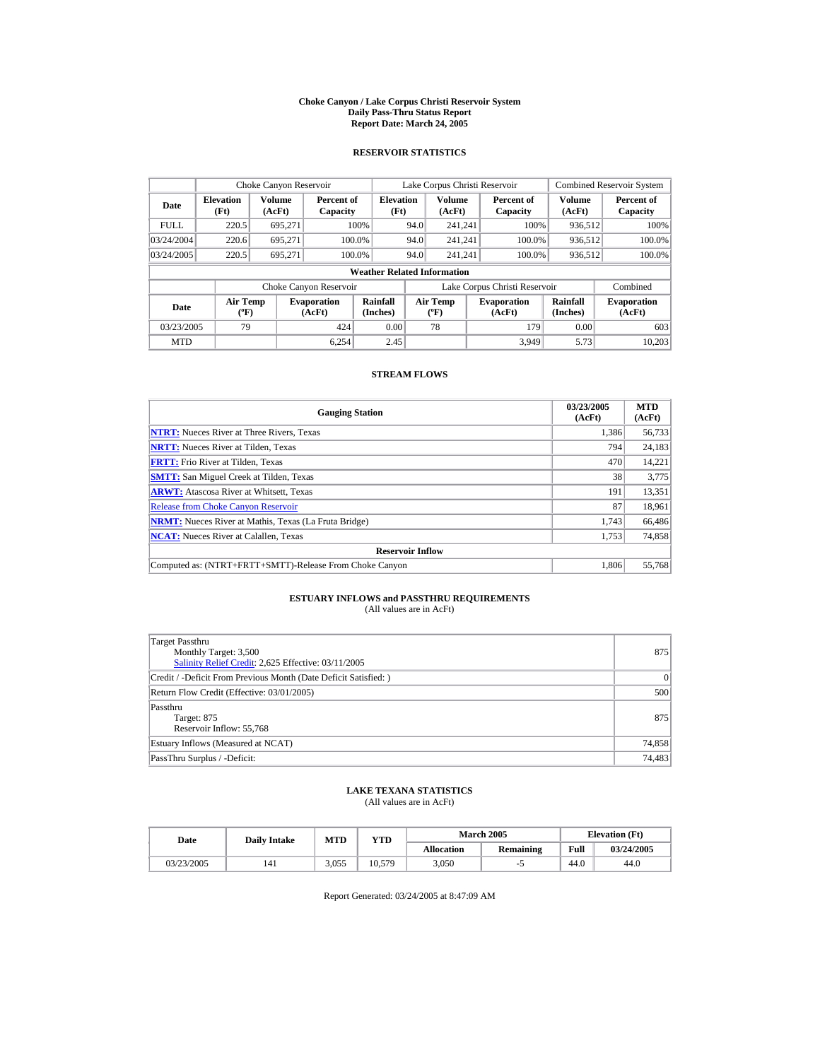#### **Choke Canyon / Lake Corpus Christi Reservoir System Daily Pass-Thru Status Report Report Date: March 24, 2005**

## **RESERVOIR STATISTICS**

|             | Choke Canyon Reservoir                       |         |                              |                          |      | Lake Corpus Christi Reservoir                    |  |                               |                         | <b>Combined Reservoir System</b> |  |
|-------------|----------------------------------------------|---------|------------------------------|--------------------------|------|--------------------------------------------------|--|-------------------------------|-------------------------|----------------------------------|--|
| Date        | Volume<br><b>Elevation</b><br>(Ft)<br>(AcFt) |         | Percent of<br>Capacity       | <b>Elevation</b><br>(Ft) |      | <b>Volume</b><br>(AcFt)                          |  | Percent of<br>Capacity        | <b>Volume</b><br>(AcFt) | Percent of<br>Capacity           |  |
| <b>FULL</b> | 220.5                                        | 695.271 |                              | 100%                     | 94.0 | 241.241                                          |  | 100%                          | 936,512                 | 100%                             |  |
| 03/24/2004  | 220.6                                        | 695.271 |                              | 100.0%                   | 94.0 | 241.241                                          |  | 100.0%                        | 936,512                 | $100.0\%$                        |  |
| 03/24/2005  | 220.5                                        | 695.271 |                              | 100.0%                   | 94.0 | 241.241                                          |  | 100.0%                        | 936,512                 | $100.0\%$                        |  |
|             | <b>Weather Related Information</b>           |         |                              |                          |      |                                                  |  |                               |                         |                                  |  |
|             |                                              |         | Choke Canyon Reservoir       |                          |      |                                                  |  | Lake Corpus Christi Reservoir |                         | Combined                         |  |
| <b>Date</b> | Air Temp<br>$({}^{\circ}\mathrm{F})$         |         | <b>Evaporation</b><br>(AcFt) | Rainfall<br>(Inches)     |      | <b>Air Temp</b><br>$({}^{\mathrm{o}}\mathrm{F})$ |  | <b>Evaporation</b><br>(AcFt)  | Rainfall<br>(Inches)    | <b>Evaporation</b><br>(AcFt)     |  |
| 03/23/2005  | 79                                           |         | 424                          | 0.00                     |      | 78                                               |  | 179                           | 0.00                    | 603                              |  |
| <b>MTD</b>  |                                              |         | 6.254                        | 2.45                     |      |                                                  |  | 3.949                         | 5.73                    | 10.203                           |  |

## **STREAM FLOWS**

| <b>Gauging Station</b>                                       | 03/23/2005<br>(AcFt) | <b>MTD</b><br>(AcFt) |
|--------------------------------------------------------------|----------------------|----------------------|
| <b>NTRT:</b> Nueces River at Three Rivers, Texas             | 1.386                | 56,733               |
| <b>NRTT:</b> Nueces River at Tilden, Texas                   | 794                  | 24,183               |
| <b>FRTT:</b> Frio River at Tilden, Texas                     | 470                  | 14,221               |
| <b>SMTT:</b> San Miguel Creek at Tilden, Texas               | 38                   | 3,775                |
| <b>ARWT:</b> Atascosa River at Whitsett, Texas               | 191                  | 13,351               |
| <b>Release from Choke Canvon Reservoir</b>                   | 87                   | 18,961               |
| <b>NRMT:</b> Nueces River at Mathis, Texas (La Fruta Bridge) | 1,743                | 66,486               |
| <b>NCAT:</b> Nueces River at Calallen, Texas                 | 1,753                | 74,858               |
| <b>Reservoir Inflow</b>                                      |                      |                      |
| Computed as: (NTRT+FRTT+SMTT)-Release From Choke Canyon      | 1.806                | 55,768               |

# **ESTUARY INFLOWS and PASSTHRU REQUIREMENTS**<br>(All values are in AcFt)

| Target Passthru<br>Monthly Target: 3,500<br>Salinity Relief Credit: 2,625 Effective: 03/11/2005 | 875    |
|-------------------------------------------------------------------------------------------------|--------|
| Credit / -Deficit From Previous Month (Date Deficit Satisfied: )                                | 0      |
| Return Flow Credit (Effective: 03/01/2005)                                                      | 500    |
| Passthru<br>Target: 875<br>Reservoir Inflow: 55,768                                             | 875    |
| Estuary Inflows (Measured at NCAT)                                                              | 74,858 |
| PassThru Surplus / -Deficit:                                                                    | 74,483 |

## **LAKE TEXANA STATISTICS**

(All values are in AcFt)

| Date       | <b>Daily Intake</b> | MTD   | YTD    |                   | <b>March 2005</b> | <b>Elevation</b> (Ft) |            |
|------------|---------------------|-------|--------|-------------------|-------------------|-----------------------|------------|
|            |                     |       |        | <b>Allocation</b> | <b>Remaining</b>  | Full                  | 03/24/2005 |
| 03/23/2005 | 141                 | 3.055 | 10.579 | 3.050             |                   | 44.0                  | 44.0       |

Report Generated: 03/24/2005 at 8:47:09 AM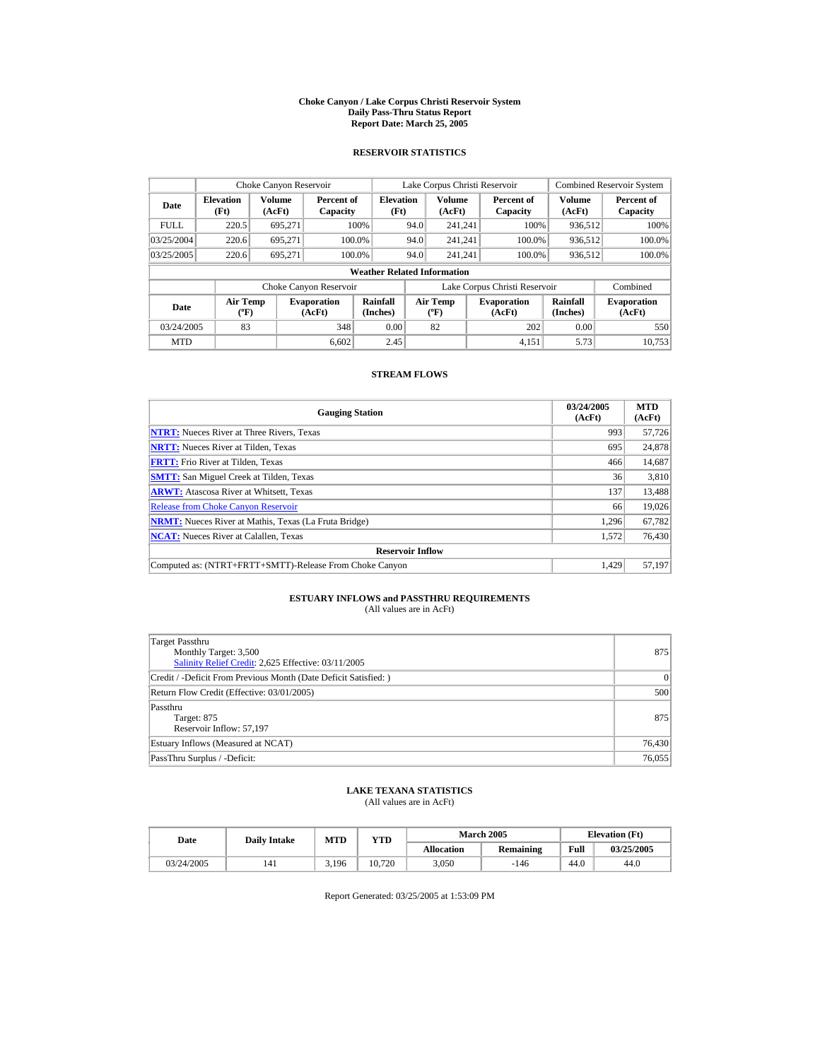#### **Choke Canyon / Lake Corpus Christi Reservoir System Daily Pass-Thru Status Report Report Date: March 25, 2005**

## **RESERVOIR STATISTICS**

|             | Choke Canyon Reservoir                      |                         |                              |                          | Lake Corpus Christi Reservoir     |                         |  |                               |                         | <b>Combined Reservoir System</b> |  |  |
|-------------|---------------------------------------------|-------------------------|------------------------------|--------------------------|-----------------------------------|-------------------------|--|-------------------------------|-------------------------|----------------------------------|--|--|
| Date        | <b>Elevation</b><br>(Ft)                    | <b>Volume</b><br>(AcFt) | Percent of<br>Capacity       | <b>Elevation</b><br>(Ft) |                                   | <b>Volume</b><br>(AcFt) |  | Percent of<br>Capacity        | <b>Volume</b><br>(AcFt) | Percent of<br>Capacity           |  |  |
| <b>FULL</b> | 220.5                                       | 695.271                 |                              | 100%                     | 94.0                              | 241.241                 |  | 100%                          | 936,512                 | 100%                             |  |  |
| 03/25/2004  | 220.6                                       | 695.271                 | 100.0%                       |                          | 94.0                              | 241.241                 |  | 100.0%                        | 936,512                 | 100.0%                           |  |  |
| 03/25/2005  | 220.6                                       | 695.271                 | 100.0%                       |                          | 94.0                              | 241.241                 |  | 100.0%                        | 936,512                 | 100.0%                           |  |  |
|             | <b>Weather Related Information</b>          |                         |                              |                          |                                   |                         |  |                               |                         |                                  |  |  |
|             |                                             |                         | Choke Canyon Reservoir       |                          |                                   |                         |  | Lake Corpus Christi Reservoir |                         | Combined                         |  |  |
| Date        | <b>Air Temp</b><br>$({}^{\circ}\mathrm{F})$ |                         | <b>Evaporation</b><br>(AcFt) | Rainfall<br>(Inches)     | Air Temp<br>$({}^{\circ}{\rm F})$ |                         |  | <b>Evaporation</b><br>(AcFt)  | Rainfall<br>(Inches)    | <b>Evaporation</b><br>(AcFt)     |  |  |
| 03/24/2005  | 83                                          |                         | 348                          | 0.00                     |                                   | 82                      |  | 202                           | 0.00                    | 550                              |  |  |
| <b>MTD</b>  |                                             |                         | 6.602                        | 2.45                     |                                   |                         |  | 4.151                         | 5.73                    | 10.753                           |  |  |

## **STREAM FLOWS**

| <b>Gauging Station</b>                                       | 03/24/2005<br>(AcFt) | <b>MTD</b><br>(AcFt) |
|--------------------------------------------------------------|----------------------|----------------------|
| <b>NTRT:</b> Nueces River at Three Rivers, Texas             | 993                  | 57,726               |
| <b>NRTT:</b> Nueces River at Tilden, Texas                   | 695                  | 24,878               |
| <b>FRTT:</b> Frio River at Tilden, Texas                     | 466                  | 14,687               |
| <b>SMTT:</b> San Miguel Creek at Tilden, Texas               | 36                   | 3,810                |
| <b>ARWT:</b> Atascosa River at Whitsett, Texas               | 137                  | 13,488               |
| <b>Release from Choke Canyon Reservoir</b>                   | 66                   | 19,026               |
| <b>NRMT:</b> Nueces River at Mathis, Texas (La Fruta Bridge) | 1.296                | 67,782               |
| <b>NCAT:</b> Nueces River at Calallen, Texas                 | 1,572                | 76,430               |
| <b>Reservoir Inflow</b>                                      |                      |                      |
| Computed as: (NTRT+FRTT+SMTT)-Release From Choke Canyon      | 1.429                | 57,197               |

# **ESTUARY INFLOWS and PASSTHRU REQUIREMENTS**<br>(All values are in AcFt)

| Target Passthru<br>Monthly Target: 3,500<br>Salinity Relief Credit: 2,625 Effective: 03/11/2005 | 875    |
|-------------------------------------------------------------------------------------------------|--------|
| Credit / -Deficit From Previous Month (Date Deficit Satisfied:)                                 | 0      |
| Return Flow Credit (Effective: 03/01/2005)                                                      | 500    |
| Passthru<br>Target: 875<br>Reservoir Inflow: 57,197                                             | 875    |
| Estuary Inflows (Measured at NCAT)                                                              | 76,430 |
| PassThru Surplus / -Deficit:                                                                    | 76,055 |

## **LAKE TEXANA STATISTICS**

(All values are in AcFt)

| Date       | <b>Daily Intake</b> | MTD   | $_{\rm VTD}$ |                   | <b>March 2005</b> | <b>Elevation</b> (Ft) |            |
|------------|---------------------|-------|--------------|-------------------|-------------------|-----------------------|------------|
|            |                     |       |              | <b>Allocation</b> | Remaining         | Full                  | 03/25/2005 |
| 03/24/2005 | 141                 | 3.196 | 10.720       | 3.050             | $-146$            | 44.0                  | 44.0       |

Report Generated: 03/25/2005 at 1:53:09 PM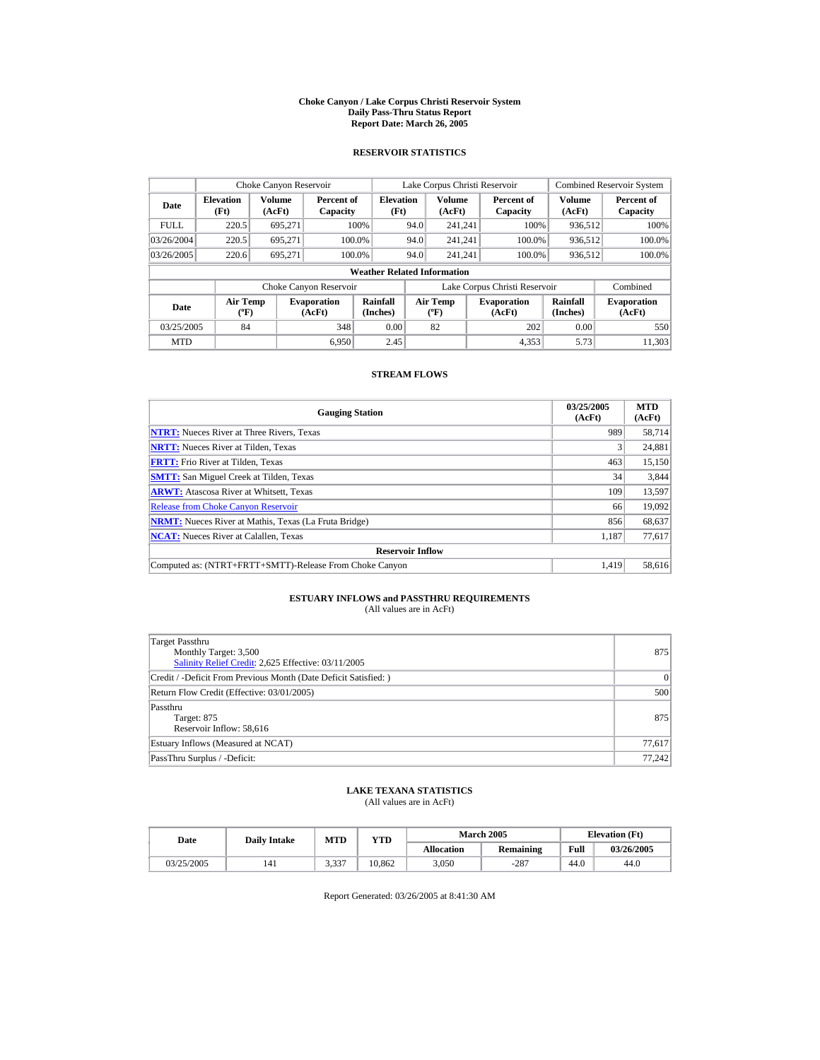#### **Choke Canyon / Lake Corpus Christi Reservoir System Daily Pass-Thru Status Report Report Date: March 26, 2005**

## **RESERVOIR STATISTICS**

|             | Choke Canyon Reservoir                      |                  |                              |                          | Lake Corpus Christi Reservoir |                                          |  |                               |                      | <b>Combined Reservoir System</b> |  |  |
|-------------|---------------------------------------------|------------------|------------------------------|--------------------------|-------------------------------|------------------------------------------|--|-------------------------------|----------------------|----------------------------------|--|--|
| Date        | <b>Elevation</b><br>(Ft)                    | Volume<br>(AcFt) | Percent of<br>Capacity       | <b>Elevation</b><br>(Ft) |                               | <b>Volume</b><br>(AcFt)                  |  | Percent of<br>Capacity        | Volume<br>(AcFt)     | Percent of<br>Capacity           |  |  |
| <b>FULL</b> | 220.5                                       | 695.271          |                              | 100%                     | 94.0                          | 241.241                                  |  | 100%                          | 936.512              | 100%                             |  |  |
| 03/26/2004  | 220.5                                       | 695.271          |                              | 100.0%                   | 94.0                          | 241.241                                  |  | 100.0%                        | 936,512              | 100.0%                           |  |  |
| 03/26/2005  | 220.6                                       | 695.271          |                              | 100.0%                   | 94.0                          | 241.241                                  |  | 100.0%                        | 936,512              | 100.0%                           |  |  |
|             | <b>Weather Related Information</b>          |                  |                              |                          |                               |                                          |  |                               |                      |                                  |  |  |
|             |                                             |                  | Choke Canyon Reservoir       |                          |                               |                                          |  | Lake Corpus Christi Reservoir |                      | Combined                         |  |  |
| Date        | <b>Air Temp</b><br>$({}^{\circ}\mathrm{F})$ |                  | <b>Evaporation</b><br>(AcFt) | Rainfall<br>(Inches)     |                               | <b>Air Temp</b><br>$({}^{\circ}{\rm F})$ |  | <b>Evaporation</b><br>(AcFt)  | Rainfall<br>(Inches) | <b>Evaporation</b><br>(AcFt)     |  |  |
| 03/25/2005  | 84                                          |                  | 348                          | 0.00                     |                               | 82                                       |  | 202                           | 0.00                 | 550                              |  |  |
| <b>MTD</b>  |                                             |                  | 6.950                        | 2.45                     |                               |                                          |  | 4.353                         | 5.73                 | 11.303                           |  |  |

## **STREAM FLOWS**

| <b>Gauging Station</b>                                       | 03/25/2005<br>(AcFt) | <b>MTD</b><br>(AcFt) |
|--------------------------------------------------------------|----------------------|----------------------|
| <b>NTRT:</b> Nueces River at Three Rivers, Texas             | 989                  | 58,714               |
| <b>NRTT:</b> Nueces River at Tilden, Texas                   |                      | 24,881               |
| <b>FRTT:</b> Frio River at Tilden, Texas                     | 463                  | 15,150               |
| <b>SMTT:</b> San Miguel Creek at Tilden, Texas               | 34                   | 3,844                |
| <b>ARWT:</b> Atascosa River at Whitsett, Texas               | 109                  | 13,597               |
| <b>Release from Choke Canyon Reservoir</b>                   | 66                   | 19,092               |
| <b>NRMT:</b> Nueces River at Mathis, Texas (La Fruta Bridge) | 856                  | 68,637               |
| <b>NCAT:</b> Nueces River at Calallen, Texas                 | 1,187                | 77,617               |
| <b>Reservoir Inflow</b>                                      |                      |                      |
| Computed as: (NTRT+FRTT+SMTT)-Release From Choke Canyon      | 1.419                | 58,616               |

# **ESTUARY INFLOWS and PASSTHRU REQUIREMENTS**<br>(All values are in AcFt)

| Target Passthru<br>Monthly Target: 3,500<br>Salinity Relief Credit: 2,625 Effective: 03/11/2005 | 875    |
|-------------------------------------------------------------------------------------------------|--------|
| Credit / -Deficit From Previous Month (Date Deficit Satisfied: )                                | 0      |
| Return Flow Credit (Effective: 03/01/2005)                                                      | 500    |
| Passthru<br>Target: 875<br>Reservoir Inflow: 58,616                                             | 875    |
| Estuary Inflows (Measured at NCAT)                                                              | 77,617 |
| PassThru Surplus / -Deficit:                                                                    | 77.242 |

## **LAKE TEXANA STATISTICS**

(All values are in AcFt)

| Date       | <b>Daily Intake</b> | MTD             | VTD    |                   | <b>March 2005</b> | <b>Elevation</b> (Ft) |            |
|------------|---------------------|-----------------|--------|-------------------|-------------------|-----------------------|------------|
|            |                     |                 |        | <b>Allocation</b> | Remaining         | Full                  | 03/26/2005 |
| 03/25/2005 | 141                 | 2 2 2 7<br>J.JJ | 10.862 | 3.050             | $-287$            | 44.0                  | 44.0       |

Report Generated: 03/26/2005 at 8:41:30 AM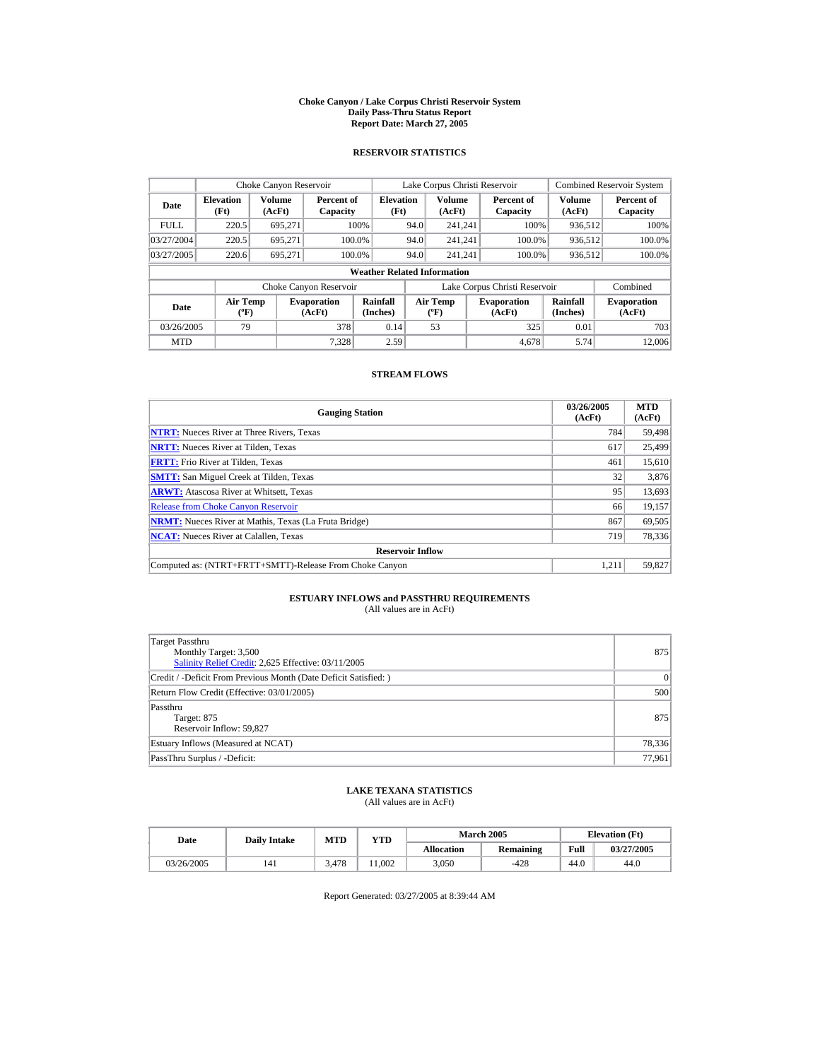#### **Choke Canyon / Lake Corpus Christi Reservoir System Daily Pass-Thru Status Report Report Date: March 27, 2005**

## **RESERVOIR STATISTICS**

|             | Choke Canyon Reservoir                      |                  |                              |                          | Lake Corpus Christi Reservoir |                                          |  |                               |                      | <b>Combined Reservoir System</b> |  |  |
|-------------|---------------------------------------------|------------------|------------------------------|--------------------------|-------------------------------|------------------------------------------|--|-------------------------------|----------------------|----------------------------------|--|--|
| Date        | <b>Elevation</b><br>(Ft)                    | Volume<br>(AcFt) | Percent of<br>Capacity       | <b>Elevation</b><br>(Ft) |                               | <b>Volume</b><br>(AcFt)                  |  | Percent of<br>Capacity        | Volume<br>(AcFt)     | Percent of<br>Capacity           |  |  |
| <b>FULL</b> | 220.5                                       | 695.271          |                              | 100%                     | 94.0                          | 241.241                                  |  | 100%                          | 936.512              | 100%                             |  |  |
| 03/27/2004  | 220.5                                       | 695.271          |                              | 100.0%                   | 94.0                          | 241.241                                  |  | 100.0%                        | 936,512              | 100.0%                           |  |  |
| 03/27/2005  | 220.6                                       | 695.271          |                              | 100.0%                   | 94.0                          | 241.241                                  |  | 100.0%                        | 936,512              | 100.0%                           |  |  |
|             | <b>Weather Related Information</b>          |                  |                              |                          |                               |                                          |  |                               |                      |                                  |  |  |
|             |                                             |                  | Choke Canyon Reservoir       |                          |                               |                                          |  | Lake Corpus Christi Reservoir |                      | Combined                         |  |  |
| Date        | <b>Air Temp</b><br>$({}^{\circ}\mathrm{F})$ |                  | <b>Evaporation</b><br>(AcFt) | Rainfall<br>(Inches)     |                               | <b>Air Temp</b><br>$({}^{\circ}{\rm F})$ |  | <b>Evaporation</b><br>(AcFt)  | Rainfall<br>(Inches) | <b>Evaporation</b><br>(AcFt)     |  |  |
| 03/26/2005  | 79                                          |                  | 378                          | 0.14                     |                               | 53                                       |  | 325                           | 0.01                 | 703                              |  |  |
| <b>MTD</b>  |                                             |                  | 7.328                        | 2.59                     |                               |                                          |  | 4.678                         | 5.74                 | 12,006                           |  |  |

## **STREAM FLOWS**

| <b>Gauging Station</b>                                       | 03/26/2005<br>(AcFt) | <b>MTD</b><br>(AcFt) |
|--------------------------------------------------------------|----------------------|----------------------|
| <b>NTRT:</b> Nueces River at Three Rivers, Texas             | 784                  | 59,498               |
| <b>NRTT:</b> Nueces River at Tilden, Texas                   | 617                  | 25,499               |
| <b>FRTT:</b> Frio River at Tilden, Texas                     | 461                  | 15,610               |
| <b>SMTT:</b> San Miguel Creek at Tilden, Texas               | 32                   | 3,876                |
| <b>ARWT:</b> Atascosa River at Whitsett, Texas               | 95                   | 13,693               |
| <b>Release from Choke Canvon Reservoir</b>                   | 66                   | 19,157               |
| <b>NRMT:</b> Nueces River at Mathis, Texas (La Fruta Bridge) | 867                  | 69,505               |
| <b>NCAT:</b> Nueces River at Calallen, Texas                 | 719                  | 78,336               |
| <b>Reservoir Inflow</b>                                      |                      |                      |
| Computed as: (NTRT+FRTT+SMTT)-Release From Choke Canyon      | 1.211                | 59,827               |

# **ESTUARY INFLOWS and PASSTHRU REQUIREMENTS**<br>(All values are in AcFt)

| Target Passthru<br>Monthly Target: 3,500<br>Salinity Relief Credit: 2,625 Effective: 03/11/2005 | 875    |
|-------------------------------------------------------------------------------------------------|--------|
| Credit / -Deficit From Previous Month (Date Deficit Satisfied: )                                | 0      |
| Return Flow Credit (Effective: 03/01/2005)                                                      | 500    |
| Passthru<br>Target: 875<br>Reservoir Inflow: 59,827                                             | 875    |
| Estuary Inflows (Measured at NCAT)                                                              | 78,336 |
| PassThru Surplus / -Deficit:                                                                    | 77,961 |

## **LAKE TEXANA STATISTICS**

(All values are in AcFt)

| Date       | <b>Daily Intake</b> | MTD   | $_{\rm VTD}$ |                   | <b>March 2005</b> | <b>Elevation</b> (Ft) |            |
|------------|---------------------|-------|--------------|-------------------|-------------------|-----------------------|------------|
|            |                     |       |              | <b>Allocation</b> | Remaining         | Full                  | 03/27/2005 |
| 03/26/2005 | 141                 | 3.478 | 1.002        | 3.050             | $-428$            | 44.0                  | 44.0       |

Report Generated: 03/27/2005 at 8:39:44 AM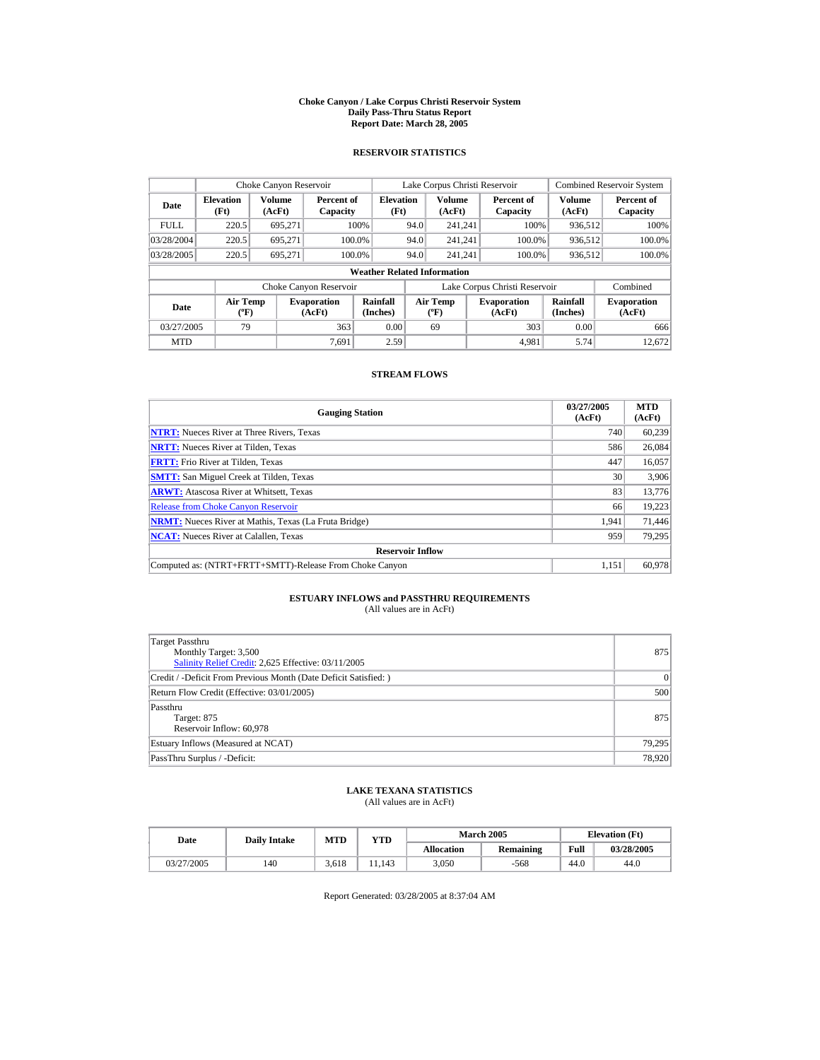#### **Choke Canyon / Lake Corpus Christi Reservoir System Daily Pass-Thru Status Report Report Date: March 28, 2005**

## **RESERVOIR STATISTICS**

|             | Choke Canyon Reservoir                      |                         |                              |                                    |      | Lake Corpus Christi Reservoir     |                               |                         | <b>Combined Reservoir System</b> |
|-------------|---------------------------------------------|-------------------------|------------------------------|------------------------------------|------|-----------------------------------|-------------------------------|-------------------------|----------------------------------|
| Date        | <b>Elevation</b><br>(Ft)                    | <b>Volume</b><br>(AcFt) | Percent of<br>Capacity       | <b>Elevation</b><br>(Ft)           |      | <b>Volume</b><br>(AcFt)           | Percent of<br>Capacity        | <b>Volume</b><br>(AcFt) | Percent of<br>Capacity           |
| <b>FULL</b> | 220.5                                       | 695.271                 |                              | 100%                               | 94.0 | 241.241                           | 100%                          | 936,512                 | 100%                             |
| 03/28/2004  | 220.5                                       | 695.271                 |                              | 100.0%                             | 94.0 | 241.241                           | 100.0%                        | 936,512                 | 100.0%                           |
| 03/28/2005  | 220.5                                       | 695.271                 |                              | 100.0%                             | 94.0 | 241.241                           | 100.0%                        | 936,512                 | 100.0%                           |
|             |                                             |                         |                              | <b>Weather Related Information</b> |      |                                   |                               |                         |                                  |
|             |                                             |                         | Choke Canyon Reservoir       |                                    |      |                                   | Lake Corpus Christi Reservoir |                         | Combined                         |
| Date        | <b>Air Temp</b><br>$({}^{\circ}\mathrm{F})$ |                         | <b>Evaporation</b><br>(AcFt) | Rainfall<br>(Inches)               |      | Air Temp<br>$({}^{\circ}{\rm F})$ | <b>Evaporation</b><br>(AcFt)  | Rainfall<br>(Inches)    | <b>Evaporation</b><br>(AcFt)     |
| 03/27/2005  | 79                                          |                         | 363                          | 0.00                               |      | 69                                | 303                           | 0.00                    | 666                              |
| <b>MTD</b>  |                                             |                         | 7.691                        | 2.59                               |      |                                   | 4.981                         | 5.74                    | 12.672                           |

## **STREAM FLOWS**

| <b>Gauging Station</b>                                       | 03/27/2005<br>(AcFt) | <b>MTD</b><br>(AcFt) |
|--------------------------------------------------------------|----------------------|----------------------|
| <b>NTRT:</b> Nueces River at Three Rivers, Texas             | 740                  | 60.239               |
| <b>NRTT:</b> Nueces River at Tilden, Texas                   | 586                  | 26,084               |
| <b>FRTT:</b> Frio River at Tilden, Texas                     | 447                  | 16,057               |
| <b>SMTT:</b> San Miguel Creek at Tilden, Texas               | 30                   | 3,906                |
| <b>ARWT:</b> Atascosa River at Whitsett, Texas               | 83                   | 13,776               |
| <b>Release from Choke Canyon Reservoir</b>                   | 66                   | 19,223               |
| <b>NRMT:</b> Nueces River at Mathis, Texas (La Fruta Bridge) | 1.941                | 71,446               |
| <b>NCAT:</b> Nueces River at Calallen, Texas                 | 959                  | 79,295               |
| <b>Reservoir Inflow</b>                                      |                      |                      |
| Computed as: (NTRT+FRTT+SMTT)-Release From Choke Canyon      | 1.151                | 60.978               |

# **ESTUARY INFLOWS and PASSTHRU REQUIREMENTS**<br>(All values are in AcFt)

| Target Passthru<br>Monthly Target: 3,500<br>Salinity Relief Credit: 2,625 Effective: 03/11/2005 | 875    |
|-------------------------------------------------------------------------------------------------|--------|
| Credit / -Deficit From Previous Month (Date Deficit Satisfied:)                                 | 0      |
| Return Flow Credit (Effective: 03/01/2005)                                                      | 500    |
| Passthru<br>Target: 875<br>Reservoir Inflow: 60,978                                             | 875    |
| Estuary Inflows (Measured at NCAT)                                                              | 79,295 |
| PassThru Surplus / -Deficit:                                                                    | 78,920 |

## **LAKE TEXANA STATISTICS**

(All values are in AcFt)

| Date       | <b>Daily Intake</b> | MTD   | $\mathbf{v_{TD}}$ |                   | <b>March 2005</b> | <b>Elevation</b> (Ft) |            |
|------------|---------------------|-------|-------------------|-------------------|-------------------|-----------------------|------------|
|            |                     |       |                   | <b>Allocation</b> | Remaining         | Full                  | 03/28/2005 |
| 03/27/2005 | 140                 | 3.618 | 1.143             | 3.050             | $-568$            | 44.0                  | 44.0       |

Report Generated: 03/28/2005 at 8:37:04 AM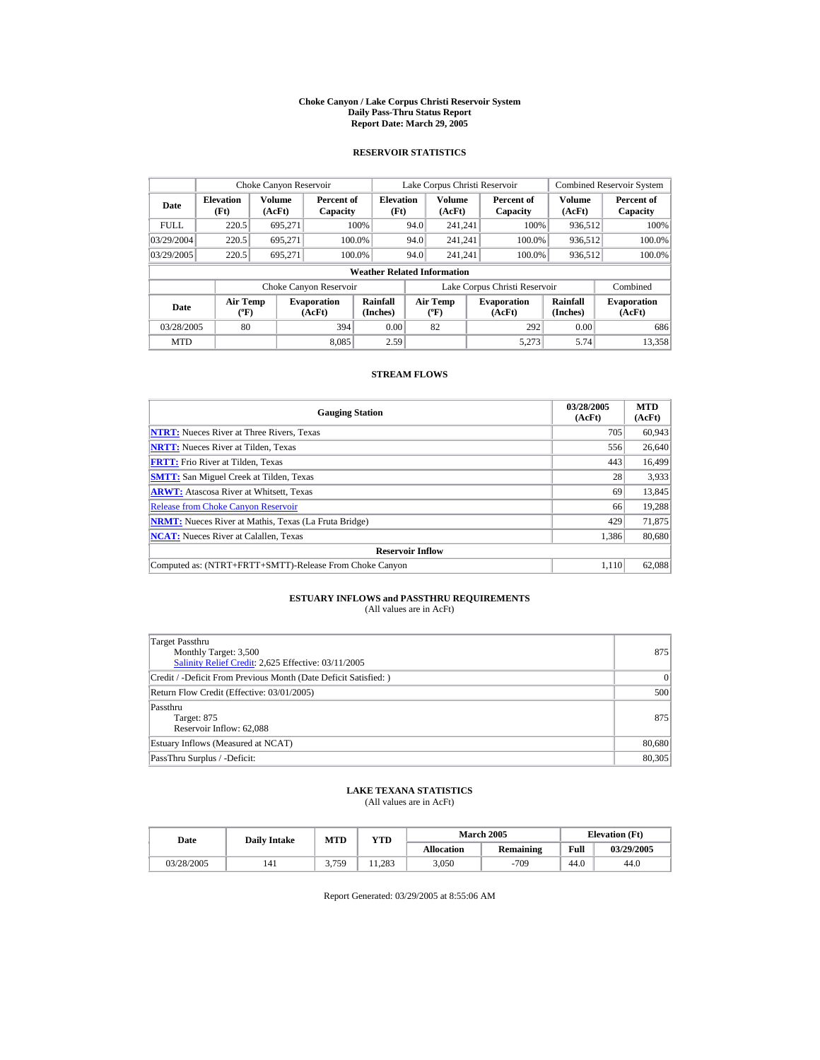#### **Choke Canyon / Lake Corpus Christi Reservoir System Daily Pass-Thru Status Report Report Date: March 29, 2005**

## **RESERVOIR STATISTICS**

|             | Choke Canyon Reservoir                      |                  |                              |                                    |      | Lake Corpus Christi Reservoir            |                               |                      | <b>Combined Reservoir System</b> |
|-------------|---------------------------------------------|------------------|------------------------------|------------------------------------|------|------------------------------------------|-------------------------------|----------------------|----------------------------------|
| Date        | <b>Elevation</b><br>(Ft)                    | Volume<br>(AcFt) | Percent of<br>Capacity       | <b>Elevation</b><br>(Ft)           |      | <b>Volume</b><br>(AcFt)                  | Percent of<br>Capacity        | Volume<br>(AcFt)     | Percent of<br>Capacity           |
| <b>FULL</b> | 220.5                                       | 695.271          |                              | 100%                               | 94.0 | 241.241                                  | 100%                          | 936.512              | 100%                             |
| 03/29/2004  | 220.5                                       | 695.271          |                              | 100.0%                             | 94.0 | 241.241                                  | 100.0%                        | 936,512              | 100.0%                           |
| 03/29/2005  | 220.5                                       | 695.271          |                              | 100.0%                             | 94.0 | 241.241                                  | 100.0%                        | 936,512              | 100.0%                           |
|             |                                             |                  |                              | <b>Weather Related Information</b> |      |                                          |                               |                      |                                  |
|             |                                             |                  | Choke Canyon Reservoir       |                                    |      |                                          | Lake Corpus Christi Reservoir |                      | Combined                         |
| Date        | <b>Air Temp</b><br>$({}^{\circ}\mathrm{F})$ |                  | <b>Evaporation</b><br>(AcFt) | Rainfall<br>(Inches)               |      | <b>Air Temp</b><br>$({}^{\circ}{\rm F})$ | <b>Evaporation</b><br>(AcFt)  | Rainfall<br>(Inches) | <b>Evaporation</b><br>(AcFt)     |
| 03/28/2005  | 80                                          |                  | 394                          | 0.00                               |      | 82                                       | 292                           | 0.00                 | 686                              |
| <b>MTD</b>  |                                             |                  | 8.085                        | 2.59                               |      |                                          | 5.273                         | 5.74                 | 13.358                           |

## **STREAM FLOWS**

| <b>Gauging Station</b>                                       | 03/28/2005<br>(AcFt) | <b>MTD</b><br>(AcFt) |
|--------------------------------------------------------------|----------------------|----------------------|
| <b>NTRT:</b> Nueces River at Three Rivers, Texas             | 705                  | 60,943               |
| <b>NRTT:</b> Nueces River at Tilden, Texas                   | 556                  | 26,640               |
| <b>FRTT:</b> Frio River at Tilden, Texas                     | 443                  | 16,499               |
| <b>SMTT:</b> San Miguel Creek at Tilden, Texas               | 28                   | 3,933                |
| <b>ARWT:</b> Atascosa River at Whitsett, Texas               | 69                   | 13,845               |
| <b>Release from Choke Canyon Reservoir</b>                   | 66                   | 19.288               |
| <b>NRMT:</b> Nueces River at Mathis, Texas (La Fruta Bridge) | 429                  | 71,875               |
| <b>NCAT:</b> Nueces River at Calallen, Texas                 | 1,386                | 80,680               |
| <b>Reservoir Inflow</b>                                      |                      |                      |
| Computed as: (NTRT+FRTT+SMTT)-Release From Choke Canyon      | 1.110                | 62,088               |

# **ESTUARY INFLOWS and PASSTHRU REQUIREMENTS**<br>(All values are in AcFt)

| Target Passthru<br>Monthly Target: 3,500<br>Salinity Relief Credit: 2,625 Effective: 03/11/2005 | 875    |
|-------------------------------------------------------------------------------------------------|--------|
| Credit / -Deficit From Previous Month (Date Deficit Satisfied:)                                 | 0      |
| Return Flow Credit (Effective: 03/01/2005)                                                      | 500    |
| Passthru<br>Target: 875<br>Reservoir Inflow: 62,088                                             | 875    |
| Estuary Inflows (Measured at NCAT)                                                              | 80,680 |
| PassThru Surplus / -Deficit:                                                                    | 80,305 |

## **LAKE TEXANA STATISTICS**

(All values are in AcFt)

| Date       | <b>Daily Intake</b> | MTD   | YTD   |                   | <b>March 2005</b> | <b>Elevation</b> (Ft) |            |
|------------|---------------------|-------|-------|-------------------|-------------------|-----------------------|------------|
|            |                     |       |       | <b>Allocation</b> | <b>Remaining</b>  | Full                  | 03/29/2005 |
| 03/28/2005 | 141                 | 3 759 | 1.283 | 3.050             | $-709$            | 44.0                  | 44.0       |

Report Generated: 03/29/2005 at 8:55:06 AM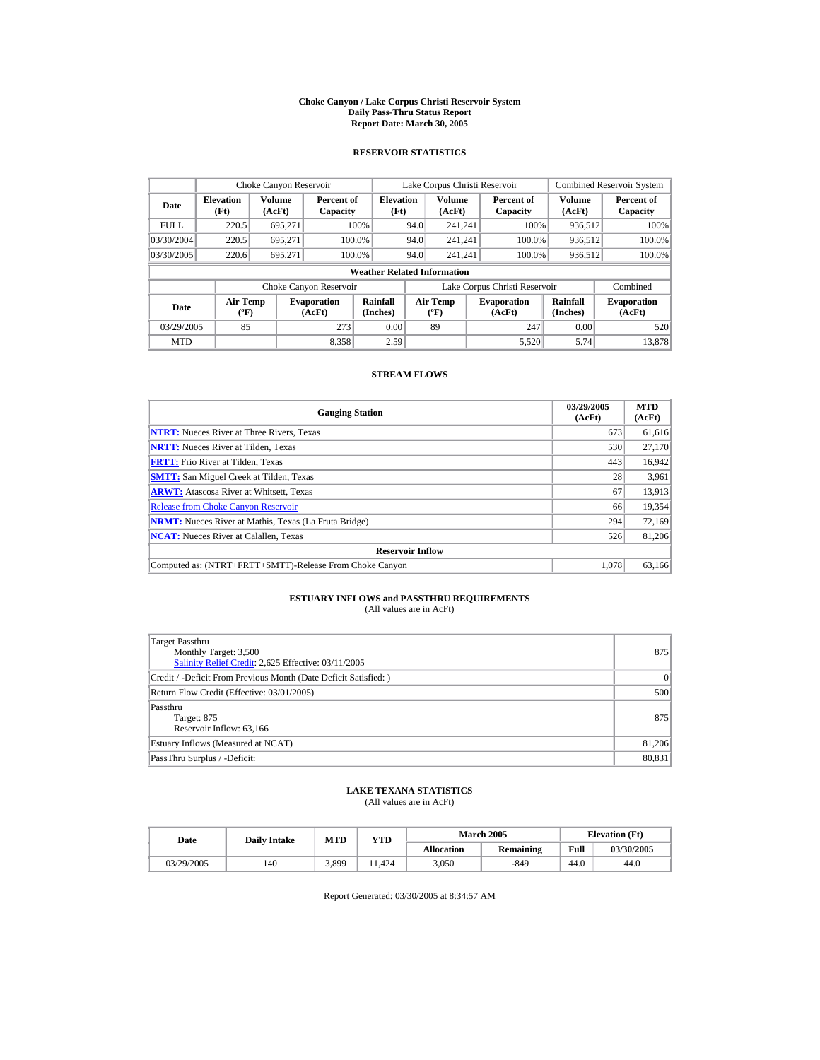#### **Choke Canyon / Lake Corpus Christi Reservoir System Daily Pass-Thru Status Report Report Date: March 30, 2005**

## **RESERVOIR STATISTICS**

|             | Choke Canyon Reservoir                      |                  |                              |                                    |      | Lake Corpus Christi Reservoir            |                               |                      | <b>Combined Reservoir System</b> |
|-------------|---------------------------------------------|------------------|------------------------------|------------------------------------|------|------------------------------------------|-------------------------------|----------------------|----------------------------------|
| Date        | <b>Elevation</b><br>(Ft)                    | Volume<br>(AcFt) | Percent of<br>Capacity       | <b>Elevation</b><br>(Ft)           |      | <b>Volume</b><br>(AcFt)                  | Percent of<br>Capacity        | Volume<br>(AcFt)     | Percent of<br>Capacity           |
| <b>FULL</b> | 220.5                                       | 695.271          |                              | 100%                               | 94.0 | 241.241                                  | 100%                          | 936.512              | 100%                             |
| 03/30/2004  | 220.5                                       | 695.271          |                              | 100.0%                             | 94.0 | 241.241                                  | 100.0%                        | 936,512              | 100.0%                           |
| 03/30/2005  | 220.6                                       | 695.271          |                              | 100.0%                             | 94.0 | 241.241                                  | 100.0%                        | 936,512              | 100.0%                           |
|             |                                             |                  |                              | <b>Weather Related Information</b> |      |                                          |                               |                      |                                  |
|             |                                             |                  | Choke Canyon Reservoir       |                                    |      |                                          | Lake Corpus Christi Reservoir |                      | Combined                         |
| Date        | <b>Air Temp</b><br>$({}^{\circ}\mathrm{F})$ |                  | <b>Evaporation</b><br>(AcFt) | Rainfall<br>(Inches)               |      | <b>Air Temp</b><br>$({}^{\circ}{\rm F})$ | <b>Evaporation</b><br>(AcFt)  | Rainfall<br>(Inches) | <b>Evaporation</b><br>(AcFt)     |
| 03/29/2005  | 85                                          |                  | 273                          | 0.00                               |      | 89                                       | 247                           | 0.00                 | 520                              |
| <b>MTD</b>  |                                             |                  | 8.358                        | 2.59                               |      |                                          | 5.520                         | 5.74                 | 13.878                           |

## **STREAM FLOWS**

| <b>Gauging Station</b>                                       | 03/29/2005<br>(AcFt) | <b>MTD</b><br>(AcFt) |
|--------------------------------------------------------------|----------------------|----------------------|
| <b>NTRT:</b> Nueces River at Three Rivers, Texas             | 673                  | 61,616               |
| <b>NRTT:</b> Nueces River at Tilden, Texas                   | 530                  | 27,170               |
| <b>FRTT:</b> Frio River at Tilden, Texas                     | 443                  | 16,942               |
| <b>SMTT:</b> San Miguel Creek at Tilden, Texas               | 28                   | 3,961                |
| <b>ARWT:</b> Atascosa River at Whitsett, Texas               | 67                   | 13,913               |
| <b>Release from Choke Canyon Reservoir</b>                   | 66                   | 19,354               |
| <b>NRMT:</b> Nueces River at Mathis, Texas (La Fruta Bridge) | 294                  | 72,169               |
| <b>NCAT:</b> Nueces River at Calallen, Texas                 | 526                  | 81,206               |
| <b>Reservoir Inflow</b>                                      |                      |                      |
| Computed as: (NTRT+FRTT+SMTT)-Release From Choke Canyon      | 1.078                | 63.166               |

# **ESTUARY INFLOWS and PASSTHRU REQUIREMENTS**<br>(All values are in AcFt)

| Target Passthru<br>Monthly Target: 3,500<br>Salinity Relief Credit: 2,625 Effective: 03/11/2005 | 875    |
|-------------------------------------------------------------------------------------------------|--------|
| Credit / -Deficit From Previous Month (Date Deficit Satisfied: )                                | 0      |
| Return Flow Credit (Effective: 03/01/2005)                                                      | 500    |
| Passthru<br>Target: 875<br>Reservoir Inflow: 63,166                                             | 875    |
| Estuary Inflows (Measured at NCAT)                                                              | 81,206 |
| PassThru Surplus / -Deficit:                                                                    | 80,831 |

## **LAKE TEXANA STATISTICS**

(All values are in AcFt)

| Date       | <b>Daily Intake</b> | <b>MTD</b><br>$_{\rm VTD}$ |       |                   | <b>March 2005</b> | <b>Elevation</b> (Ft) |            |
|------------|---------------------|----------------------------|-------|-------------------|-------------------|-----------------------|------------|
|            |                     |                            |       | <b>Allocation</b> | Remaining         | Full                  | 03/30/2005 |
| 03/29/2005 | 140                 | 3,899                      | . 424 | 3.050             | -849              | 44.0                  | 44.0       |

Report Generated: 03/30/2005 at 8:34:57 AM